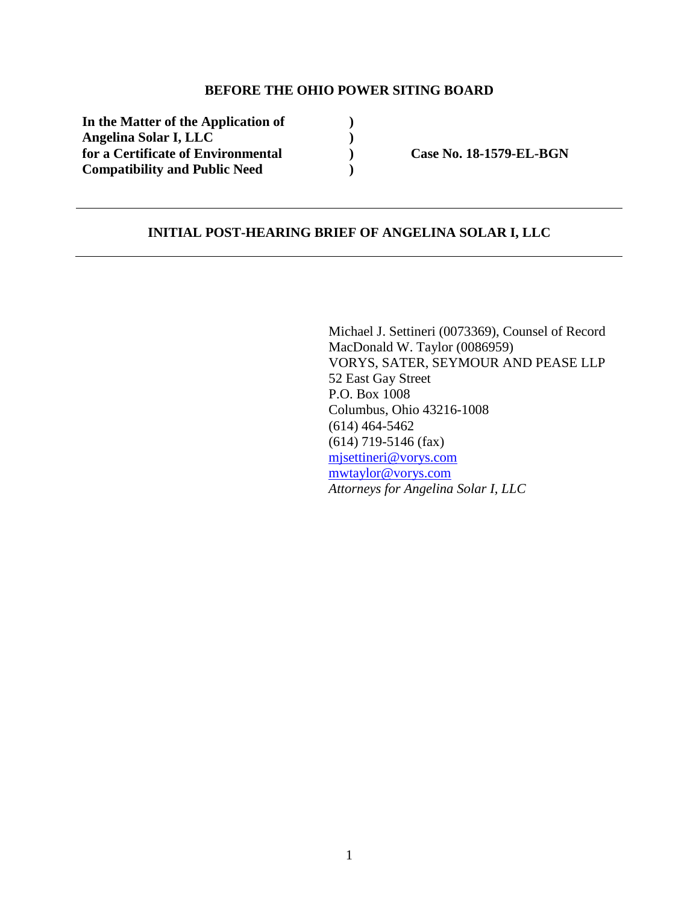### **BEFORE THE OHIO POWER SITING BOARD**

**In the Matter of the Application of ) Angelina Solar I, LLC )**  for a Certificate of Environmental **Case No. 18-1579-EL-BGN Compatibility and Public Need )** 

### **INITIAL POST-HEARING BRIEF OF ANGELINA SOLAR I, LLC**

Michael J. Settineri (0073369), Counsel of Record MacDonald W. Taylor (0086959) VORYS, SATER, SEYMOUR AND PEASE LLP 52 East Gay Street P.O. Box 1008 Columbus, Ohio 43216-1008 (614) 464-5462 (614) 719-5146 (fax) mjsettineri@vorys.com mwtaylor@vorys.com *Attorneys for Angelina Solar I, LLC*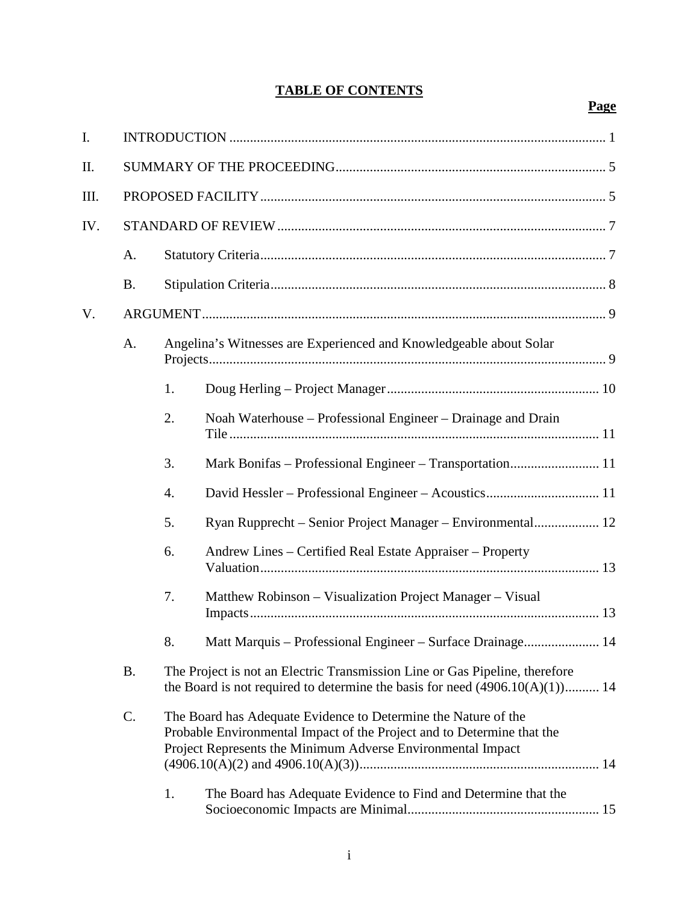# **TABLE OF CONTENTS**

# **Page**

| I.  |           |                                                                                                                                                               |                                                                                                                                                                                                         |  |  |
|-----|-----------|---------------------------------------------------------------------------------------------------------------------------------------------------------------|---------------------------------------------------------------------------------------------------------------------------------------------------------------------------------------------------------|--|--|
| Π.  |           |                                                                                                                                                               |                                                                                                                                                                                                         |  |  |
| Ш.  |           |                                                                                                                                                               |                                                                                                                                                                                                         |  |  |
| IV. |           |                                                                                                                                                               |                                                                                                                                                                                                         |  |  |
|     | A.        |                                                                                                                                                               |                                                                                                                                                                                                         |  |  |
|     | <b>B.</b> |                                                                                                                                                               |                                                                                                                                                                                                         |  |  |
| V.  |           |                                                                                                                                                               |                                                                                                                                                                                                         |  |  |
|     | A.        | Angelina's Witnesses are Experienced and Knowledgeable about Solar                                                                                            |                                                                                                                                                                                                         |  |  |
|     |           | 1.                                                                                                                                                            |                                                                                                                                                                                                         |  |  |
|     |           | 2.                                                                                                                                                            | Noah Waterhouse – Professional Engineer – Drainage and Drain                                                                                                                                            |  |  |
|     |           | 3.                                                                                                                                                            |                                                                                                                                                                                                         |  |  |
|     |           | 4.                                                                                                                                                            |                                                                                                                                                                                                         |  |  |
|     |           | 5.                                                                                                                                                            |                                                                                                                                                                                                         |  |  |
|     |           | 6.                                                                                                                                                            | Andrew Lines – Certified Real Estate Appraiser – Property                                                                                                                                               |  |  |
|     |           | 7.                                                                                                                                                            | Matthew Robinson – Visualization Project Manager – Visual                                                                                                                                               |  |  |
|     |           | 8.                                                                                                                                                            | Matt Marquis - Professional Engineer - Surface Drainage 14                                                                                                                                              |  |  |
|     | <b>B.</b> | The Project is not an Electric Transmission Line or Gas Pipeline, therefore<br>the Board is not required to determine the basis for need $(4906.10(A)(1))$ 14 |                                                                                                                                                                                                         |  |  |
|     | C.        |                                                                                                                                                               | The Board has Adequate Evidence to Determine the Nature of the<br>Probable Environmental Impact of the Project and to Determine that the<br>Project Represents the Minimum Adverse Environmental Impact |  |  |
|     | 1.        |                                                                                                                                                               | The Board has Adequate Evidence to Find and Determine that the                                                                                                                                          |  |  |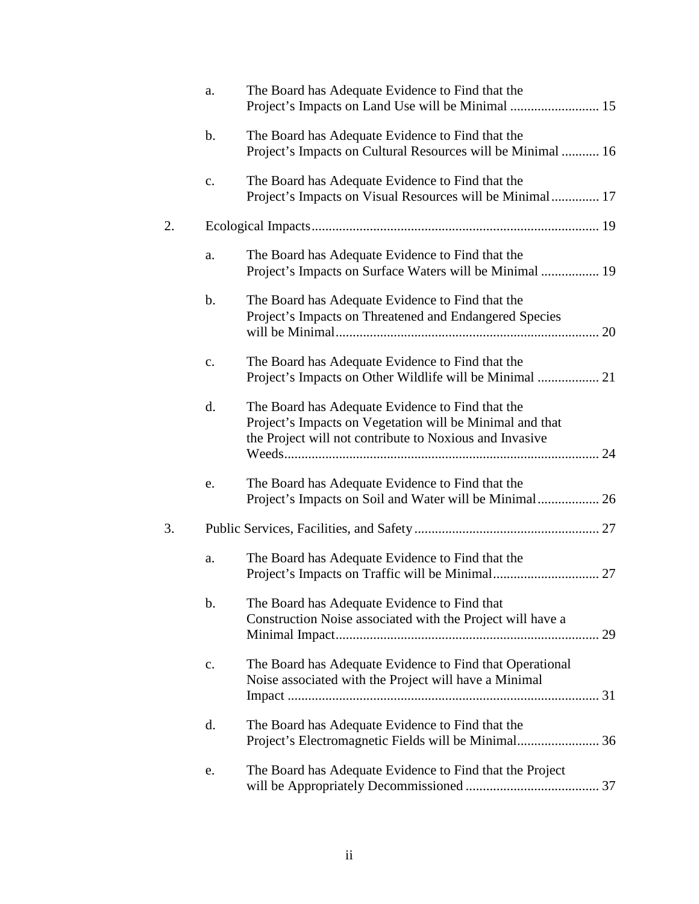|    | a.             | The Board has Adequate Evidence to Find that the                                                                                                                        |    |
|----|----------------|-------------------------------------------------------------------------------------------------------------------------------------------------------------------------|----|
|    | b.             | The Board has Adequate Evidence to Find that the<br>Project's Impacts on Cultural Resources will be Minimal  16                                                         |    |
|    | $\mathbf{c}$ . | The Board has Adequate Evidence to Find that the<br>Project's Impacts on Visual Resources will be Minimal 17                                                            |    |
| 2. |                |                                                                                                                                                                         |    |
|    | a.             | The Board has Adequate Evidence to Find that the<br>Project's Impacts on Surface Waters will be Minimal  19                                                             |    |
|    | b.             | The Board has Adequate Evidence to Find that the<br>Project's Impacts on Threatened and Endangered Species                                                              |    |
|    | $\mathbf{c}$ . | The Board has Adequate Evidence to Find that the<br>Project's Impacts on Other Wildlife will be Minimal  21                                                             |    |
|    | d.             | The Board has Adequate Evidence to Find that the<br>Project's Impacts on Vegetation will be Minimal and that<br>the Project will not contribute to Noxious and Invasive |    |
|    | e.             | The Board has Adequate Evidence to Find that the<br>Project's Impacts on Soil and Water will be Minimal 26                                                              |    |
| 3. |                |                                                                                                                                                                         |    |
|    | a.             | The Board has Adequate Evidence to Find that the                                                                                                                        |    |
|    | b.             | The Board has Adequate Evidence to Find that<br>Construction Noise associated with the Project will have a                                                              | 29 |
|    | c.             | The Board has Adequate Evidence to Find that Operational<br>Noise associated with the Project will have a Minimal                                                       |    |
|    | d.             | The Board has Adequate Evidence to Find that the                                                                                                                        |    |
|    | e.             | The Board has Adequate Evidence to Find that the Project                                                                                                                |    |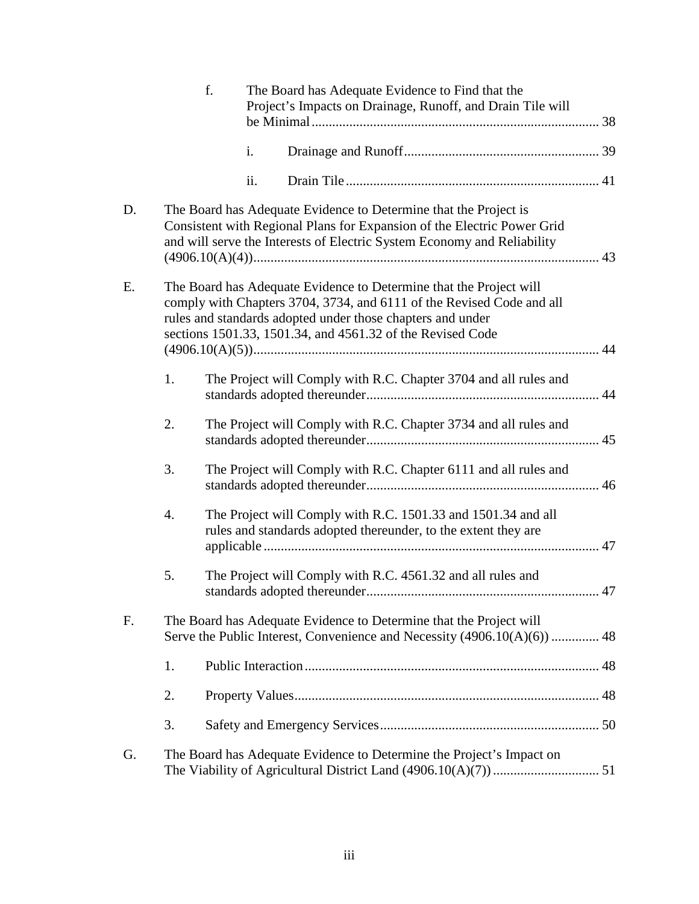|    |                                                                                                                                                | f. |     | The Board has Adequate Evidence to Find that the<br>Project's Impacts on Drainage, Runoff, and Drain Tile will                                                                                                                                                          |    |  |
|----|------------------------------------------------------------------------------------------------------------------------------------------------|----|-----|-------------------------------------------------------------------------------------------------------------------------------------------------------------------------------------------------------------------------------------------------------------------------|----|--|
|    |                                                                                                                                                |    | i.  |                                                                                                                                                                                                                                                                         |    |  |
|    |                                                                                                                                                |    | ii. |                                                                                                                                                                                                                                                                         |    |  |
| D. |                                                                                                                                                |    |     | The Board has Adequate Evidence to Determine that the Project is<br>Consistent with Regional Plans for Expansion of the Electric Power Grid<br>and will serve the Interests of Electric System Economy and Reliability                                                  |    |  |
| Ε. |                                                                                                                                                |    |     | The Board has Adequate Evidence to Determine that the Project will<br>comply with Chapters 3704, 3734, and 6111 of the Revised Code and all<br>rules and standards adopted under those chapters and under<br>sections 1501.33, 1501.34, and 4561.32 of the Revised Code |    |  |
|    | 1.                                                                                                                                             |    |     | The Project will Comply with R.C. Chapter 3704 and all rules and                                                                                                                                                                                                        |    |  |
|    | 2.                                                                                                                                             |    |     | The Project will Comply with R.C. Chapter 3734 and all rules and                                                                                                                                                                                                        |    |  |
|    | 3.                                                                                                                                             |    |     | The Project will Comply with R.C. Chapter 6111 and all rules and                                                                                                                                                                                                        |    |  |
|    | 4.                                                                                                                                             |    |     | The Project will Comply with R.C. 1501.33 and 1501.34 and all<br>rules and standards adopted thereunder, to the extent they are                                                                                                                                         |    |  |
|    | 5.                                                                                                                                             |    |     | The Project will Comply with R.C. 4561.32 and all rules and                                                                                                                                                                                                             | 47 |  |
| F. | The Board has Adequate Evidence to Determine that the Project will<br>Serve the Public Interest, Convenience and Necessity (4906.10(A)(6))  48 |    |     |                                                                                                                                                                                                                                                                         |    |  |
|    | 1.                                                                                                                                             |    |     |                                                                                                                                                                                                                                                                         |    |  |
|    | 2.                                                                                                                                             |    |     |                                                                                                                                                                                                                                                                         |    |  |
|    | 3.                                                                                                                                             |    |     |                                                                                                                                                                                                                                                                         |    |  |
| G. |                                                                                                                                                |    |     | The Board has Adequate Evidence to Determine the Project's Impact on                                                                                                                                                                                                    |    |  |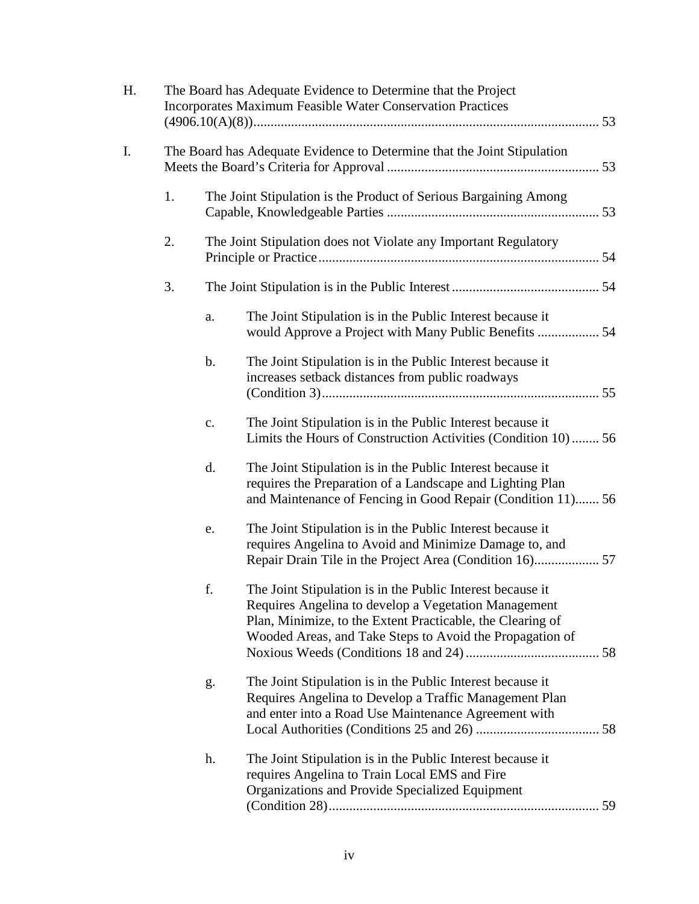| Н. |                                                                         | The Board has Adequate Evidence to Determine that the Project<br><b>Incorporates Maximum Feasible Water Conservation Practices</b> |                                                                                                                                                                                                                                              |  |
|----|-------------------------------------------------------------------------|------------------------------------------------------------------------------------------------------------------------------------|----------------------------------------------------------------------------------------------------------------------------------------------------------------------------------------------------------------------------------------------|--|
| I. | The Board has Adequate Evidence to Determine that the Joint Stipulation |                                                                                                                                    |                                                                                                                                                                                                                                              |  |
|    | 1.                                                                      |                                                                                                                                    | The Joint Stipulation is the Product of Serious Bargaining Among                                                                                                                                                                             |  |
|    | 2.                                                                      |                                                                                                                                    | The Joint Stipulation does not Violate any Important Regulatory                                                                                                                                                                              |  |
|    | 3.                                                                      |                                                                                                                                    |                                                                                                                                                                                                                                              |  |
|    |                                                                         | a.                                                                                                                                 | The Joint Stipulation is in the Public Interest because it                                                                                                                                                                                   |  |
|    |                                                                         | $\mathbf b$ .                                                                                                                      | The Joint Stipulation is in the Public Interest because it<br>increases setback distances from public roadways                                                                                                                               |  |
|    |                                                                         | c.                                                                                                                                 | The Joint Stipulation is in the Public Interest because it<br>Limits the Hours of Construction Activities (Condition 10) 56                                                                                                                  |  |
|    |                                                                         | d.                                                                                                                                 | The Joint Stipulation is in the Public Interest because it<br>requires the Preparation of a Landscape and Lighting Plan<br>and Maintenance of Fencing in Good Repair (Condition 11) 56                                                       |  |
|    |                                                                         | e.                                                                                                                                 | The Joint Stipulation is in the Public Interest because it<br>requires Angelina to Avoid and Minimize Damage to, and                                                                                                                         |  |
|    |                                                                         | f.                                                                                                                                 | The Joint Stipulation is in the Public Interest because it<br>Requires Angelina to develop a Vegetation Management<br>Plan, Minimize, to the Extent Practicable, the Clearing of<br>Wooded Areas, and Take Steps to Avoid the Propagation of |  |
|    |                                                                         | g.                                                                                                                                 | The Joint Stipulation is in the Public Interest because it<br>Requires Angelina to Develop a Traffic Management Plan<br>and enter into a Road Use Maintenance Agreement with                                                                 |  |
|    |                                                                         | h.                                                                                                                                 | The Joint Stipulation is in the Public Interest because it<br>requires Angelina to Train Local EMS and Fire<br>Organizations and Provide Specialized Equipment                                                                               |  |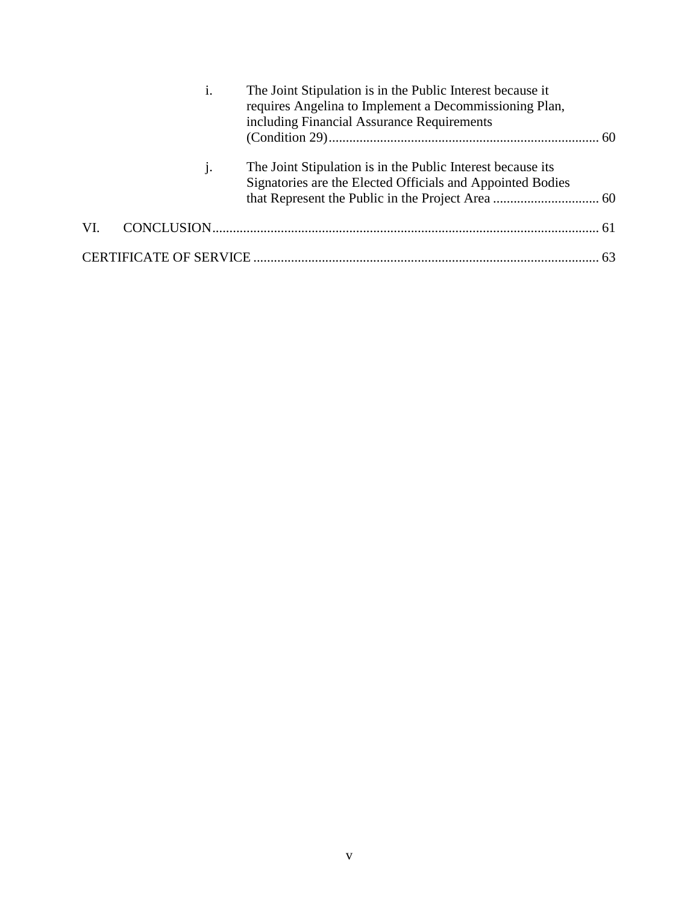|     | $\mathbf{1}$ . | The Joint Stipulation is in the Public Interest because it<br>requires Angelina to Implement a Decommissioning Plan,<br>including Financial Assurance Requirements |  |
|-----|----------------|--------------------------------------------------------------------------------------------------------------------------------------------------------------------|--|
|     |                | The Joint Stipulation is in the Public Interest because its<br>Signatories are the Elected Officials and Appointed Bodies                                          |  |
| VI. |                |                                                                                                                                                                    |  |
|     |                |                                                                                                                                                                    |  |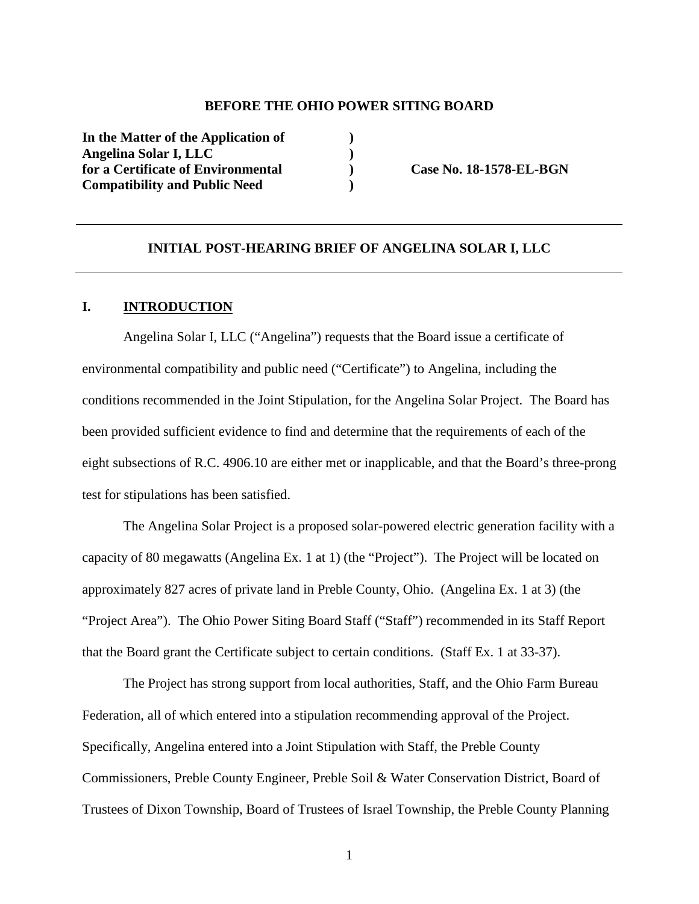#### **BEFORE THE OHIO POWER SITING BOARD**

**In the Matter of the Application of ) Angelina Solar I, LLC )**  for a Certificate of Environmental **Case No. 18-1578-EL-BGN Compatibility and Public Need )** 

### **INITIAL POST-HEARING BRIEF OF ANGELINA SOLAR I, LLC**

### **I. INTRODUCTION**

Angelina Solar I, LLC ("Angelina") requests that the Board issue a certificate of environmental compatibility and public need ("Certificate") to Angelina, including the conditions recommended in the Joint Stipulation, for the Angelina Solar Project. The Board has been provided sufficient evidence to find and determine that the requirements of each of the eight subsections of R.C. 4906.10 are either met or inapplicable, and that the Board's three-prong test for stipulations has been satisfied.

The Angelina Solar Project is a proposed solar-powered electric generation facility with a capacity of 80 megawatts (Angelina Ex. 1 at 1) (the "Project"). The Project will be located on approximately 827 acres of private land in Preble County, Ohio. (Angelina Ex. 1 at 3) (the "Project Area"). The Ohio Power Siting Board Staff ("Staff") recommended in its Staff Report that the Board grant the Certificate subject to certain conditions. (Staff Ex. 1 at 33-37).

The Project has strong support from local authorities, Staff, and the Ohio Farm Bureau Federation, all of which entered into a stipulation recommending approval of the Project. Specifically, Angelina entered into a Joint Stipulation with Staff, the Preble County Commissioners, Preble County Engineer, Preble Soil & Water Conservation District, Board of Trustees of Dixon Township, Board of Trustees of Israel Township, the Preble County Planning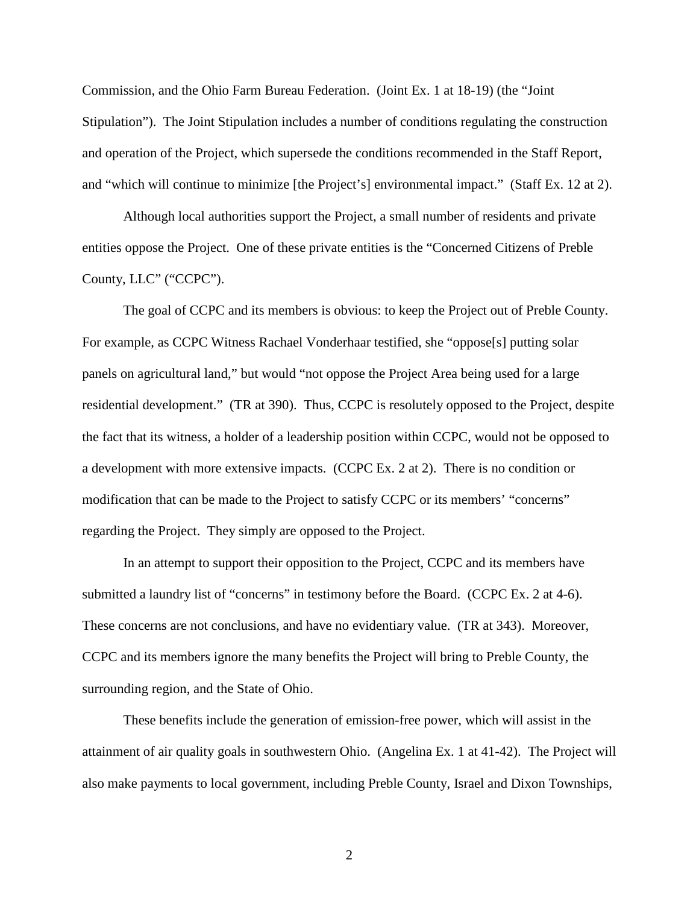Commission, and the Ohio Farm Bureau Federation. (Joint Ex. 1 at 18-19) (the "Joint Stipulation"). The Joint Stipulation includes a number of conditions regulating the construction and operation of the Project, which supersede the conditions recommended in the Staff Report, and "which will continue to minimize [the Project's] environmental impact." (Staff Ex. 12 at 2).

Although local authorities support the Project, a small number of residents and private entities oppose the Project. One of these private entities is the "Concerned Citizens of Preble County, LLC" ("CCPC").

The goal of CCPC and its members is obvious: to keep the Project out of Preble County. For example, as CCPC Witness Rachael Vonderhaar testified, she "oppose[s] putting solar panels on agricultural land," but would "not oppose the Project Area being used for a large residential development." (TR at 390). Thus, CCPC is resolutely opposed to the Project, despite the fact that its witness, a holder of a leadership position within CCPC, would not be opposed to a development with more extensive impacts. (CCPC Ex. 2 at 2). There is no condition or modification that can be made to the Project to satisfy CCPC or its members' "concerns" regarding the Project. They simply are opposed to the Project.

In an attempt to support their opposition to the Project, CCPC and its members have submitted a laundry list of "concerns" in testimony before the Board. (CCPC Ex. 2 at 4-6). These concerns are not conclusions, and have no evidentiary value. (TR at 343). Moreover, CCPC and its members ignore the many benefits the Project will bring to Preble County, the surrounding region, and the State of Ohio.

These benefits include the generation of emission-free power, which will assist in the attainment of air quality goals in southwestern Ohio. (Angelina Ex. 1 at 41-42). The Project will also make payments to local government, including Preble County, Israel and Dixon Townships,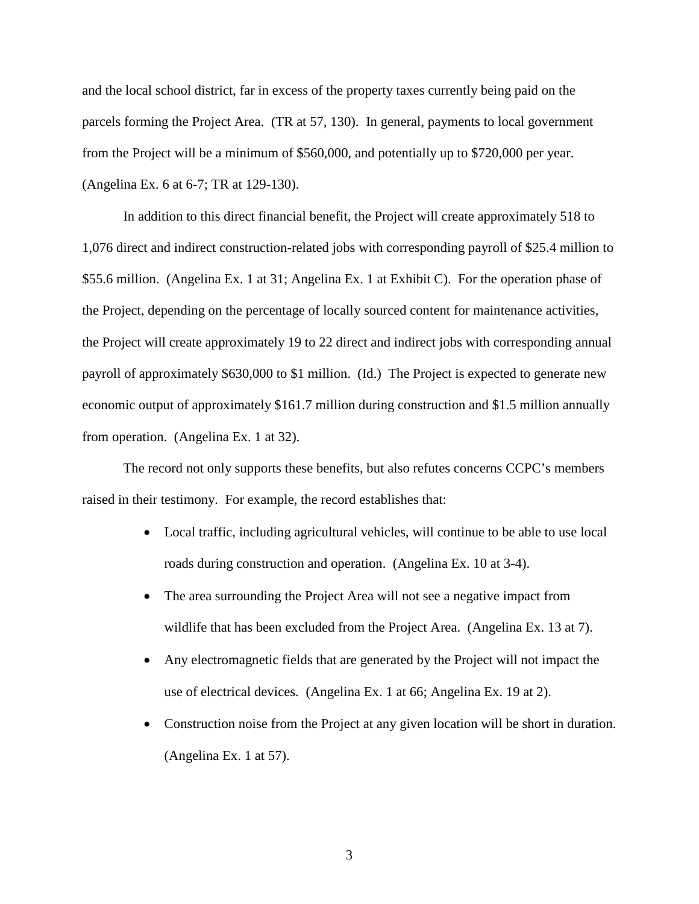and the local school district, far in excess of the property taxes currently being paid on the parcels forming the Project Area. (TR at 57, 130). In general, payments to local government from the Project will be a minimum of \$560,000, and potentially up to \$720,000 per year. (Angelina Ex. 6 at 6-7; TR at 129-130).

In addition to this direct financial benefit, the Project will create approximately 518 to 1,076 direct and indirect construction-related jobs with corresponding payroll of \$25.4 million to \$55.6 million. (Angelina Ex. 1 at 31; Angelina Ex. 1 at Exhibit C). For the operation phase of the Project, depending on the percentage of locally sourced content for maintenance activities, the Project will create approximately 19 to 22 direct and indirect jobs with corresponding annual payroll of approximately \$630,000 to \$1 million. (Id.) The Project is expected to generate new economic output of approximately \$161.7 million during construction and \$1.5 million annually from operation. (Angelina Ex. 1 at 32).

The record not only supports these benefits, but also refutes concerns CCPC's members raised in their testimony. For example, the record establishes that:

- Local traffic, including agricultural vehicles, will continue to be able to use local roads during construction and operation. (Angelina Ex. 10 at 3-4).
- The area surrounding the Project Area will not see a negative impact from wildlife that has been excluded from the Project Area. (Angelina Ex. 13 at 7).
- Any electromagnetic fields that are generated by the Project will not impact the use of electrical devices. (Angelina Ex. 1 at 66; Angelina Ex. 19 at 2).
- Construction noise from the Project at any given location will be short in duration. (Angelina Ex. 1 at 57).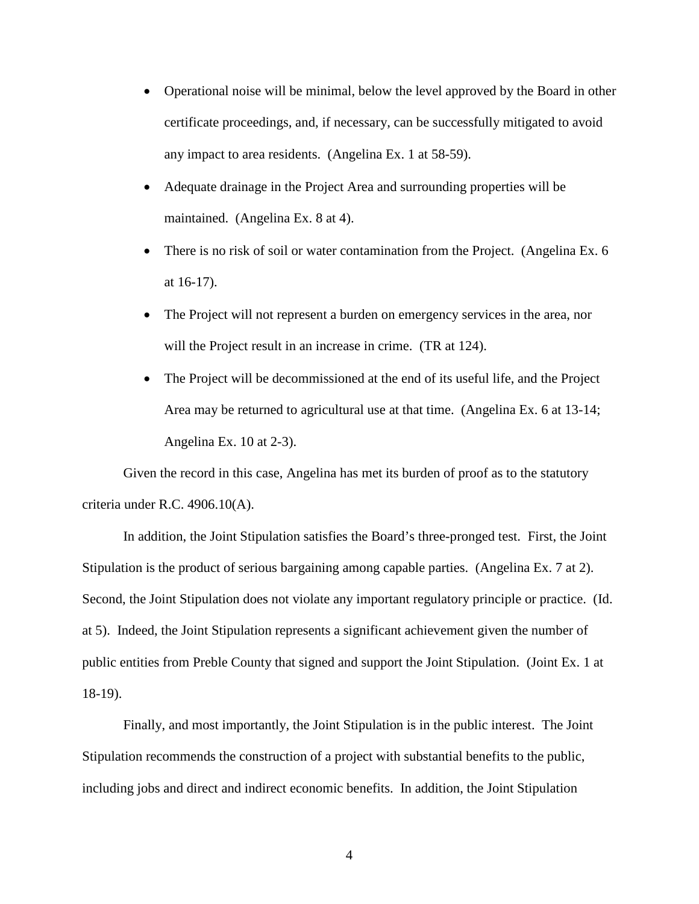- Operational noise will be minimal, below the level approved by the Board in other certificate proceedings, and, if necessary, can be successfully mitigated to avoid any impact to area residents. (Angelina Ex. 1 at 58-59).
- Adequate drainage in the Project Area and surrounding properties will be maintained. (Angelina Ex. 8 at 4).
- There is no risk of soil or water contamination from the Project. (Angelina Ex. 6 at 16-17).
- The Project will not represent a burden on emergency services in the area, nor will the Project result in an increase in crime. (TR at 124).
- The Project will be decommissioned at the end of its useful life, and the Project Area may be returned to agricultural use at that time. (Angelina Ex. 6 at 13-14; Angelina Ex. 10 at 2-3).

Given the record in this case, Angelina has met its burden of proof as to the statutory criteria under R.C. 4906.10(A).

In addition, the Joint Stipulation satisfies the Board's three-pronged test. First, the Joint Stipulation is the product of serious bargaining among capable parties. (Angelina Ex. 7 at 2). Second, the Joint Stipulation does not violate any important regulatory principle or practice. (Id. at 5). Indeed, the Joint Stipulation represents a significant achievement given the number of public entities from Preble County that signed and support the Joint Stipulation. (Joint Ex. 1 at 18-19).

Finally, and most importantly, the Joint Stipulation is in the public interest. The Joint Stipulation recommends the construction of a project with substantial benefits to the public, including jobs and direct and indirect economic benefits. In addition, the Joint Stipulation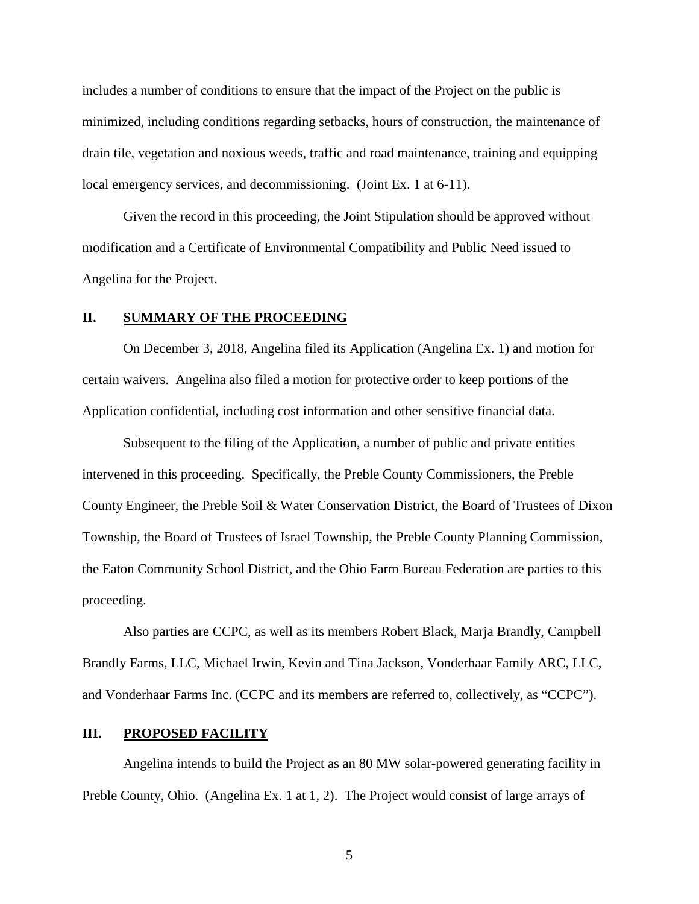includes a number of conditions to ensure that the impact of the Project on the public is minimized, including conditions regarding setbacks, hours of construction, the maintenance of drain tile, vegetation and noxious weeds, traffic and road maintenance, training and equipping local emergency services, and decommissioning. (Joint Ex. 1 at 6-11).

Given the record in this proceeding, the Joint Stipulation should be approved without modification and a Certificate of Environmental Compatibility and Public Need issued to Angelina for the Project.

#### **II. SUMMARY OF THE PROCEEDING**

On December 3, 2018, Angelina filed its Application (Angelina Ex. 1) and motion for certain waivers. Angelina also filed a motion for protective order to keep portions of the Application confidential, including cost information and other sensitive financial data.

Subsequent to the filing of the Application, a number of public and private entities intervened in this proceeding. Specifically, the Preble County Commissioners, the Preble County Engineer, the Preble Soil & Water Conservation District, the Board of Trustees of Dixon Township, the Board of Trustees of Israel Township, the Preble County Planning Commission, the Eaton Community School District, and the Ohio Farm Bureau Federation are parties to this proceeding.

Also parties are CCPC, as well as its members Robert Black, Marja Brandly, Campbell Brandly Farms, LLC, Michael Irwin, Kevin and Tina Jackson, Vonderhaar Family ARC, LLC, and Vonderhaar Farms Inc. (CCPC and its members are referred to, collectively, as "CCPC").

### **III. PROPOSED FACILITY**

Angelina intends to build the Project as an 80 MW solar-powered generating facility in Preble County, Ohio. (Angelina Ex. 1 at 1, 2). The Project would consist of large arrays of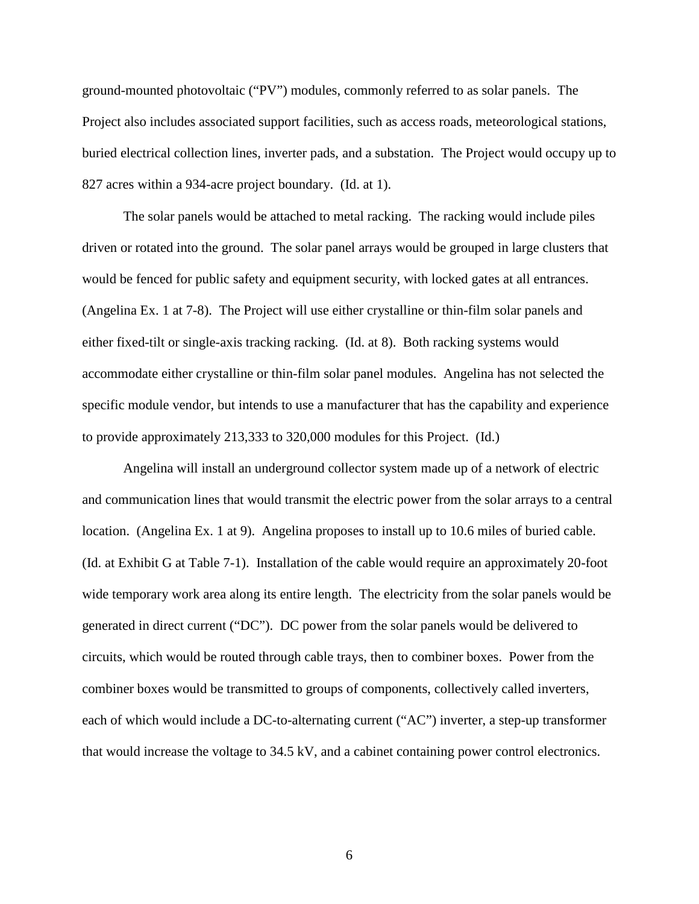ground-mounted photovoltaic ("PV") modules, commonly referred to as solar panels. The Project also includes associated support facilities, such as access roads, meteorological stations, buried electrical collection lines, inverter pads, and a substation. The Project would occupy up to 827 acres within a 934-acre project boundary. (Id. at 1).

The solar panels would be attached to metal racking. The racking would include piles driven or rotated into the ground. The solar panel arrays would be grouped in large clusters that would be fenced for public safety and equipment security, with locked gates at all entrances. (Angelina Ex. 1 at 7-8). The Project will use either crystalline or thin-film solar panels and either fixed-tilt or single-axis tracking racking. (Id. at 8). Both racking systems would accommodate either crystalline or thin-film solar panel modules. Angelina has not selected the specific module vendor, but intends to use a manufacturer that has the capability and experience to provide approximately 213,333 to 320,000 modules for this Project. (Id.)

Angelina will install an underground collector system made up of a network of electric and communication lines that would transmit the electric power from the solar arrays to a central location. (Angelina Ex. 1 at 9). Angelina proposes to install up to 10.6 miles of buried cable. (Id. at Exhibit G at Table 7-1). Installation of the cable would require an approximately 20-foot wide temporary work area along its entire length. The electricity from the solar panels would be generated in direct current ("DC"). DC power from the solar panels would be delivered to circuits, which would be routed through cable trays, then to combiner boxes. Power from the combiner boxes would be transmitted to groups of components, collectively called inverters, each of which would include a DC-to-alternating current ("AC") inverter, a step-up transformer that would increase the voltage to 34.5 kV, and a cabinet containing power control electronics.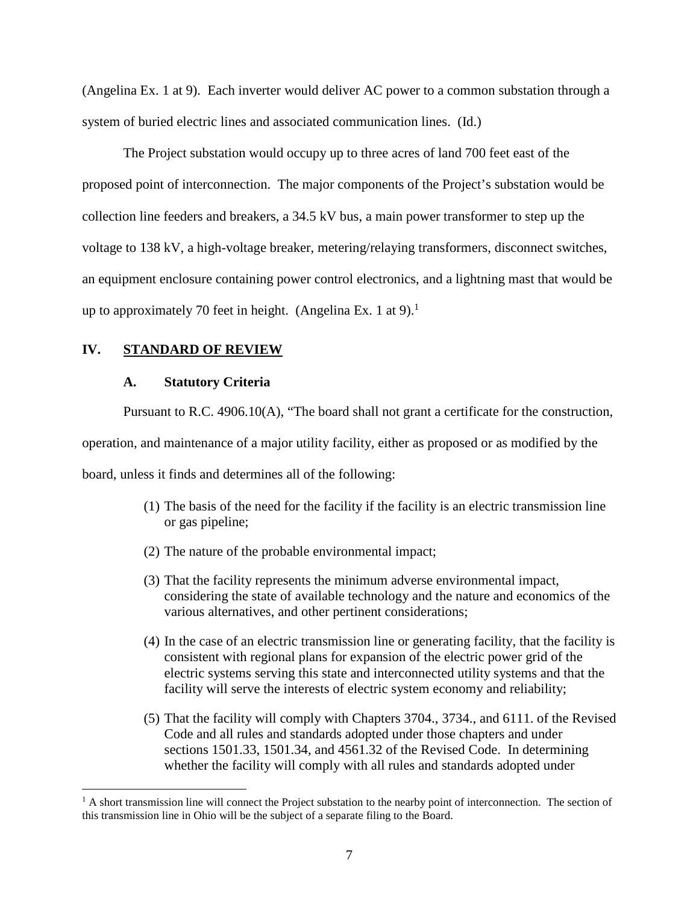(Angelina Ex. 1 at 9). Each inverter would deliver AC power to a common substation through a system of buried electric lines and associated communication lines. (Id.)

The Project substation would occupy up to three acres of land 700 feet east of the proposed point of interconnection. The major components of the Project's substation would be collection line feeders and breakers, a 34.5 kV bus, a main power transformer to step up the voltage to 138 kV, a high-voltage breaker, metering/relaying transformers, disconnect switches, an equipment enclosure containing power control electronics, and a lightning mast that would be up to approximately 70 feet in height. (Angelina Ex. 1 at 9).<sup>1</sup>

## **IV. STANDARD OF REVIEW**

### **A. Statutory Criteria**

Pursuant to R.C. 4906.10(A), "The board shall not grant a certificate for the construction,

operation, and maintenance of a major utility facility, either as proposed or as modified by the

board, unless it finds and determines all of the following:

- (1) The basis of the need for the facility if the facility is an electric transmission line or gas pipeline;
- (2) The nature of the probable environmental impact;
- (3) That the facility represents the minimum adverse environmental impact, considering the state of available technology and the nature and economics of the various alternatives, and other pertinent considerations;
- (4) In the case of an electric transmission line or generating facility, that the facility is consistent with regional plans for expansion of the electric power grid of the electric systems serving this state and interconnected utility systems and that the facility will serve the interests of electric system economy and reliability;
- (5) That the facility will comply with Chapters 3704., 3734., and 6111. of the Revised Code and all rules and standards adopted under those chapters and under sections 1501.33, 1501.34, and 4561.32 of the Revised Code. In determining whether the facility will comply with all rules and standards adopted under

<sup>&</sup>lt;sup>1</sup> A short transmission line will connect the Project substation to the nearby point of interconnection. The section of this transmission line in Ohio will be the subject of a separate filing to the Board.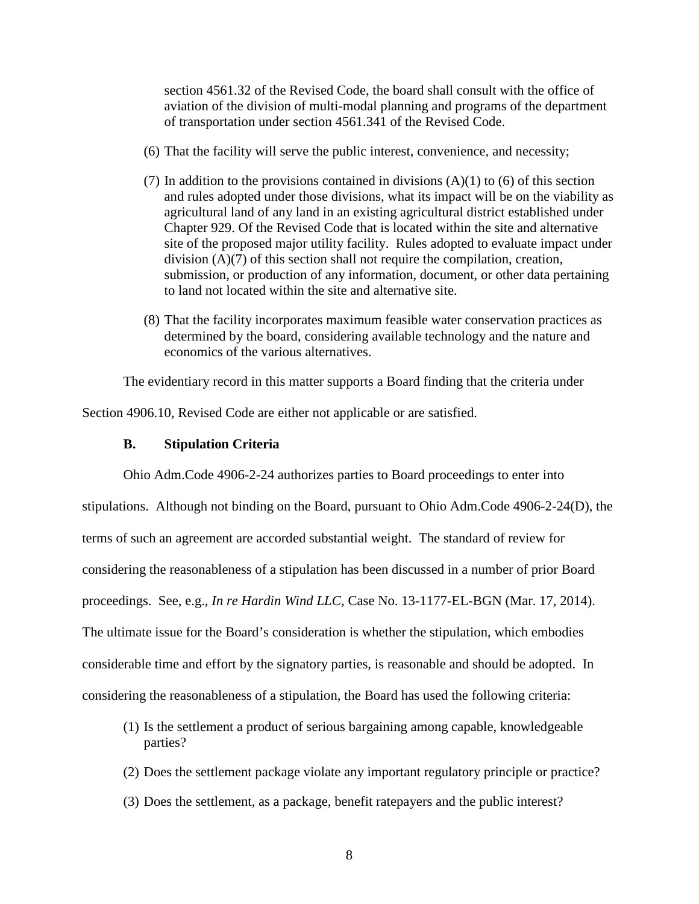section 4561.32 of the Revised Code, the board shall consult with the office of aviation of the division of multi-modal planning and programs of the department of transportation under section 4561.341 of the Revised Code.

- (6) That the facility will serve the public interest, convenience, and necessity;
- (7) In addition to the provisions contained in divisions  $(A)(1)$  to (6) of this section and rules adopted under those divisions, what its impact will be on the viability as agricultural land of any land in an existing agricultural district established under Chapter 929. Of the Revised Code that is located within the site and alternative site of the proposed major utility facility. Rules adopted to evaluate impact under division (A)(7) of this section shall not require the compilation, creation, submission, or production of any information, document, or other data pertaining to land not located within the site and alternative site.
- (8) That the facility incorporates maximum feasible water conservation practices as determined by the board, considering available technology and the nature and economics of the various alternatives.

The evidentiary record in this matter supports a Board finding that the criteria under

Section 4906.10, Revised Code are either not applicable or are satisfied.

### **B. Stipulation Criteria**

Ohio Adm.Code 4906-2-24 authorizes parties to Board proceedings to enter into

stipulations. Although not binding on the Board, pursuant to Ohio Adm.Code 4906-2-24(D), the terms of such an agreement are accorded substantial weight. The standard of review for considering the reasonableness of a stipulation has been discussed in a number of prior Board proceedings. See, e.g., *In re Hardin Wind LLC*, Case No. 13-1177-EL-BGN (Mar. 17, 2014). The ultimate issue for the Board's consideration is whether the stipulation, which embodies considerable time and effort by the signatory parties, is reasonable and should be adopted. In considering the reasonableness of a stipulation, the Board has used the following criteria:

- (1) Is the settlement a product of serious bargaining among capable, knowledgeable parties?
- (2) Does the settlement package violate any important regulatory principle or practice?
- (3) Does the settlement, as a package, benefit ratepayers and the public interest?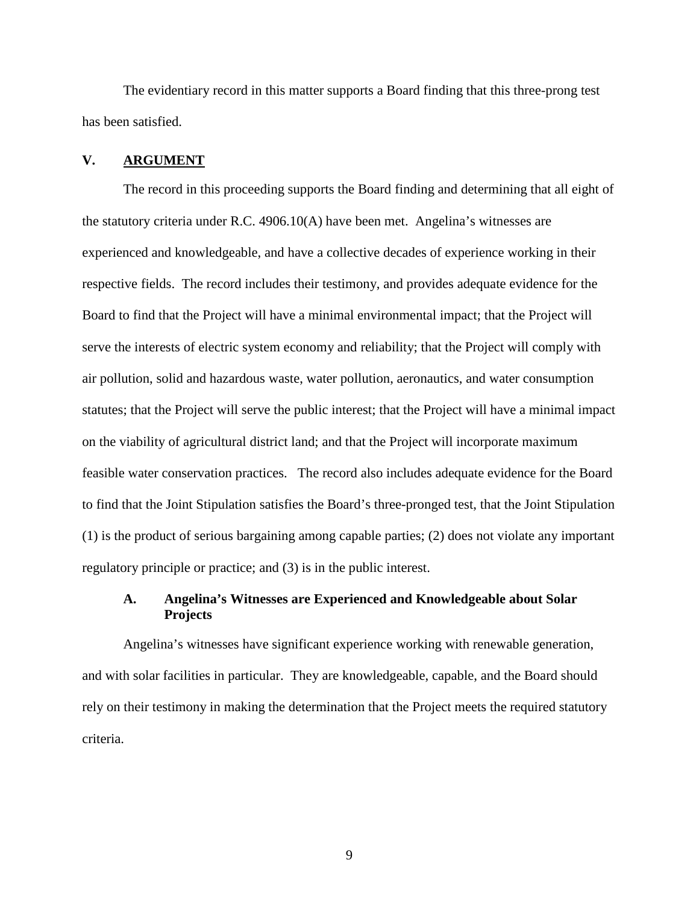The evidentiary record in this matter supports a Board finding that this three-prong test has been satisfied.

### **V. ARGUMENT**

The record in this proceeding supports the Board finding and determining that all eight of the statutory criteria under R.C. 4906.10(A) have been met. Angelina's witnesses are experienced and knowledgeable, and have a collective decades of experience working in their respective fields. The record includes their testimony, and provides adequate evidence for the Board to find that the Project will have a minimal environmental impact; that the Project will serve the interests of electric system economy and reliability; that the Project will comply with air pollution, solid and hazardous waste, water pollution, aeronautics, and water consumption statutes; that the Project will serve the public interest; that the Project will have a minimal impact on the viability of agricultural district land; and that the Project will incorporate maximum feasible water conservation practices. The record also includes adequate evidence for the Board to find that the Joint Stipulation satisfies the Board's three-pronged test, that the Joint Stipulation (1) is the product of serious bargaining among capable parties; (2) does not violate any important regulatory principle or practice; and (3) is in the public interest.

# **A. Angelina's Witnesses are Experienced and Knowledgeable about Solar Projects**

Angelina's witnesses have significant experience working with renewable generation, and with solar facilities in particular. They are knowledgeable, capable, and the Board should rely on their testimony in making the determination that the Project meets the required statutory criteria.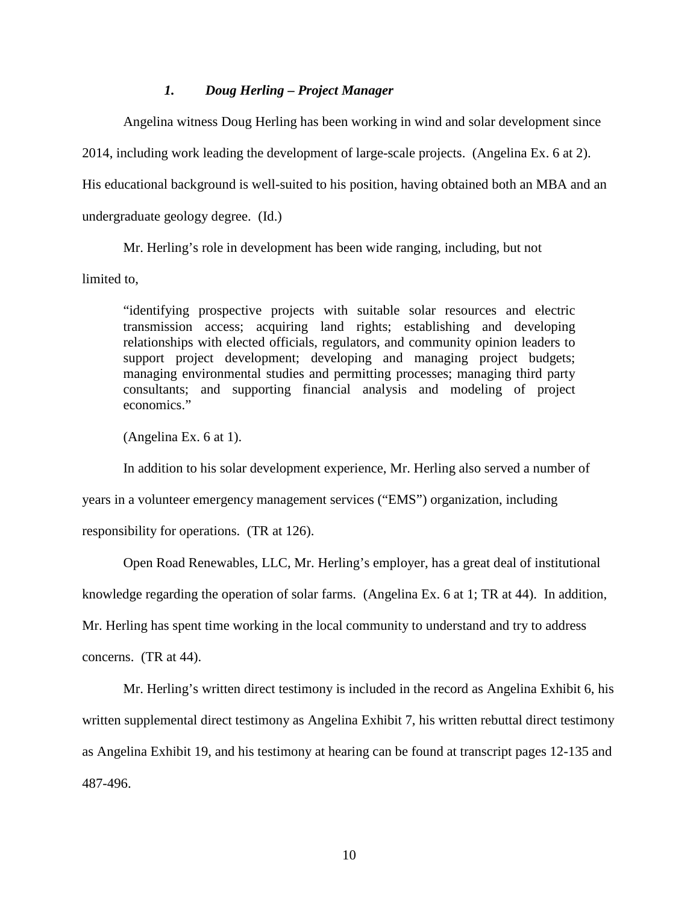### *1. Doug Herling – Project Manager*

Angelina witness Doug Herling has been working in wind and solar development since

2014, including work leading the development of large-scale projects. (Angelina Ex. 6 at 2).

His educational background is well-suited to his position, having obtained both an MBA and an

undergraduate geology degree. (Id.)

Mr. Herling's role in development has been wide ranging, including, but not

limited to,

"identifying prospective projects with suitable solar resources and electric transmission access; acquiring land rights; establishing and developing relationships with elected officials, regulators, and community opinion leaders to support project development; developing and managing project budgets; managing environmental studies and permitting processes; managing third party consultants; and supporting financial analysis and modeling of project economics."

(Angelina Ex. 6 at 1).

In addition to his solar development experience, Mr. Herling also served a number of

years in a volunteer emergency management services ("EMS") organization, including

responsibility for operations. (TR at 126).

Open Road Renewables, LLC, Mr. Herling's employer, has a great deal of institutional

knowledge regarding the operation of solar farms. (Angelina Ex. 6 at 1; TR at 44). In addition,

Mr. Herling has spent time working in the local community to understand and try to address

concerns. (TR at 44).

Mr. Herling's written direct testimony is included in the record as Angelina Exhibit 6, his written supplemental direct testimony as Angelina Exhibit 7, his written rebuttal direct testimony as Angelina Exhibit 19, and his testimony at hearing can be found at transcript pages 12-135 and 487-496.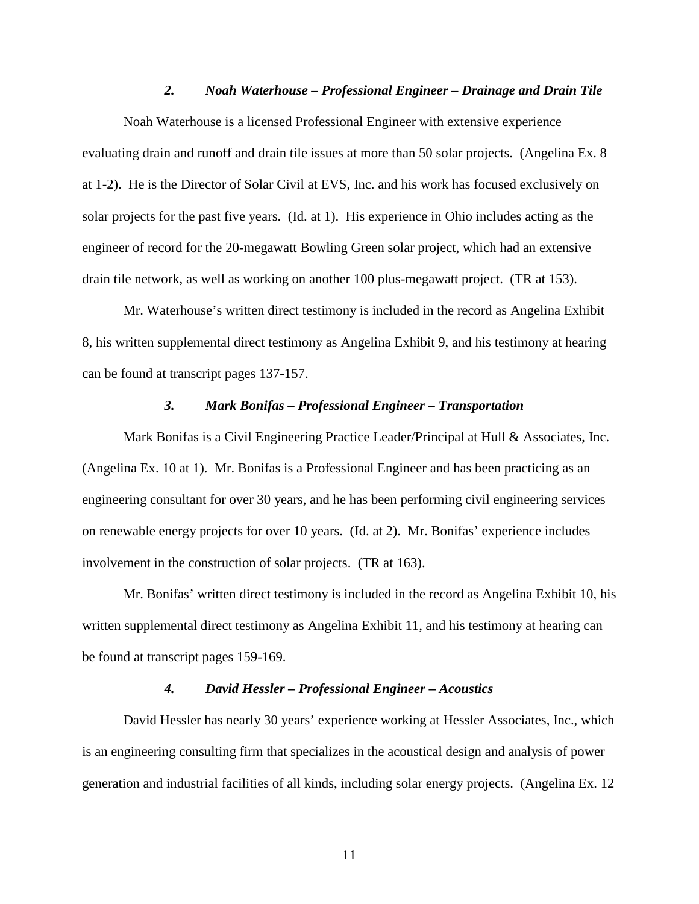### *2. Noah Waterhouse – Professional Engineer – Drainage and Drain Tile*

Noah Waterhouse is a licensed Professional Engineer with extensive experience evaluating drain and runoff and drain tile issues at more than 50 solar projects. (Angelina Ex. 8 at 1-2). He is the Director of Solar Civil at EVS, Inc. and his work has focused exclusively on solar projects for the past five years. (Id. at 1). His experience in Ohio includes acting as the engineer of record for the 20-megawatt Bowling Green solar project, which had an extensive drain tile network, as well as working on another 100 plus-megawatt project. (TR at 153).

Mr. Waterhouse's written direct testimony is included in the record as Angelina Exhibit 8, his written supplemental direct testimony as Angelina Exhibit 9, and his testimony at hearing can be found at transcript pages 137-157.

### *3. Mark Bonifas – Professional Engineer – Transportation*

Mark Bonifas is a Civil Engineering Practice Leader/Principal at Hull & Associates, Inc. (Angelina Ex. 10 at 1). Mr. Bonifas is a Professional Engineer and has been practicing as an engineering consultant for over 30 years, and he has been performing civil engineering services on renewable energy projects for over 10 years. (Id. at 2). Mr. Bonifas' experience includes involvement in the construction of solar projects. (TR at 163).

Mr. Bonifas' written direct testimony is included in the record as Angelina Exhibit 10, his written supplemental direct testimony as Angelina Exhibit 11, and his testimony at hearing can be found at transcript pages 159-169.

#### *4. David Hessler – Professional Engineer – Acoustics*

David Hessler has nearly 30 years' experience working at Hessler Associates, Inc., which is an engineering consulting firm that specializes in the acoustical design and analysis of power generation and industrial facilities of all kinds, including solar energy projects. (Angelina Ex. 12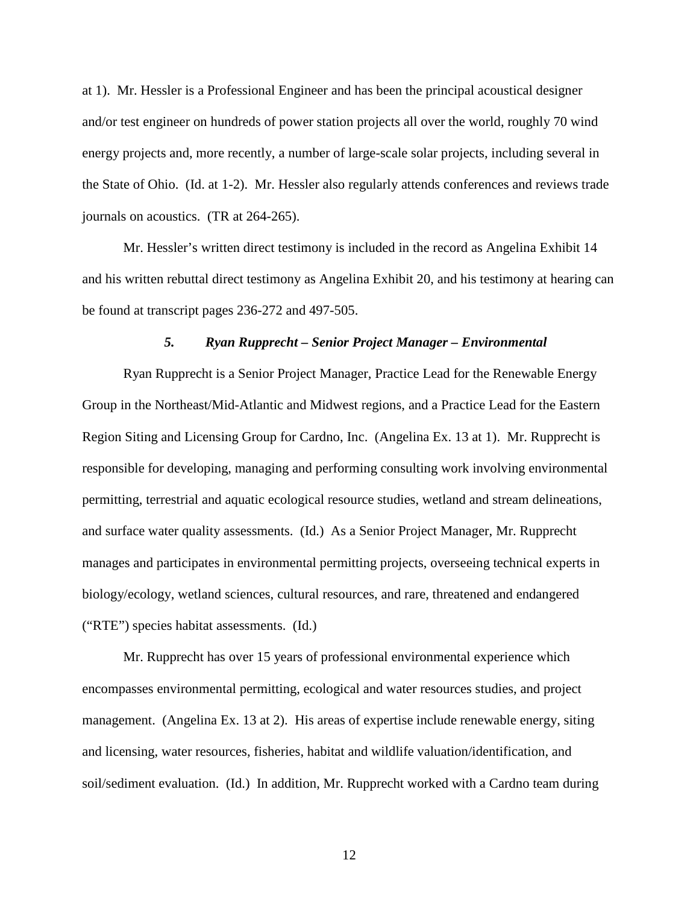at 1). Mr. Hessler is a Professional Engineer and has been the principal acoustical designer and/or test engineer on hundreds of power station projects all over the world, roughly 70 wind energy projects and, more recently, a number of large-scale solar projects, including several in the State of Ohio. (Id. at 1-2). Mr. Hessler also regularly attends conferences and reviews trade journals on acoustics. (TR at 264-265).

Mr. Hessler's written direct testimony is included in the record as Angelina Exhibit 14 and his written rebuttal direct testimony as Angelina Exhibit 20, and his testimony at hearing can be found at transcript pages 236-272 and 497-505.

#### *5. Ryan Rupprecht – Senior Project Manager – Environmental*

Ryan Rupprecht is a Senior Project Manager, Practice Lead for the Renewable Energy Group in the Northeast/Mid-Atlantic and Midwest regions, and a Practice Lead for the Eastern Region Siting and Licensing Group for Cardno, Inc. (Angelina Ex. 13 at 1). Mr. Rupprecht is responsible for developing, managing and performing consulting work involving environmental permitting, terrestrial and aquatic ecological resource studies, wetland and stream delineations, and surface water quality assessments. (Id.) As a Senior Project Manager, Mr. Rupprecht manages and participates in environmental permitting projects, overseeing technical experts in biology/ecology, wetland sciences, cultural resources, and rare, threatened and endangered ("RTE") species habitat assessments. (Id.)

Mr. Rupprecht has over 15 years of professional environmental experience which encompasses environmental permitting, ecological and water resources studies, and project management. (Angelina Ex. 13 at 2). His areas of expertise include renewable energy, siting and licensing, water resources, fisheries, habitat and wildlife valuation/identification, and soil/sediment evaluation. (Id.) In addition, Mr. Rupprecht worked with a Cardno team during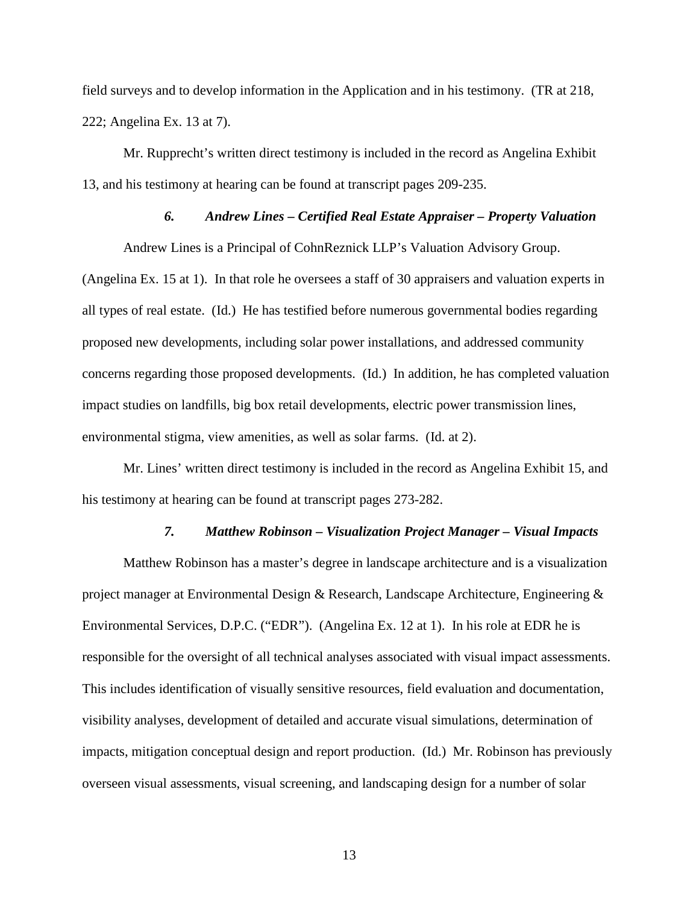field surveys and to develop information in the Application and in his testimony. (TR at 218, 222; Angelina Ex. 13 at 7).

Mr. Rupprecht's written direct testimony is included in the record as Angelina Exhibit 13, and his testimony at hearing can be found at transcript pages 209-235.

### *6. Andrew Lines – Certified Real Estate Appraiser – Property Valuation*

Andrew Lines is a Principal of CohnReznick LLP's Valuation Advisory Group.

(Angelina Ex. 15 at 1). In that role he oversees a staff of 30 appraisers and valuation experts in all types of real estate. (Id.) He has testified before numerous governmental bodies regarding proposed new developments, including solar power installations, and addressed community concerns regarding those proposed developments. (Id.) In addition, he has completed valuation impact studies on landfills, big box retail developments, electric power transmission lines, environmental stigma, view amenities, as well as solar farms. (Id. at 2).

Mr. Lines' written direct testimony is included in the record as Angelina Exhibit 15, and his testimony at hearing can be found at transcript pages 273-282.

#### *7. Matthew Robinson – Visualization Project Manager – Visual Impacts*

Matthew Robinson has a master's degree in landscape architecture and is a visualization project manager at Environmental Design & Research, Landscape Architecture, Engineering & Environmental Services, D.P.C. ("EDR"). (Angelina Ex. 12 at 1). In his role at EDR he is responsible for the oversight of all technical analyses associated with visual impact assessments. This includes identification of visually sensitive resources, field evaluation and documentation, visibility analyses, development of detailed and accurate visual simulations, determination of impacts, mitigation conceptual design and report production. (Id.) Mr. Robinson has previously overseen visual assessments, visual screening, and landscaping design for a number of solar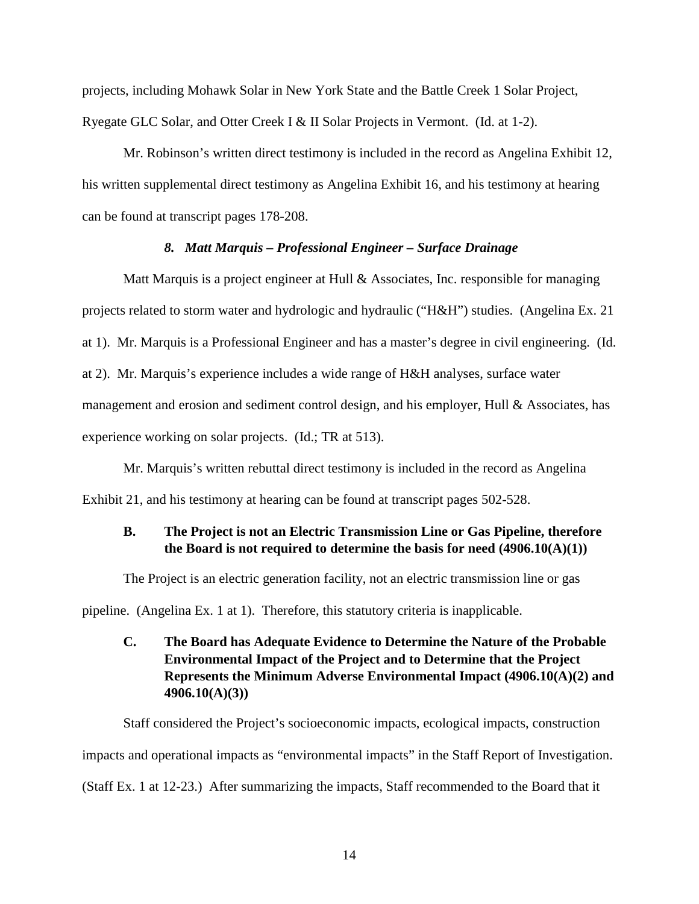projects, including Mohawk Solar in New York State and the Battle Creek 1 Solar Project, Ryegate GLC Solar, and Otter Creek I & II Solar Projects in Vermont. (Id. at 1-2).

Mr. Robinson's written direct testimony is included in the record as Angelina Exhibit 12, his written supplemental direct testimony as Angelina Exhibit 16, and his testimony at hearing can be found at transcript pages 178-208.

### *8. Matt Marquis – Professional Engineer – Surface Drainage*

Matt Marquis is a project engineer at Hull & Associates, Inc. responsible for managing projects related to storm water and hydrologic and hydraulic ("H&H") studies. (Angelina Ex. 21 at 1). Mr. Marquis is a Professional Engineer and has a master's degree in civil engineering. (Id. at 2). Mr. Marquis's experience includes a wide range of H&H analyses, surface water management and erosion and sediment control design, and his employer, Hull & Associates, has experience working on solar projects. (Id.; TR at 513).

Mr. Marquis's written rebuttal direct testimony is included in the record as Angelina Exhibit 21, and his testimony at hearing can be found at transcript pages 502-528.

# **B. The Project is not an Electric Transmission Line or Gas Pipeline, therefore the Board is not required to determine the basis for need (4906.10(A)(1))**

The Project is an electric generation facility, not an electric transmission line or gas

pipeline. (Angelina Ex. 1 at 1). Therefore, this statutory criteria is inapplicable.

# **C. The Board has Adequate Evidence to Determine the Nature of the Probable Environmental Impact of the Project and to Determine that the Project Represents the Minimum Adverse Environmental Impact (4906.10(A)(2) and 4906.10(A)(3))**

Staff considered the Project's socioeconomic impacts, ecological impacts, construction impacts and operational impacts as "environmental impacts" in the Staff Report of Investigation. (Staff Ex. 1 at 12-23.) After summarizing the impacts, Staff recommended to the Board that it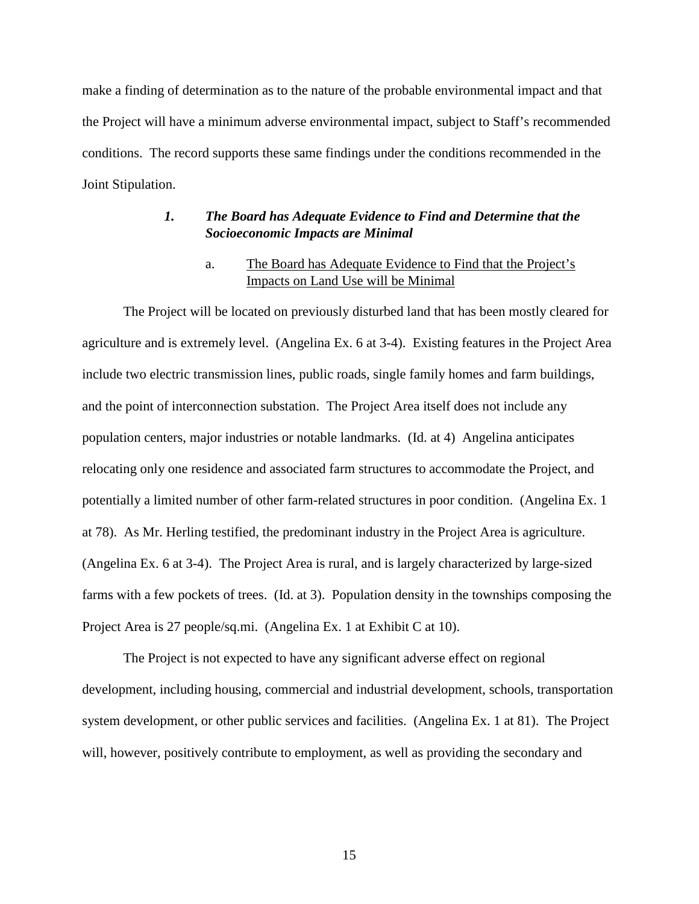make a finding of determination as to the nature of the probable environmental impact and that the Project will have a minimum adverse environmental impact, subject to Staff's recommended conditions. The record supports these same findings under the conditions recommended in the Joint Stipulation.

## *1. The Board has Adequate Evidence to Find and Determine that the Socioeconomic Impacts are Minimal*

# a. The Board has Adequate Evidence to Find that the Project's Impacts on Land Use will be Minimal

The Project will be located on previously disturbed land that has been mostly cleared for agriculture and is extremely level. (Angelina Ex. 6 at 3-4). Existing features in the Project Area include two electric transmission lines, public roads, single family homes and farm buildings, and the point of interconnection substation. The Project Area itself does not include any population centers, major industries or notable landmarks. (Id. at 4) Angelina anticipates relocating only one residence and associated farm structures to accommodate the Project, and potentially a limited number of other farm-related structures in poor condition. (Angelina Ex. 1 at 78). As Mr. Herling testified, the predominant industry in the Project Area is agriculture. (Angelina Ex. 6 at 3-4). The Project Area is rural, and is largely characterized by large-sized farms with a few pockets of trees. (Id. at 3). Population density in the townships composing the Project Area is 27 people/sq.mi. (Angelina Ex. 1 at Exhibit C at 10).

The Project is not expected to have any significant adverse effect on regional development, including housing, commercial and industrial development, schools, transportation system development, or other public services and facilities. (Angelina Ex. 1 at 81). The Project will, however, positively contribute to employment, as well as providing the secondary and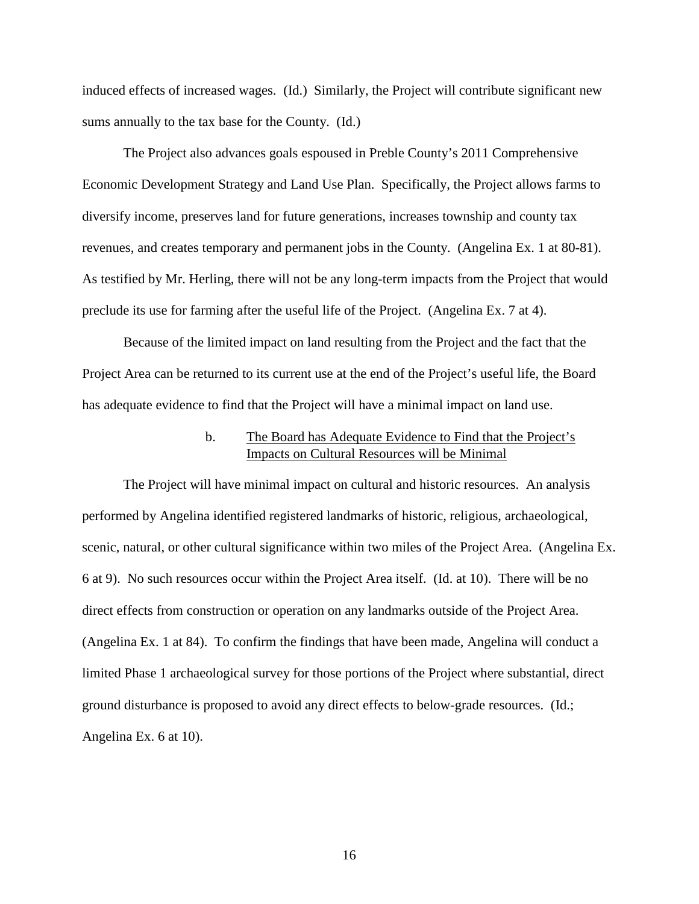induced effects of increased wages. (Id.) Similarly, the Project will contribute significant new sums annually to the tax base for the County. (Id.)

The Project also advances goals espoused in Preble County's 2011 Comprehensive Economic Development Strategy and Land Use Plan. Specifically, the Project allows farms to diversify income, preserves land for future generations, increases township and county tax revenues, and creates temporary and permanent jobs in the County. (Angelina Ex. 1 at 80-81). As testified by Mr. Herling, there will not be any long-term impacts from the Project that would preclude its use for farming after the useful life of the Project. (Angelina Ex. 7 at 4).

Because of the limited impact on land resulting from the Project and the fact that the Project Area can be returned to its current use at the end of the Project's useful life, the Board has adequate evidence to find that the Project will have a minimal impact on land use.

# b. The Board has Adequate Evidence to Find that the Project's Impacts on Cultural Resources will be Minimal

The Project will have minimal impact on cultural and historic resources. An analysis performed by Angelina identified registered landmarks of historic, religious, archaeological, scenic, natural, or other cultural significance within two miles of the Project Area. (Angelina Ex. 6 at 9). No such resources occur within the Project Area itself. (Id. at 10). There will be no direct effects from construction or operation on any landmarks outside of the Project Area. (Angelina Ex. 1 at 84). To confirm the findings that have been made, Angelina will conduct a limited Phase 1 archaeological survey for those portions of the Project where substantial, direct ground disturbance is proposed to avoid any direct effects to below-grade resources. (Id.; Angelina Ex. 6 at 10).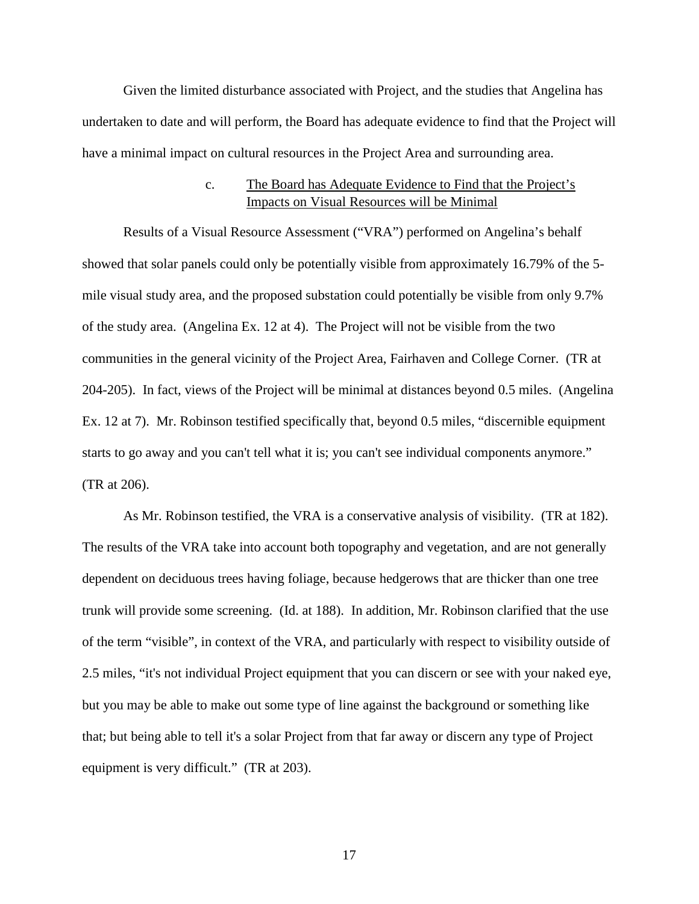Given the limited disturbance associated with Project, and the studies that Angelina has undertaken to date and will perform, the Board has adequate evidence to find that the Project will have a minimal impact on cultural resources in the Project Area and surrounding area.

## c. The Board has Adequate Evidence to Find that the Project's Impacts on Visual Resources will be Minimal

Results of a Visual Resource Assessment ("VRA") performed on Angelina's behalf showed that solar panels could only be potentially visible from approximately 16.79% of the 5 mile visual study area, and the proposed substation could potentially be visible from only 9.7% of the study area. (Angelina Ex. 12 at 4). The Project will not be visible from the two communities in the general vicinity of the Project Area, Fairhaven and College Corner. (TR at 204-205). In fact, views of the Project will be minimal at distances beyond 0.5 miles. (Angelina Ex. 12 at 7). Mr. Robinson testified specifically that, beyond 0.5 miles, "discernible equipment starts to go away and you can't tell what it is; you can't see individual components anymore." (TR at 206).

As Mr. Robinson testified, the VRA is a conservative analysis of visibility. (TR at 182). The results of the VRA take into account both topography and vegetation, and are not generally dependent on deciduous trees having foliage, because hedgerows that are thicker than one tree trunk will provide some screening. (Id. at 188). In addition, Mr. Robinson clarified that the use of the term "visible", in context of the VRA, and particularly with respect to visibility outside of 2.5 miles, "it's not individual Project equipment that you can discern or see with your naked eye, but you may be able to make out some type of line against the background or something like that; but being able to tell it's a solar Project from that far away or discern any type of Project equipment is very difficult." (TR at 203).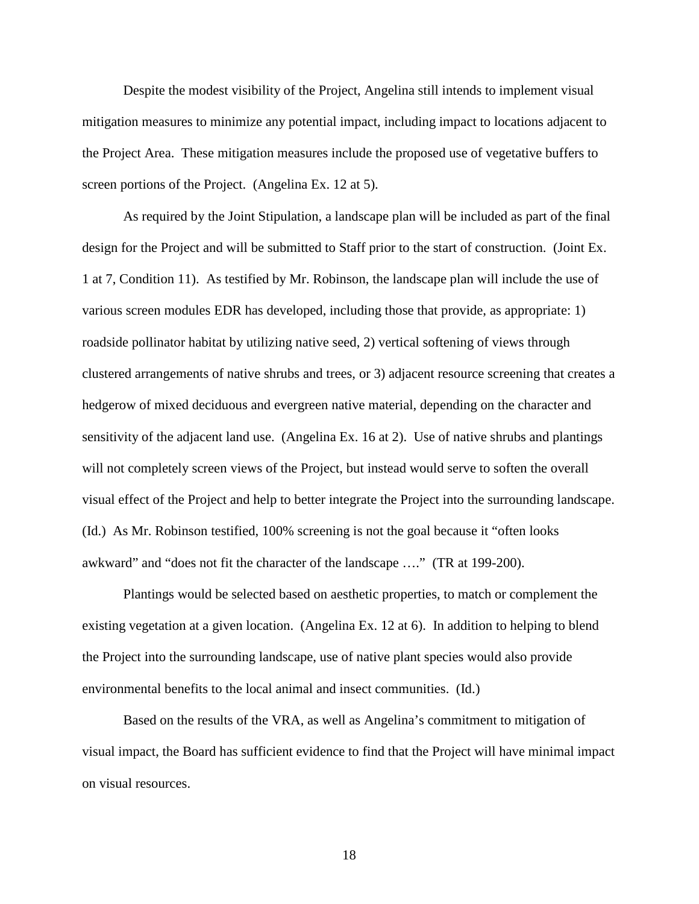Despite the modest visibility of the Project, Angelina still intends to implement visual mitigation measures to minimize any potential impact, including impact to locations adjacent to the Project Area. These mitigation measures include the proposed use of vegetative buffers to screen portions of the Project. (Angelina Ex. 12 at 5).

As required by the Joint Stipulation, a landscape plan will be included as part of the final design for the Project and will be submitted to Staff prior to the start of construction. (Joint Ex. 1 at 7, Condition 11). As testified by Mr. Robinson, the landscape plan will include the use of various screen modules EDR has developed, including those that provide, as appropriate: 1) roadside pollinator habitat by utilizing native seed, 2) vertical softening of views through clustered arrangements of native shrubs and trees, or 3) adjacent resource screening that creates a hedgerow of mixed deciduous and evergreen native material, depending on the character and sensitivity of the adjacent land use. (Angelina Ex. 16 at 2). Use of native shrubs and plantings will not completely screen views of the Project, but instead would serve to soften the overall visual effect of the Project and help to better integrate the Project into the surrounding landscape. (Id.) As Mr. Robinson testified, 100% screening is not the goal because it "often looks awkward" and "does not fit the character of the landscape …." (TR at 199-200).

Plantings would be selected based on aesthetic properties, to match or complement the existing vegetation at a given location. (Angelina Ex. 12 at 6). In addition to helping to blend the Project into the surrounding landscape, use of native plant species would also provide environmental benefits to the local animal and insect communities. (Id.)

Based on the results of the VRA, as well as Angelina's commitment to mitigation of visual impact, the Board has sufficient evidence to find that the Project will have minimal impact on visual resources.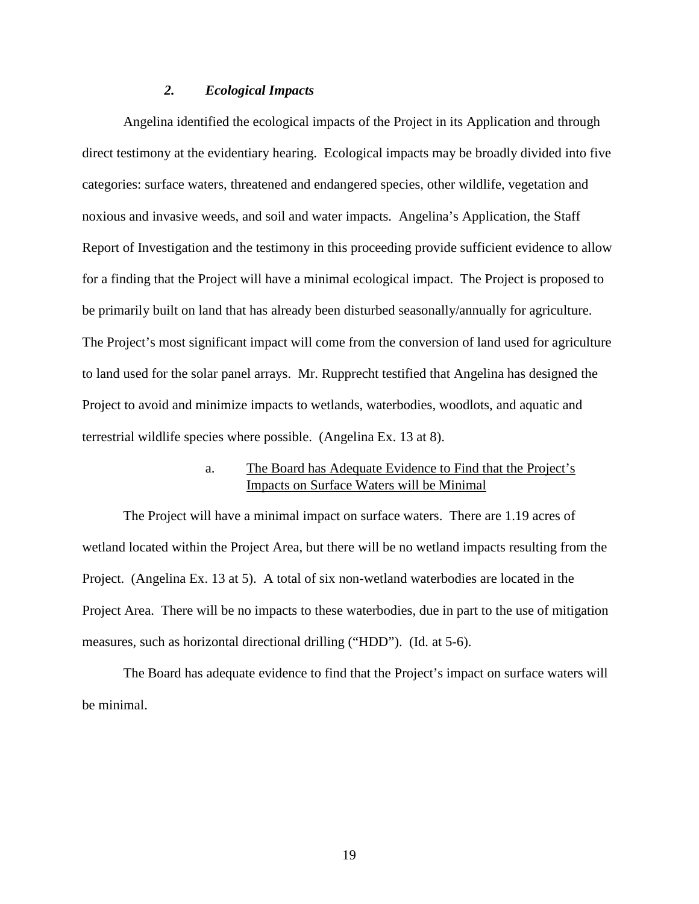### *2. Ecological Impacts*

Angelina identified the ecological impacts of the Project in its Application and through direct testimony at the evidentiary hearing. Ecological impacts may be broadly divided into five categories: surface waters, threatened and endangered species, other wildlife, vegetation and noxious and invasive weeds, and soil and water impacts. Angelina's Application, the Staff Report of Investigation and the testimony in this proceeding provide sufficient evidence to allow for a finding that the Project will have a minimal ecological impact. The Project is proposed to be primarily built on land that has already been disturbed seasonally/annually for agriculture. The Project's most significant impact will come from the conversion of land used for agriculture to land used for the solar panel arrays. Mr. Rupprecht testified that Angelina has designed the Project to avoid and minimize impacts to wetlands, waterbodies, woodlots, and aquatic and terrestrial wildlife species where possible. (Angelina Ex. 13 at 8).

## a. The Board has Adequate Evidence to Find that the Project's Impacts on Surface Waters will be Minimal

The Project will have a minimal impact on surface waters. There are 1.19 acres of wetland located within the Project Area, but there will be no wetland impacts resulting from the Project. (Angelina Ex. 13 at 5). A total of six non-wetland waterbodies are located in the Project Area. There will be no impacts to these waterbodies, due in part to the use of mitigation measures, such as horizontal directional drilling ("HDD"). (Id. at 5-6).

The Board has adequate evidence to find that the Project's impact on surface waters will be minimal.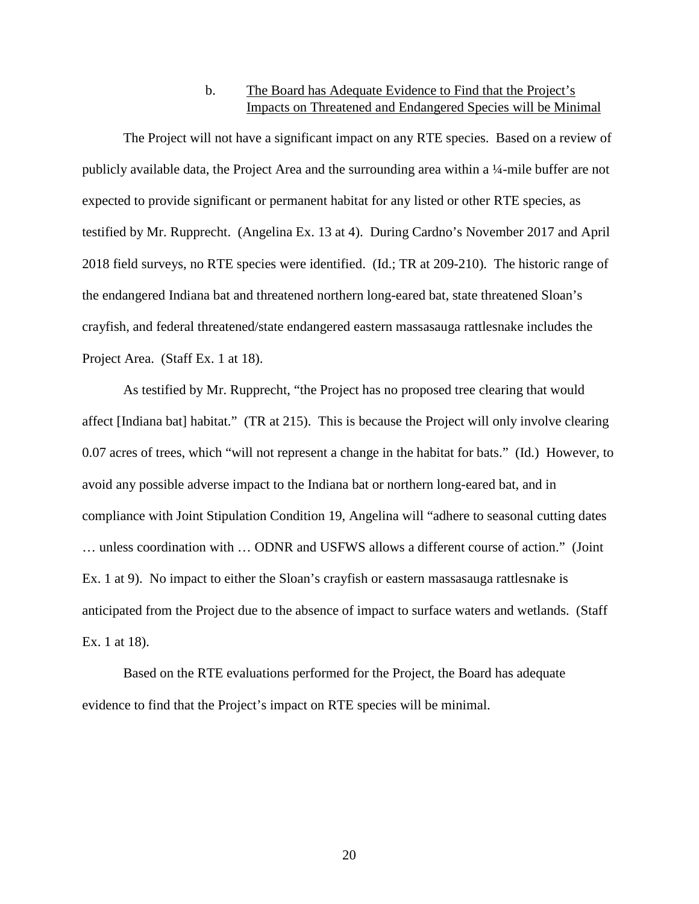# b. The Board has Adequate Evidence to Find that the Project's Impacts on Threatened and Endangered Species will be Minimal

The Project will not have a significant impact on any RTE species. Based on a review of publicly available data, the Project Area and the surrounding area within a ¼-mile buffer are not expected to provide significant or permanent habitat for any listed or other RTE species, as testified by Mr. Rupprecht. (Angelina Ex. 13 at 4). During Cardno's November 2017 and April 2018 field surveys, no RTE species were identified. (Id.; TR at 209-210). The historic range of the endangered Indiana bat and threatened northern long-eared bat, state threatened Sloan's crayfish, and federal threatened/state endangered eastern massasauga rattlesnake includes the Project Area. (Staff Ex. 1 at 18).

As testified by Mr. Rupprecht, "the Project has no proposed tree clearing that would affect [Indiana bat] habitat." (TR at 215). This is because the Project will only involve clearing 0.07 acres of trees, which "will not represent a change in the habitat for bats." (Id.) However, to avoid any possible adverse impact to the Indiana bat or northern long-eared bat, and in compliance with Joint Stipulation Condition 19, Angelina will "adhere to seasonal cutting dates … unless coordination with … ODNR and USFWS allows a different course of action." (Joint Ex. 1 at 9). No impact to either the Sloan's crayfish or eastern massasauga rattlesnake is anticipated from the Project due to the absence of impact to surface waters and wetlands. (Staff Ex. 1 at 18).

Based on the RTE evaluations performed for the Project, the Board has adequate evidence to find that the Project's impact on RTE species will be minimal.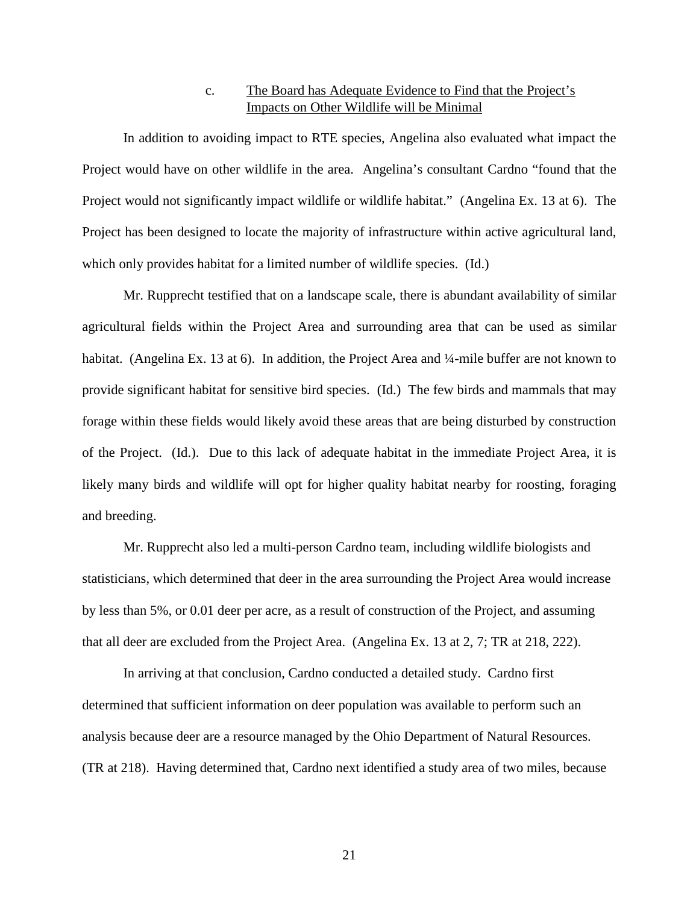# c. The Board has Adequate Evidence to Find that the Project's Impacts on Other Wildlife will be Minimal

In addition to avoiding impact to RTE species, Angelina also evaluated what impact the Project would have on other wildlife in the area. Angelina's consultant Cardno "found that the Project would not significantly impact wildlife or wildlife habitat." (Angelina Ex. 13 at 6). The Project has been designed to locate the majority of infrastructure within active agricultural land, which only provides habitat for a limited number of wildlife species. (Id.)

Mr. Rupprecht testified that on a landscape scale, there is abundant availability of similar agricultural fields within the Project Area and surrounding area that can be used as similar habitat. (Angelina Ex. 13 at 6). In addition, the Project Area and ¼-mile buffer are not known to provide significant habitat for sensitive bird species. (Id.) The few birds and mammals that may forage within these fields would likely avoid these areas that are being disturbed by construction of the Project. (Id.). Due to this lack of adequate habitat in the immediate Project Area, it is likely many birds and wildlife will opt for higher quality habitat nearby for roosting, foraging and breeding.

Mr. Rupprecht also led a multi-person Cardno team, including wildlife biologists and statisticians, which determined that deer in the area surrounding the Project Area would increase by less than 5%, or 0.01 deer per acre, as a result of construction of the Project, and assuming that all deer are excluded from the Project Area. (Angelina Ex. 13 at 2, 7; TR at 218, 222).

In arriving at that conclusion, Cardno conducted a detailed study. Cardno first determined that sufficient information on deer population was available to perform such an analysis because deer are a resource managed by the Ohio Department of Natural Resources. (TR at 218). Having determined that, Cardno next identified a study area of two miles, because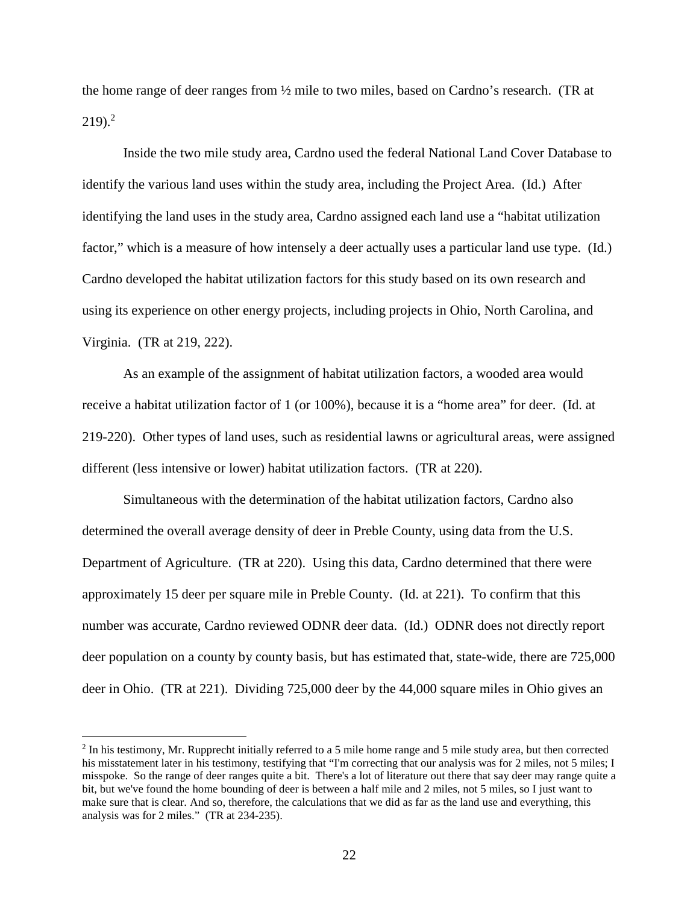the home range of deer ranges from ½ mile to two miles, based on Cardno's research. (TR at  $219$ <sup>2</sup>

Inside the two mile study area, Cardno used the federal National Land Cover Database to identify the various land uses within the study area, including the Project Area. (Id.) After identifying the land uses in the study area, Cardno assigned each land use a "habitat utilization factor," which is a measure of how intensely a deer actually uses a particular land use type. (Id.) Cardno developed the habitat utilization factors for this study based on its own research and using its experience on other energy projects, including projects in Ohio, North Carolina, and Virginia. (TR at 219, 222).

As an example of the assignment of habitat utilization factors, a wooded area would receive a habitat utilization factor of 1 (or 100%), because it is a "home area" for deer. (Id. at 219-220). Other types of land uses, such as residential lawns or agricultural areas, were assigned different (less intensive or lower) habitat utilization factors. (TR at 220).

Simultaneous with the determination of the habitat utilization factors, Cardno also determined the overall average density of deer in Preble County, using data from the U.S. Department of Agriculture. (TR at 220). Using this data, Cardno determined that there were approximately 15 deer per square mile in Preble County. (Id. at 221). To confirm that this number was accurate, Cardno reviewed ODNR deer data. (Id.) ODNR does not directly report deer population on a county by county basis, but has estimated that, state-wide, there are 725,000 deer in Ohio. (TR at 221). Dividing 725,000 deer by the 44,000 square miles in Ohio gives an

 $<sup>2</sup>$  In his testimony, Mr. Rupprecht initially referred to a 5 mile home range and 5 mile study area, but then corrected</sup> his misstatement later in his testimony, testifying that "I'm correcting that our analysis was for 2 miles, not 5 miles; I misspoke. So the range of deer ranges quite a bit. There's a lot of literature out there that say deer may range quite a bit, but we've found the home bounding of deer is between a half mile and 2 miles, not 5 miles, so I just want to make sure that is clear. And so, therefore, the calculations that we did as far as the land use and everything, this analysis was for 2 miles." (TR at 234-235).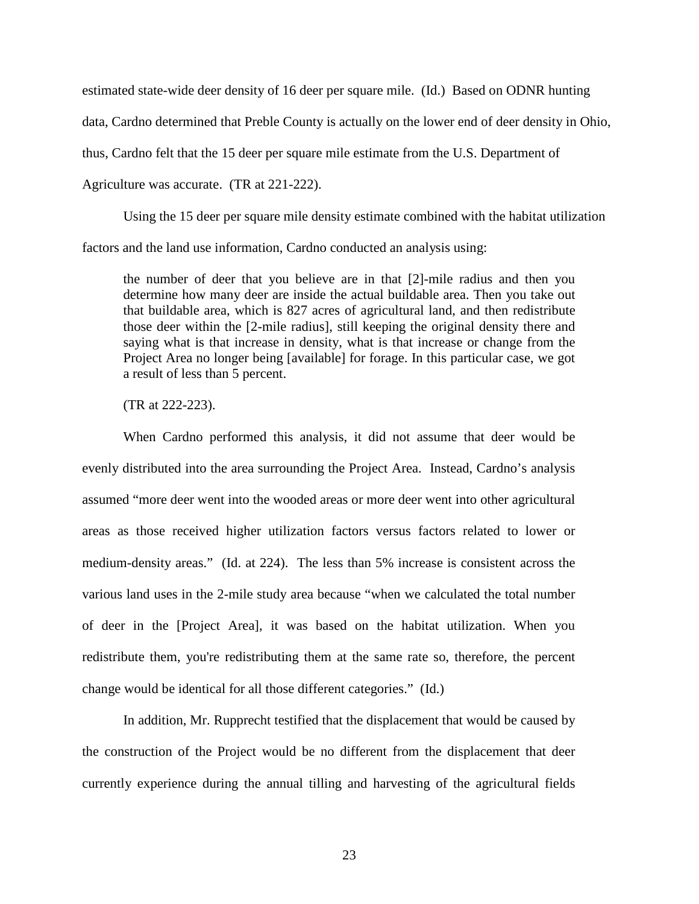estimated state-wide deer density of 16 deer per square mile. (Id.) Based on ODNR hunting data, Cardno determined that Preble County is actually on the lower end of deer density in Ohio, thus, Cardno felt that the 15 deer per square mile estimate from the U.S. Department of Agriculture was accurate. (TR at 221-222).

Using the 15 deer per square mile density estimate combined with the habitat utilization factors and the land use information, Cardno conducted an analysis using:

the number of deer that you believe are in that [2]-mile radius and then you determine how many deer are inside the actual buildable area. Then you take out that buildable area, which is 827 acres of agricultural land, and then redistribute those deer within the [2-mile radius], still keeping the original density there and saying what is that increase in density, what is that increase or change from the Project Area no longer being [available] for forage. In this particular case, we got a result of less than 5 percent.

(TR at 222-223).

When Cardno performed this analysis, it did not assume that deer would be evenly distributed into the area surrounding the Project Area. Instead, Cardno's analysis assumed "more deer went into the wooded areas or more deer went into other agricultural areas as those received higher utilization factors versus factors related to lower or medium-density areas." (Id. at 224). The less than 5% increase is consistent across the various land uses in the 2-mile study area because "when we calculated the total number of deer in the [Project Area], it was based on the habitat utilization. When you redistribute them, you're redistributing them at the same rate so, therefore, the percent change would be identical for all those different categories." (Id.)

In addition, Mr. Rupprecht testified that the displacement that would be caused by the construction of the Project would be no different from the displacement that deer currently experience during the annual tilling and harvesting of the agricultural fields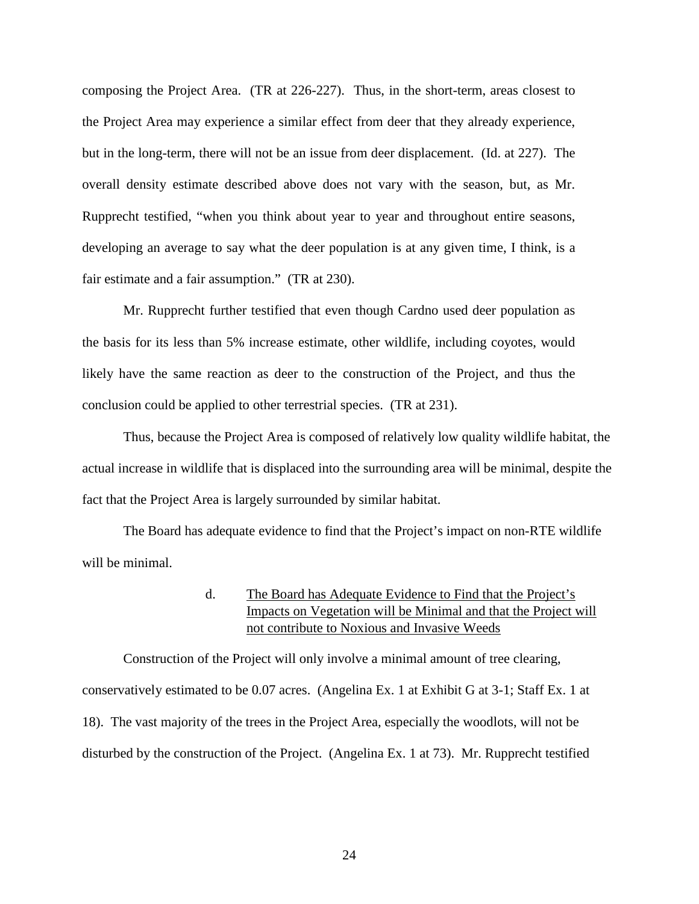composing the Project Area. (TR at 226-227). Thus, in the short-term, areas closest to the Project Area may experience a similar effect from deer that they already experience, but in the long-term, there will not be an issue from deer displacement. (Id. at 227). The overall density estimate described above does not vary with the season, but, as Mr. Rupprecht testified, "when you think about year to year and throughout entire seasons, developing an average to say what the deer population is at any given time, I think, is a fair estimate and a fair assumption." (TR at 230).

Mr. Rupprecht further testified that even though Cardno used deer population as the basis for its less than 5% increase estimate, other wildlife, including coyotes, would likely have the same reaction as deer to the construction of the Project, and thus the conclusion could be applied to other terrestrial species. (TR at 231).

Thus, because the Project Area is composed of relatively low quality wildlife habitat, the actual increase in wildlife that is displaced into the surrounding area will be minimal, despite the fact that the Project Area is largely surrounded by similar habitat.

The Board has adequate evidence to find that the Project's impact on non-RTE wildlife will be minimal.

# d. The Board has Adequate Evidence to Find that the Project's Impacts on Vegetation will be Minimal and that the Project will not contribute to Noxious and Invasive Weeds

Construction of the Project will only involve a minimal amount of tree clearing, conservatively estimated to be 0.07 acres. (Angelina Ex. 1 at Exhibit G at 3-1; Staff Ex. 1 at 18). The vast majority of the trees in the Project Area, especially the woodlots, will not be disturbed by the construction of the Project. (Angelina Ex. 1 at 73). Mr. Rupprecht testified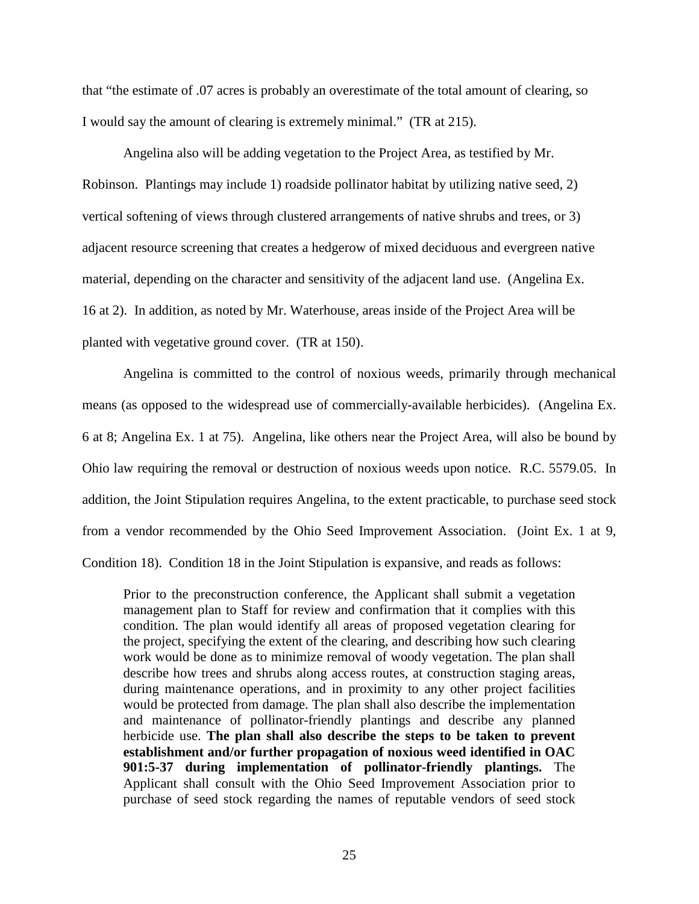that "the estimate of .07 acres is probably an overestimate of the total amount of clearing, so I would say the amount of clearing is extremely minimal." (TR at 215).

Angelina also will be adding vegetation to the Project Area, as testified by Mr. Robinson. Plantings may include 1) roadside pollinator habitat by utilizing native seed, 2) vertical softening of views through clustered arrangements of native shrubs and trees, or 3) adjacent resource screening that creates a hedgerow of mixed deciduous and evergreen native material, depending on the character and sensitivity of the adjacent land use. (Angelina Ex. 16 at 2). In addition, as noted by Mr. Waterhouse, areas inside of the Project Area will be planted with vegetative ground cover. (TR at 150).

Angelina is committed to the control of noxious weeds, primarily through mechanical means (as opposed to the widespread use of commercially-available herbicides). (Angelina Ex. 6 at 8; Angelina Ex. 1 at 75). Angelina, like others near the Project Area, will also be bound by Ohio law requiring the removal or destruction of noxious weeds upon notice. R.C. 5579.05. In addition, the Joint Stipulation requires Angelina, to the extent practicable, to purchase seed stock from a vendor recommended by the Ohio Seed Improvement Association. (Joint Ex. 1 at 9, Condition 18). Condition 18 in the Joint Stipulation is expansive, and reads as follows:

Prior to the preconstruction conference, the Applicant shall submit a vegetation management plan to Staff for review and confirmation that it complies with this condition. The plan would identify all areas of proposed vegetation clearing for the project, specifying the extent of the clearing, and describing how such clearing work would be done as to minimize removal of woody vegetation. The plan shall describe how trees and shrubs along access routes, at construction staging areas, during maintenance operations, and in proximity to any other project facilities would be protected from damage. The plan shall also describe the implementation and maintenance of pollinator-friendly plantings and describe any planned herbicide use. **The plan shall also describe the steps to be taken to prevent establishment and/or further propagation of noxious weed identified in OAC 901:5-37 during implementation of pollinator-friendly plantings.** The Applicant shall consult with the Ohio Seed Improvement Association prior to purchase of seed stock regarding the names of reputable vendors of seed stock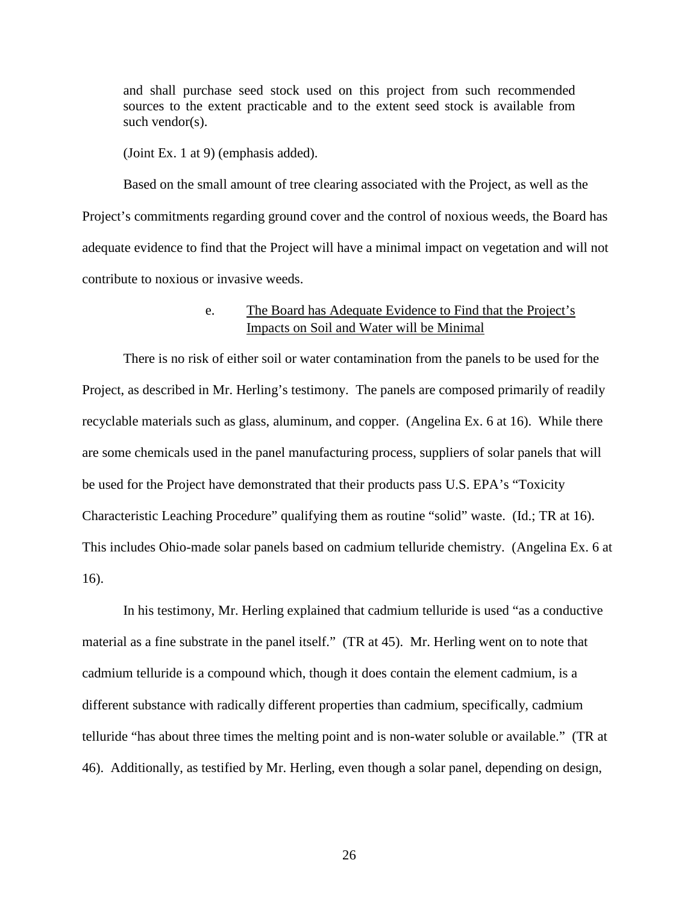and shall purchase seed stock used on this project from such recommended sources to the extent practicable and to the extent seed stock is available from such vendor(s).

(Joint Ex. 1 at 9) (emphasis added).

Based on the small amount of tree clearing associated with the Project, as well as the Project's commitments regarding ground cover and the control of noxious weeds, the Board has adequate evidence to find that the Project will have a minimal impact on vegetation and will not contribute to noxious or invasive weeds.

## e. The Board has Adequate Evidence to Find that the Project's Impacts on Soil and Water will be Minimal

There is no risk of either soil or water contamination from the panels to be used for the Project, as described in Mr. Herling's testimony. The panels are composed primarily of readily recyclable materials such as glass, aluminum, and copper. (Angelina Ex. 6 at 16). While there are some chemicals used in the panel manufacturing process, suppliers of solar panels that will be used for the Project have demonstrated that their products pass U.S. EPA's "Toxicity Characteristic Leaching Procedure" qualifying them as routine "solid" waste. (Id.; TR at 16). This includes Ohio-made solar panels based on cadmium telluride chemistry. (Angelina Ex. 6 at 16).

In his testimony, Mr. Herling explained that cadmium telluride is used "as a conductive material as a fine substrate in the panel itself." (TR at 45). Mr. Herling went on to note that cadmium telluride is a compound which, though it does contain the element cadmium, is a different substance with radically different properties than cadmium, specifically, cadmium telluride "has about three times the melting point and is non-water soluble or available." (TR at 46). Additionally, as testified by Mr. Herling, even though a solar panel, depending on design,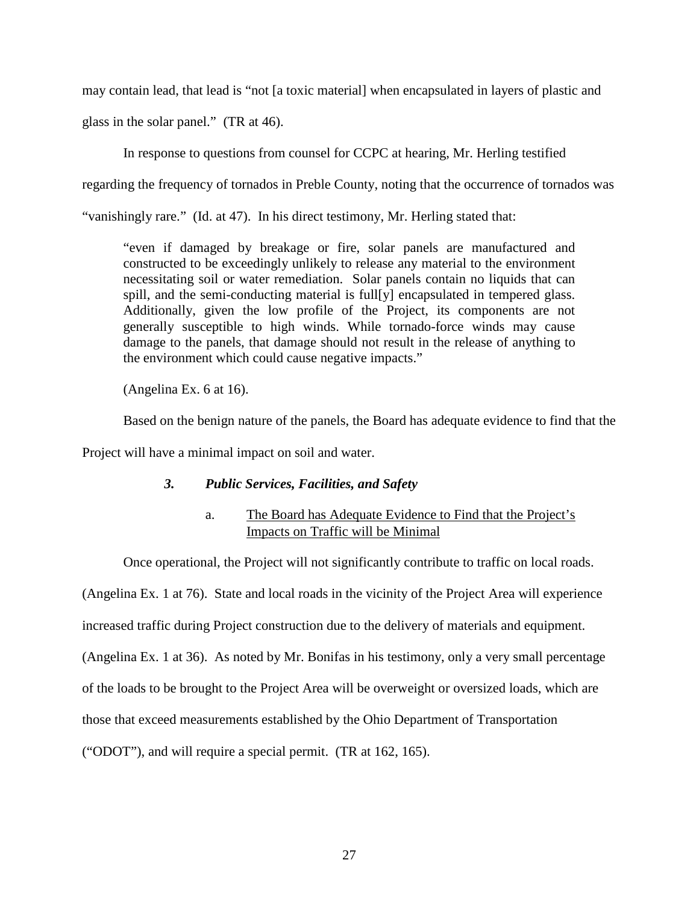may contain lead, that lead is "not [a toxic material] when encapsulated in layers of plastic and

glass in the solar panel." (TR at 46).

In response to questions from counsel for CCPC at hearing, Mr. Herling testified

regarding the frequency of tornados in Preble County, noting that the occurrence of tornados was

"vanishingly rare." (Id. at 47). In his direct testimony, Mr. Herling stated that:

"even if damaged by breakage or fire, solar panels are manufactured and constructed to be exceedingly unlikely to release any material to the environment necessitating soil or water remediation. Solar panels contain no liquids that can spill, and the semi-conducting material is full[y] encapsulated in tempered glass. Additionally, given the low profile of the Project, its components are not generally susceptible to high winds. While tornado-force winds may cause damage to the panels, that damage should not result in the release of anything to the environment which could cause negative impacts."

(Angelina Ex. 6 at 16).

Based on the benign nature of the panels, the Board has adequate evidence to find that the

Project will have a minimal impact on soil and water.

# *3. Public Services, Facilities, and Safety*

# a. The Board has Adequate Evidence to Find that the Project's Impacts on Traffic will be Minimal

Once operational, the Project will not significantly contribute to traffic on local roads.

(Angelina Ex. 1 at 76). State and local roads in the vicinity of the Project Area will experience

increased traffic during Project construction due to the delivery of materials and equipment.

(Angelina Ex. 1 at 36). As noted by Mr. Bonifas in his testimony, only a very small percentage

of the loads to be brought to the Project Area will be overweight or oversized loads, which are

those that exceed measurements established by the Ohio Department of Transportation

("ODOT"), and will require a special permit. (TR at 162, 165).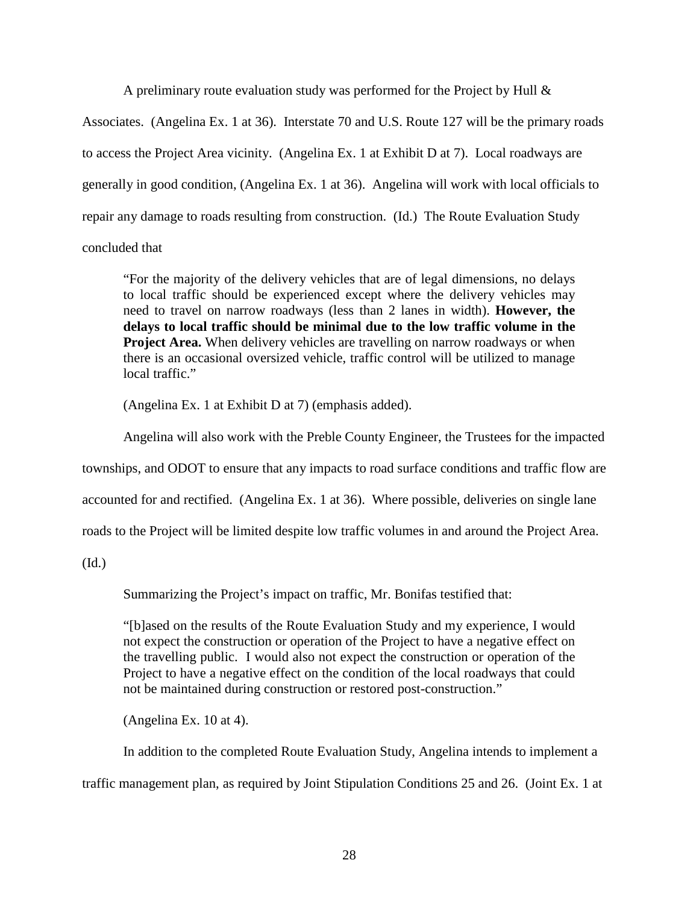A preliminary route evaluation study was performed for the Project by Hull &

Associates. (Angelina Ex. 1 at 36). Interstate 70 and U.S. Route 127 will be the primary roads to access the Project Area vicinity. (Angelina Ex. 1 at Exhibit D at 7). Local roadways are generally in good condition, (Angelina Ex. 1 at 36). Angelina will work with local officials to repair any damage to roads resulting from construction. (Id.) The Route Evaluation Study

# concluded that

"For the majority of the delivery vehicles that are of legal dimensions, no delays to local traffic should be experienced except where the delivery vehicles may need to travel on narrow roadways (less than 2 lanes in width). **However, the delays to local traffic should be minimal due to the low traffic volume in the Project Area.** When delivery vehicles are travelling on narrow roadways or when there is an occasional oversized vehicle, traffic control will be utilized to manage local traffic."

(Angelina Ex. 1 at Exhibit D at 7) (emphasis added).

Angelina will also work with the Preble County Engineer, the Trustees for the impacted

townships, and ODOT to ensure that any impacts to road surface conditions and traffic flow are

accounted for and rectified. (Angelina Ex. 1 at 36). Where possible, deliveries on single lane

roads to the Project will be limited despite low traffic volumes in and around the Project Area.

(Id.)

Summarizing the Project's impact on traffic, Mr. Bonifas testified that:

"[b]ased on the results of the Route Evaluation Study and my experience, I would not expect the construction or operation of the Project to have a negative effect on the travelling public. I would also not expect the construction or operation of the Project to have a negative effect on the condition of the local roadways that could not be maintained during construction or restored post-construction."

(Angelina Ex. 10 at 4).

In addition to the completed Route Evaluation Study, Angelina intends to implement a

traffic management plan, as required by Joint Stipulation Conditions 25 and 26. (Joint Ex. 1 at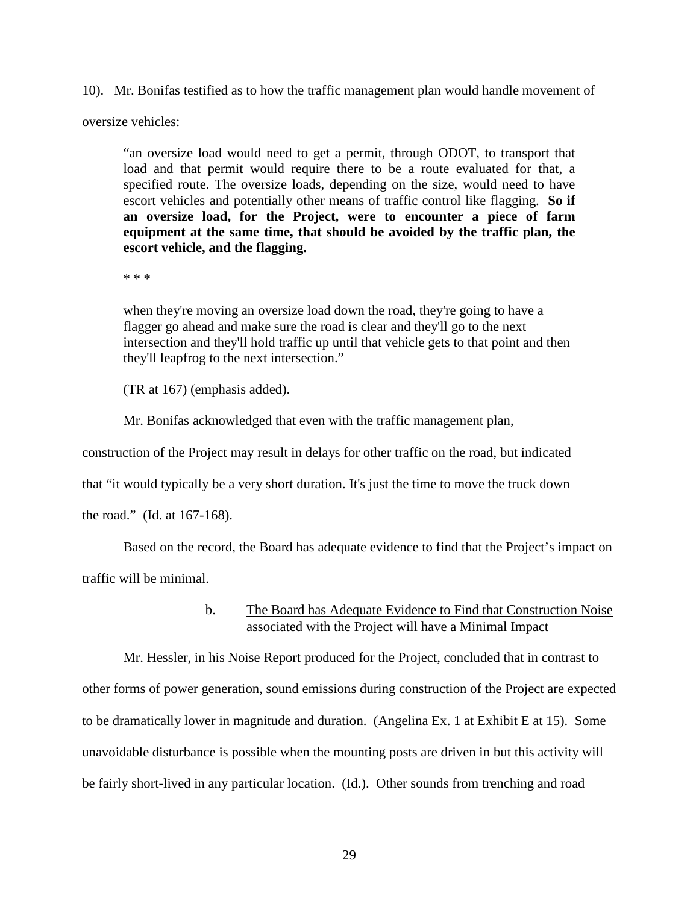10). Mr. Bonifas testified as to how the traffic management plan would handle movement of

oversize vehicles:

"an oversize load would need to get a permit, through ODOT, to transport that load and that permit would require there to be a route evaluated for that, a specified route. The oversize loads, depending on the size, would need to have escort vehicles and potentially other means of traffic control like flagging. **So if an oversize load, for the Project, were to encounter a piece of farm equipment at the same time, that should be avoided by the traffic plan, the escort vehicle, and the flagging.** 

\* \* \*

when they're moving an oversize load down the road, they're going to have a flagger go ahead and make sure the road is clear and they'll go to the next intersection and they'll hold traffic up until that vehicle gets to that point and then they'll leapfrog to the next intersection."

(TR at 167) (emphasis added).

Mr. Bonifas acknowledged that even with the traffic management plan,

construction of the Project may result in delays for other traffic on the road, but indicated

that "it would typically be a very short duration. It's just the time to move the truck down

the road." (Id. at 167-168).

Based on the record, the Board has adequate evidence to find that the Project's impact on

traffic will be minimal.

b. The Board has Adequate Evidence to Find that Construction Noise associated with the Project will have a Minimal Impact

Mr. Hessler, in his Noise Report produced for the Project, concluded that in contrast to other forms of power generation, sound emissions during construction of the Project are expected to be dramatically lower in magnitude and duration. (Angelina Ex. 1 at Exhibit E at 15). Some unavoidable disturbance is possible when the mounting posts are driven in but this activity will be fairly short-lived in any particular location. (Id.). Other sounds from trenching and road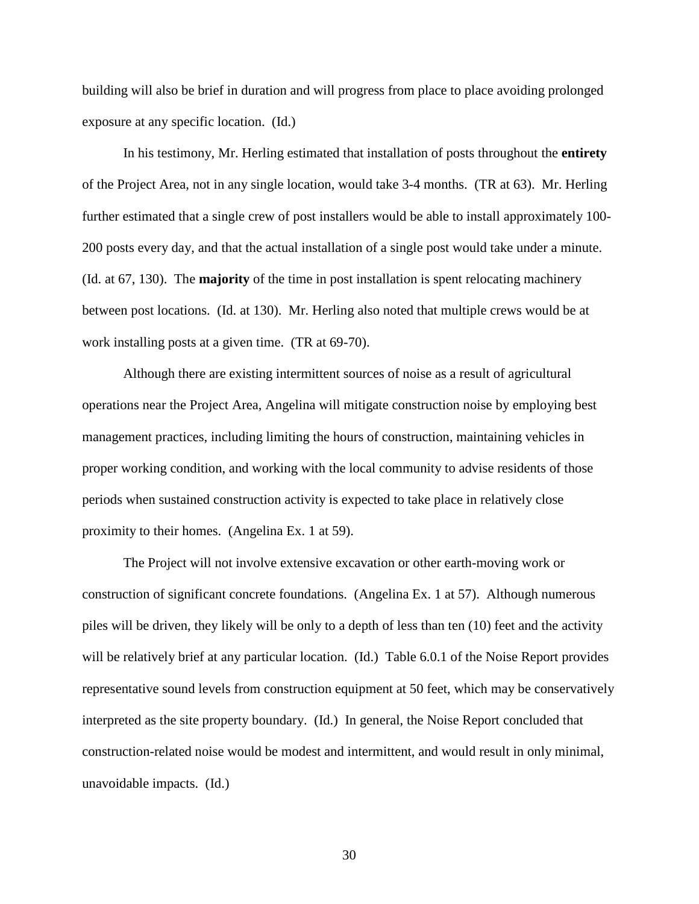building will also be brief in duration and will progress from place to place avoiding prolonged exposure at any specific location. (Id.)

In his testimony, Mr. Herling estimated that installation of posts throughout the **entirety** of the Project Area, not in any single location, would take 3-4 months. (TR at 63). Mr. Herling further estimated that a single crew of post installers would be able to install approximately 100- 200 posts every day, and that the actual installation of a single post would take under a minute. (Id. at 67, 130). The **majority** of the time in post installation is spent relocating machinery between post locations. (Id. at 130). Mr. Herling also noted that multiple crews would be at work installing posts at a given time. (TR at 69-70).

Although there are existing intermittent sources of noise as a result of agricultural operations near the Project Area, Angelina will mitigate construction noise by employing best management practices, including limiting the hours of construction, maintaining vehicles in proper working condition, and working with the local community to advise residents of those periods when sustained construction activity is expected to take place in relatively close proximity to their homes. (Angelina Ex. 1 at 59).

The Project will not involve extensive excavation or other earth-moving work or construction of significant concrete foundations. (Angelina Ex. 1 at 57). Although numerous piles will be driven, they likely will be only to a depth of less than ten (10) feet and the activity will be relatively brief at any particular location. (Id.) Table 6.0.1 of the Noise Report provides representative sound levels from construction equipment at 50 feet, which may be conservatively interpreted as the site property boundary. (Id.) In general, the Noise Report concluded that construction-related noise would be modest and intermittent, and would result in only minimal, unavoidable impacts. (Id.)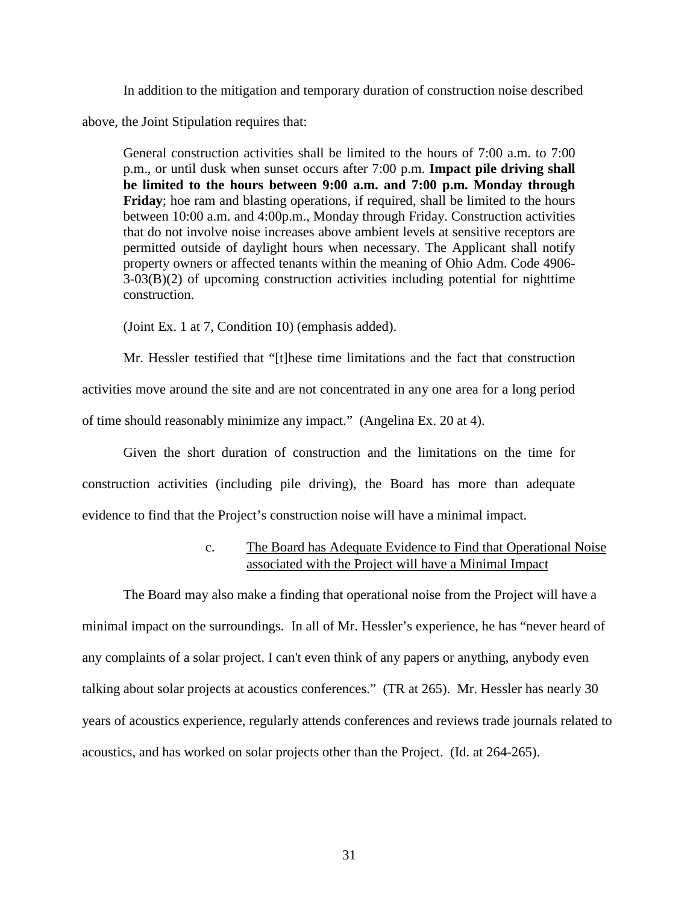In addition to the mitigation and temporary duration of construction noise described

above, the Joint Stipulation requires that:

General construction activities shall be limited to the hours of 7:00 a.m. to 7:00 p.m., or until dusk when sunset occurs after 7:00 p.m. **Impact pile driving shall be limited to the hours between 9:00 a.m. and 7:00 p.m. Monday through Friday**; hoe ram and blasting operations, if required, shall be limited to the hours between 10:00 a.m. and 4:00p.m., Monday through Friday. Construction activities that do not involve noise increases above ambient levels at sensitive receptors are permitted outside of daylight hours when necessary. The Applicant shall notify property owners or affected tenants within the meaning of Ohio Adm. Code 4906- 3-03(B)(2) of upcoming construction activities including potential for nighttime construction.

(Joint Ex. 1 at 7, Condition 10) (emphasis added).

Mr. Hessler testified that "[t]hese time limitations and the fact that construction activities move around the site and are not concentrated in any one area for a long period of time should reasonably minimize any impact." (Angelina Ex. 20 at 4).

Given the short duration of construction and the limitations on the time for construction activities (including pile driving), the Board has more than adequate evidence to find that the Project's construction noise will have a minimal impact.

# c. The Board has Adequate Evidence to Find that Operational Noise associated with the Project will have a Minimal Impact

The Board may also make a finding that operational noise from the Project will have a minimal impact on the surroundings. In all of Mr. Hessler's experience, he has "never heard of any complaints of a solar project. I can't even think of any papers or anything, anybody even talking about solar projects at acoustics conferences." (TR at 265). Mr. Hessler has nearly 30 years of acoustics experience, regularly attends conferences and reviews trade journals related to acoustics, and has worked on solar projects other than the Project. (Id. at 264-265).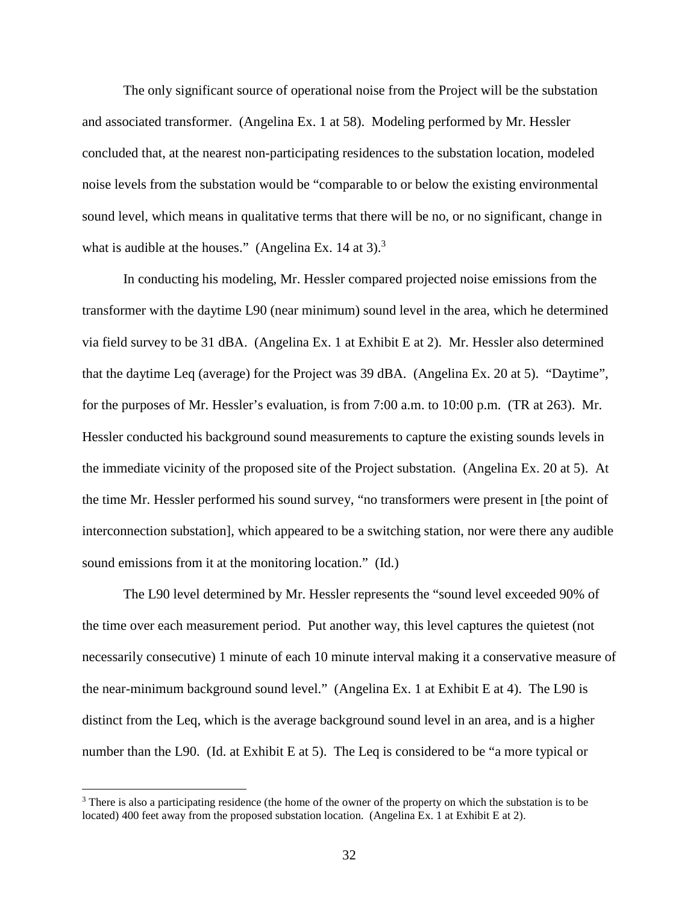The only significant source of operational noise from the Project will be the substation and associated transformer. (Angelina Ex. 1 at 58). Modeling performed by Mr. Hessler concluded that, at the nearest non-participating residences to the substation location, modeled noise levels from the substation would be "comparable to or below the existing environmental sound level, which means in qualitative terms that there will be no, or no significant, change in what is audible at the houses." (Angelina Ex.  $14$  at 3).<sup>3</sup>

In conducting his modeling, Mr. Hessler compared projected noise emissions from the transformer with the daytime L90 (near minimum) sound level in the area, which he determined via field survey to be 31 dBA. (Angelina Ex. 1 at Exhibit E at 2). Mr. Hessler also determined that the daytime Leq (average) for the Project was 39 dBA. (Angelina Ex. 20 at 5). "Daytime", for the purposes of Mr. Hessler's evaluation, is from 7:00 a.m. to 10:00 p.m. (TR at 263). Mr. Hessler conducted his background sound measurements to capture the existing sounds levels in the immediate vicinity of the proposed site of the Project substation. (Angelina Ex. 20 at 5). At the time Mr. Hessler performed his sound survey, "no transformers were present in [the point of interconnection substation], which appeared to be a switching station, nor were there any audible sound emissions from it at the monitoring location." (Id.)

The L90 level determined by Mr. Hessler represents the "sound level exceeded 90% of the time over each measurement period. Put another way, this level captures the quietest (not necessarily consecutive) 1 minute of each 10 minute interval making it a conservative measure of the near-minimum background sound level." (Angelina Ex. 1 at Exhibit E at 4). The L90 is distinct from the Leq, which is the average background sound level in an area, and is a higher number than the L90. (Id. at Exhibit E at 5). The Leq is considered to be "a more typical or

<sup>&</sup>lt;sup>3</sup> There is also a participating residence (the home of the owner of the property on which the substation is to be located) 400 feet away from the proposed substation location. (Angelina Ex. 1 at Exhibit E at 2).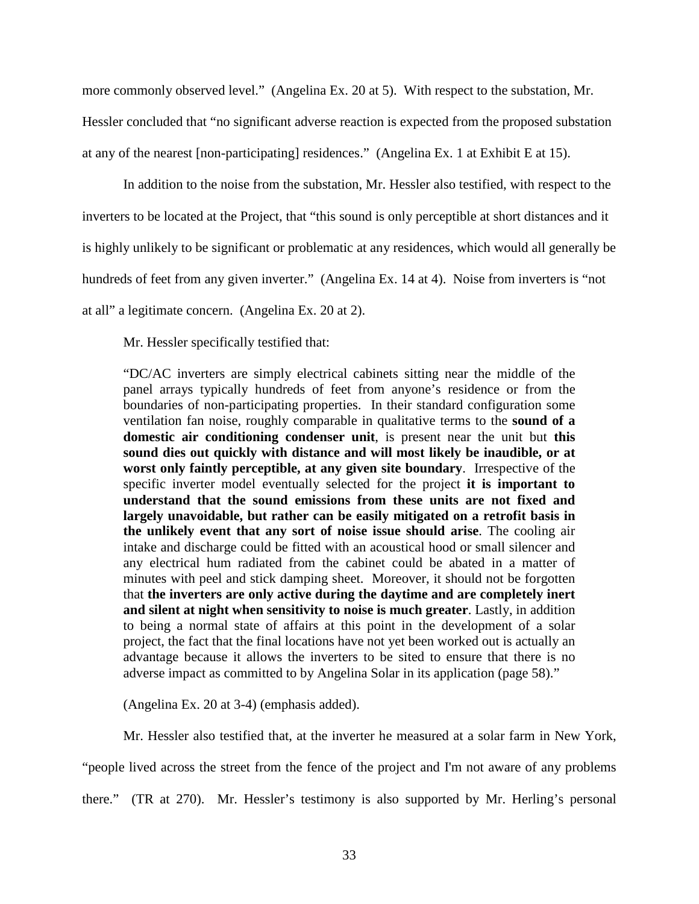more commonly observed level." (Angelina Ex. 20 at 5). With respect to the substation, Mr. Hessler concluded that "no significant adverse reaction is expected from the proposed substation at any of the nearest [non-participating] residences." (Angelina Ex. 1 at Exhibit E at 15).

In addition to the noise from the substation, Mr. Hessler also testified, with respect to the inverters to be located at the Project, that "this sound is only perceptible at short distances and it is highly unlikely to be significant or problematic at any residences, which would all generally be hundreds of feet from any given inverter." (Angelina Ex. 14 at 4). Noise from inverters is "not at all" a legitimate concern. (Angelina Ex. 20 at 2).

Mr. Hessler specifically testified that:

"DC/AC inverters are simply electrical cabinets sitting near the middle of the panel arrays typically hundreds of feet from anyone's residence or from the boundaries of non-participating properties. In their standard configuration some ventilation fan noise, roughly comparable in qualitative terms to the **sound of a domestic air conditioning condenser unit**, is present near the unit but **this sound dies out quickly with distance and will most likely be inaudible, or at worst only faintly perceptible, at any given site boundary**. Irrespective of the specific inverter model eventually selected for the project **it is important to understand that the sound emissions from these units are not fixed and largely unavoidable, but rather can be easily mitigated on a retrofit basis in the unlikely event that any sort of noise issue should arise**. The cooling air intake and discharge could be fitted with an acoustical hood or small silencer and any electrical hum radiated from the cabinet could be abated in a matter of minutes with peel and stick damping sheet. Moreover, it should not be forgotten that **the inverters are only active during the daytime and are completely inert and silent at night when sensitivity to noise is much greater**. Lastly, in addition to being a normal state of affairs at this point in the development of a solar project, the fact that the final locations have not yet been worked out is actually an advantage because it allows the inverters to be sited to ensure that there is no adverse impact as committed to by Angelina Solar in its application (page 58)."

(Angelina Ex. 20 at 3-4) (emphasis added).

Mr. Hessler also testified that, at the inverter he measured at a solar farm in New York,

"people lived across the street from the fence of the project and I'm not aware of any problems

there." (TR at 270). Mr. Hessler's testimony is also supported by Mr. Herling's personal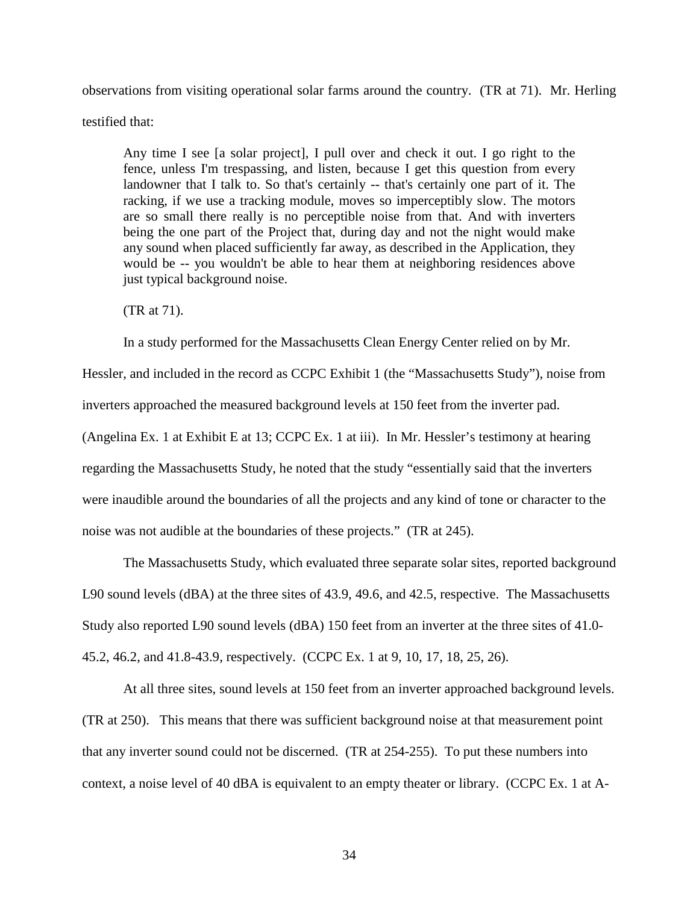observations from visiting operational solar farms around the country. (TR at 71). Mr. Herling

testified that:

Any time I see [a solar project], I pull over and check it out. I go right to the fence, unless I'm trespassing, and listen, because I get this question from every landowner that I talk to. So that's certainly -- that's certainly one part of it. The racking, if we use a tracking module, moves so imperceptibly slow. The motors are so small there really is no perceptible noise from that. And with inverters being the one part of the Project that, during day and not the night would make any sound when placed sufficiently far away, as described in the Application, they would be -- you wouldn't be able to hear them at neighboring residences above just typical background noise.

(TR at 71).

In a study performed for the Massachusetts Clean Energy Center relied on by Mr.

Hessler, and included in the record as CCPC Exhibit 1 (the "Massachusetts Study"), noise from inverters approached the measured background levels at 150 feet from the inverter pad. (Angelina Ex. 1 at Exhibit E at 13; CCPC Ex. 1 at iii). In Mr. Hessler's testimony at hearing regarding the Massachusetts Study, he noted that the study "essentially said that the inverters were inaudible around the boundaries of all the projects and any kind of tone or character to the noise was not audible at the boundaries of these projects." (TR at 245).

The Massachusetts Study, which evaluated three separate solar sites, reported background L90 sound levels (dBA) at the three sites of 43.9, 49.6, and 42.5, respective. The Massachusetts Study also reported L90 sound levels (dBA) 150 feet from an inverter at the three sites of 41.0- 45.2, 46.2, and 41.8-43.9, respectively. (CCPC Ex. 1 at 9, 10, 17, 18, 25, 26).

At all three sites, sound levels at 150 feet from an inverter approached background levels. (TR at 250). This means that there was sufficient background noise at that measurement point that any inverter sound could not be discerned. (TR at 254-255). To put these numbers into context, a noise level of 40 dBA is equivalent to an empty theater or library. (CCPC Ex. 1 at A-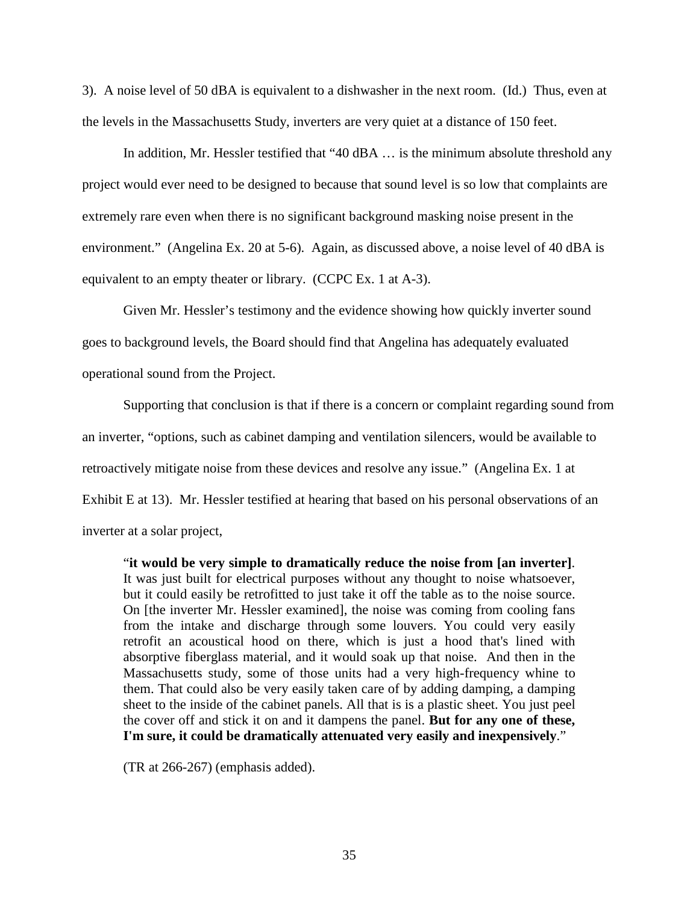3). A noise level of 50 dBA is equivalent to a dishwasher in the next room. (Id.) Thus, even at the levels in the Massachusetts Study, inverters are very quiet at a distance of 150 feet.

In addition, Mr. Hessler testified that "40 dBA ... is the minimum absolute threshold any project would ever need to be designed to because that sound level is so low that complaints are extremely rare even when there is no significant background masking noise present in the environment." (Angelina Ex. 20 at 5-6). Again, as discussed above, a noise level of 40 dBA is equivalent to an empty theater or library. (CCPC Ex. 1 at A-3).

Given Mr. Hessler's testimony and the evidence showing how quickly inverter sound goes to background levels, the Board should find that Angelina has adequately evaluated operational sound from the Project.

Supporting that conclusion is that if there is a concern or complaint regarding sound from an inverter, "options, such as cabinet damping and ventilation silencers, would be available to retroactively mitigate noise from these devices and resolve any issue." (Angelina Ex. 1 at Exhibit E at 13). Mr. Hessler testified at hearing that based on his personal observations of an inverter at a solar project,

"**it would be very simple to dramatically reduce the noise from [an inverter]**. It was just built for electrical purposes without any thought to noise whatsoever, but it could easily be retrofitted to just take it off the table as to the noise source. On [the inverter Mr. Hessler examined], the noise was coming from cooling fans from the intake and discharge through some louvers. You could very easily retrofit an acoustical hood on there, which is just a hood that's lined with absorptive fiberglass material, and it would soak up that noise. And then in the Massachusetts study, some of those units had a very high-frequency whine to them. That could also be very easily taken care of by adding damping, a damping sheet to the inside of the cabinet panels. All that is is a plastic sheet. You just peel the cover off and stick it on and it dampens the panel. **But for any one of these, I'm sure, it could be dramatically attenuated very easily and inexpensively**."

(TR at 266-267) (emphasis added).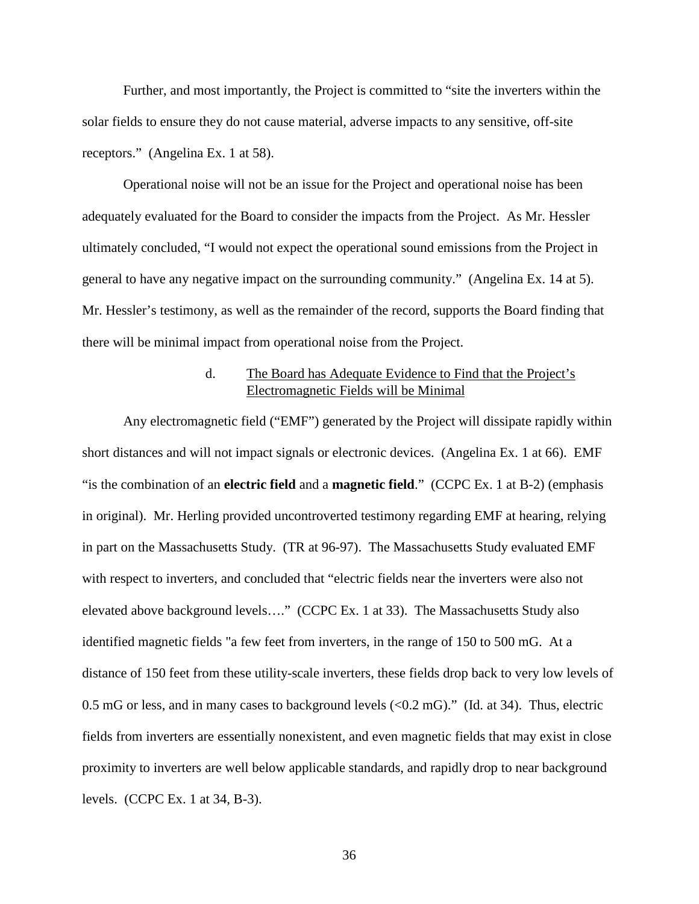Further, and most importantly, the Project is committed to "site the inverters within the solar fields to ensure they do not cause material, adverse impacts to any sensitive, off-site receptors." (Angelina Ex. 1 at 58).

Operational noise will not be an issue for the Project and operational noise has been adequately evaluated for the Board to consider the impacts from the Project. As Mr. Hessler ultimately concluded, "I would not expect the operational sound emissions from the Project in general to have any negative impact on the surrounding community." (Angelina Ex. 14 at 5). Mr. Hessler's testimony, as well as the remainder of the record, supports the Board finding that there will be minimal impact from operational noise from the Project.

# d. The Board has Adequate Evidence to Find that the Project's Electromagnetic Fields will be Minimal

Any electromagnetic field ("EMF") generated by the Project will dissipate rapidly within short distances and will not impact signals or electronic devices. (Angelina Ex. 1 at 66). EMF "is the combination of an **electric field** and a **magnetic field**." (CCPC Ex. 1 at B-2) (emphasis in original). Mr. Herling provided uncontroverted testimony regarding EMF at hearing, relying in part on the Massachusetts Study. (TR at 96-97). The Massachusetts Study evaluated EMF with respect to inverters, and concluded that "electric fields near the inverters were also not elevated above background levels…." (CCPC Ex. 1 at 33). The Massachusetts Study also identified magnetic fields "a few feet from inverters, in the range of 150 to 500 mG. At a distance of 150 feet from these utility-scale inverters, these fields drop back to very low levels of 0.5 mG or less, and in many cases to background levels (<0.2 mG)." (Id. at 34). Thus, electric fields from inverters are essentially nonexistent, and even magnetic fields that may exist in close proximity to inverters are well below applicable standards, and rapidly drop to near background levels. (CCPC Ex. 1 at 34, B-3).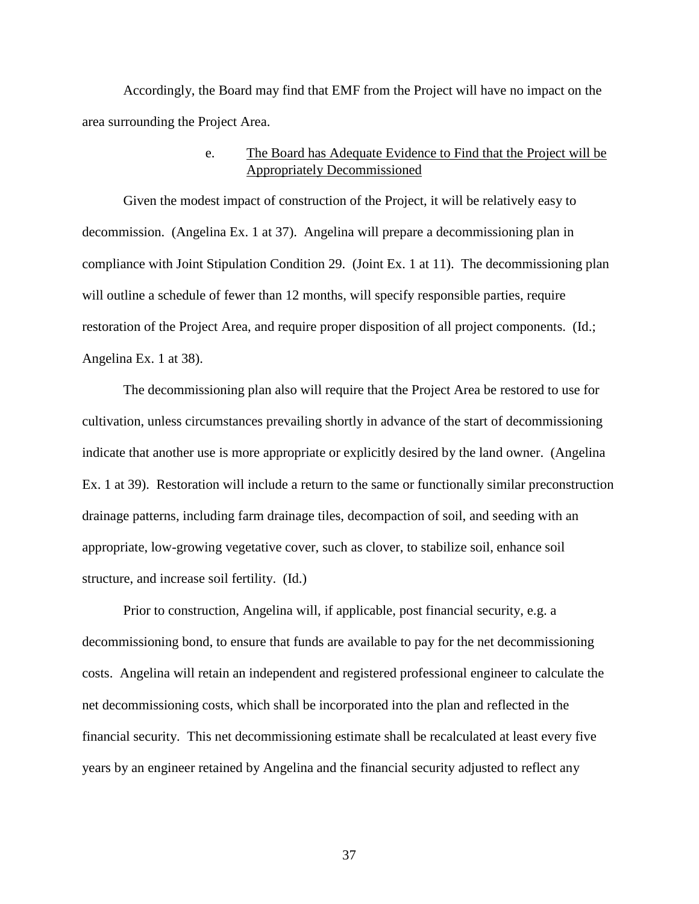Accordingly, the Board may find that EMF from the Project will have no impact on the area surrounding the Project Area.

# e. The Board has Adequate Evidence to Find that the Project will be Appropriately Decommissioned

Given the modest impact of construction of the Project, it will be relatively easy to decommission. (Angelina Ex. 1 at 37). Angelina will prepare a decommissioning plan in compliance with Joint Stipulation Condition 29. (Joint Ex. 1 at 11). The decommissioning plan will outline a schedule of fewer than 12 months, will specify responsible parties, require restoration of the Project Area, and require proper disposition of all project components. (Id.; Angelina Ex. 1 at 38).

The decommissioning plan also will require that the Project Area be restored to use for cultivation, unless circumstances prevailing shortly in advance of the start of decommissioning indicate that another use is more appropriate or explicitly desired by the land owner. (Angelina Ex. 1 at 39). Restoration will include a return to the same or functionally similar preconstruction drainage patterns, including farm drainage tiles, decompaction of soil, and seeding with an appropriate, low-growing vegetative cover, such as clover, to stabilize soil, enhance soil structure, and increase soil fertility. (Id.)

Prior to construction, Angelina will, if applicable, post financial security, e.g. a decommissioning bond, to ensure that funds are available to pay for the net decommissioning costs. Angelina will retain an independent and registered professional engineer to calculate the net decommissioning costs, which shall be incorporated into the plan and reflected in the financial security. This net decommissioning estimate shall be recalculated at least every five years by an engineer retained by Angelina and the financial security adjusted to reflect any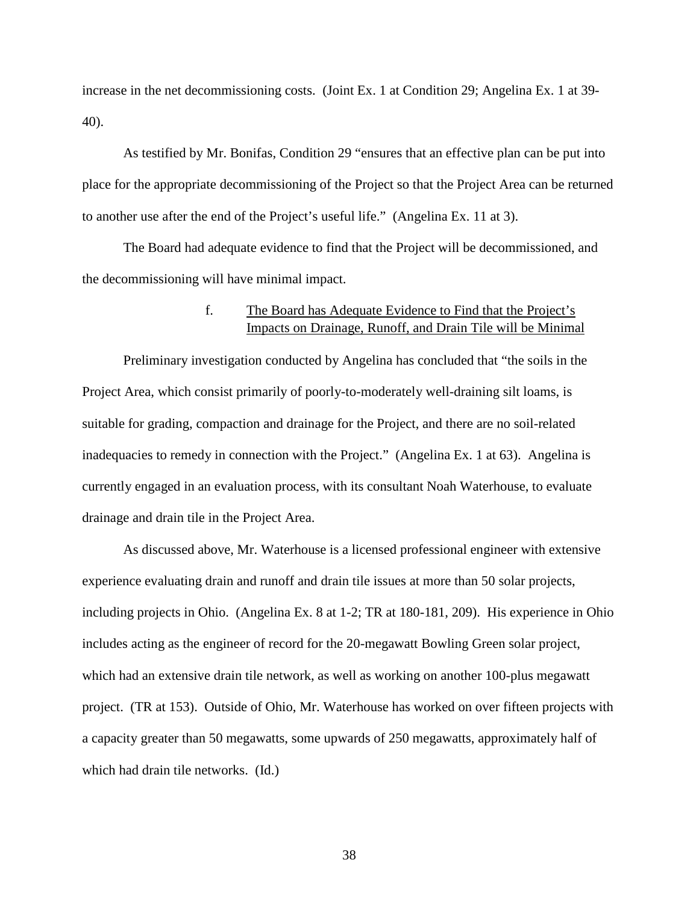increase in the net decommissioning costs. (Joint Ex. 1 at Condition 29; Angelina Ex. 1 at 39-40).

As testified by Mr. Bonifas, Condition 29 "ensures that an effective plan can be put into place for the appropriate decommissioning of the Project so that the Project Area can be returned to another use after the end of the Project's useful life." (Angelina Ex. 11 at 3).

The Board had adequate evidence to find that the Project will be decommissioned, and the decommissioning will have minimal impact.

## f. The Board has Adequate Evidence to Find that the Project's Impacts on Drainage, Runoff, and Drain Tile will be Minimal

Preliminary investigation conducted by Angelina has concluded that "the soils in the Project Area, which consist primarily of poorly-to-moderately well-draining silt loams, is suitable for grading, compaction and drainage for the Project, and there are no soil-related inadequacies to remedy in connection with the Project." (Angelina Ex. 1 at 63). Angelina is currently engaged in an evaluation process, with its consultant Noah Waterhouse, to evaluate drainage and drain tile in the Project Area.

As discussed above, Mr. Waterhouse is a licensed professional engineer with extensive experience evaluating drain and runoff and drain tile issues at more than 50 solar projects, including projects in Ohio. (Angelina Ex. 8 at 1-2; TR at 180-181, 209). His experience in Ohio includes acting as the engineer of record for the 20-megawatt Bowling Green solar project, which had an extensive drain tile network, as well as working on another 100-plus megawatt project. (TR at 153). Outside of Ohio, Mr. Waterhouse has worked on over fifteen projects with a capacity greater than 50 megawatts, some upwards of 250 megawatts, approximately half of which had drain tile networks. (Id.)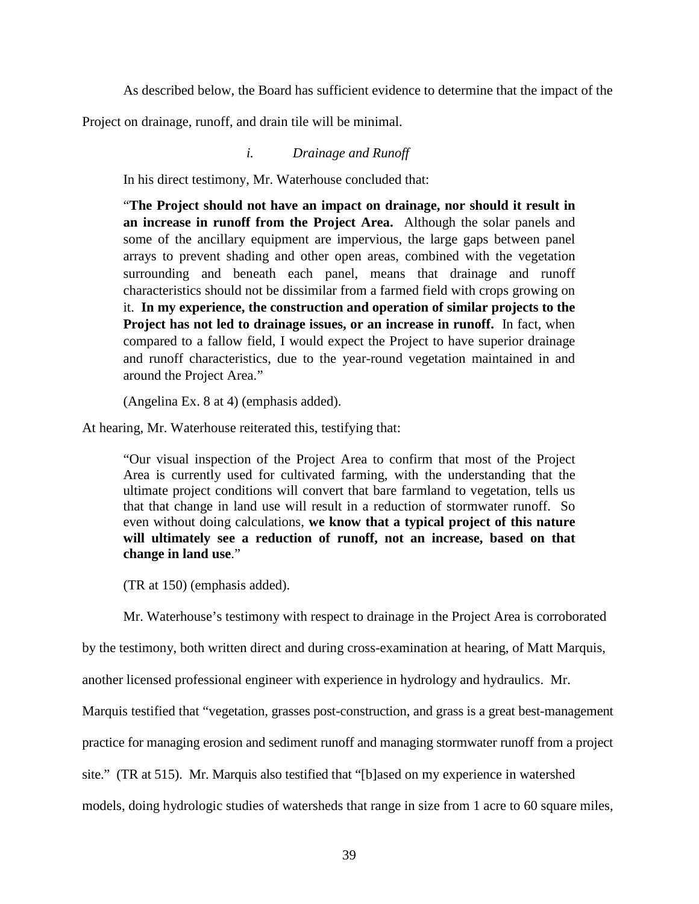As described below, the Board has sufficient evidence to determine that the impact of the

Project on drainage, runoff, and drain tile will be minimal.

### *i. Drainage and Runoff*

In his direct testimony, Mr. Waterhouse concluded that:

"**The Project should not have an impact on drainage, nor should it result in an increase in runoff from the Project Area.** Although the solar panels and some of the ancillary equipment are impervious, the large gaps between panel arrays to prevent shading and other open areas, combined with the vegetation surrounding and beneath each panel, means that drainage and runoff characteristics should not be dissimilar from a farmed field with crops growing on it. **In my experience, the construction and operation of similar projects to the Project has not led to drainage issues, or an increase in runoff.** In fact, when compared to a fallow field, I would expect the Project to have superior drainage and runoff characteristics, due to the year-round vegetation maintained in and around the Project Area."

(Angelina Ex. 8 at 4) (emphasis added).

At hearing, Mr. Waterhouse reiterated this, testifying that:

"Our visual inspection of the Project Area to confirm that most of the Project Area is currently used for cultivated farming, with the understanding that the ultimate project conditions will convert that bare farmland to vegetation, tells us that that change in land use will result in a reduction of stormwater runoff. So even without doing calculations, **we know that a typical project of this nature will ultimately see a reduction of runoff, not an increase, based on that change in land use**."

(TR at 150) (emphasis added).

Mr. Waterhouse's testimony with respect to drainage in the Project Area is corroborated

by the testimony, both written direct and during cross-examination at hearing, of Matt Marquis,

another licensed professional engineer with experience in hydrology and hydraulics. Mr.

Marquis testified that "vegetation, grasses post-construction, and grass is a great best-management

practice for managing erosion and sediment runoff and managing stormwater runoff from a project

site." (TR at 515). Mr. Marquis also testified that "[b]ased on my experience in watershed

models, doing hydrologic studies of watersheds that range in size from 1 acre to 60 square miles,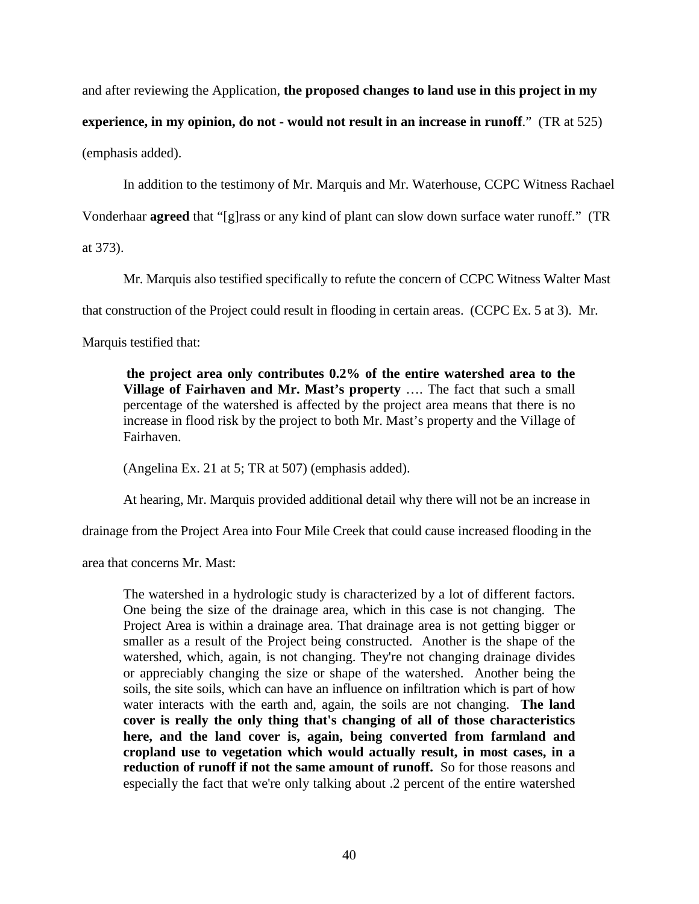and after reviewing the Application, **the proposed changes to land use in this project in my** 

**experience, in my opinion, do not - would not result in an increase in runoff**." (TR at 525)

(emphasis added).

In addition to the testimony of Mr. Marquis and Mr. Waterhouse, CCPC Witness Rachael

Vonderhaar **agreed** that "[g]rass or any kind of plant can slow down surface water runoff." (TR

at 373).

Mr. Marquis also testified specifically to refute the concern of CCPC Witness Walter Mast

that construction of the Project could result in flooding in certain areas. (CCPC Ex. 5 at 3). Mr.

Marquis testified that:

**the project area only contributes 0.2% of the entire watershed area to the Village of Fairhaven and Mr. Mast's property** …. The fact that such a small percentage of the watershed is affected by the project area means that there is no increase in flood risk by the project to both Mr. Mast's property and the Village of Fairhaven.

(Angelina Ex. 21 at 5; TR at 507) (emphasis added).

At hearing, Mr. Marquis provided additional detail why there will not be an increase in

drainage from the Project Area into Four Mile Creek that could cause increased flooding in the

area that concerns Mr. Mast:

The watershed in a hydrologic study is characterized by a lot of different factors. One being the size of the drainage area, which in this case is not changing. The Project Area is within a drainage area. That drainage area is not getting bigger or smaller as a result of the Project being constructed. Another is the shape of the watershed, which, again, is not changing. They're not changing drainage divides or appreciably changing the size or shape of the watershed. Another being the soils, the site soils, which can have an influence on infiltration which is part of how water interacts with the earth and, again, the soils are not changing. **The land cover is really the only thing that's changing of all of those characteristics here, and the land cover is, again, being converted from farmland and cropland use to vegetation which would actually result, in most cases, in a reduction of runoff if not the same amount of runoff.** So for those reasons and especially the fact that we're only talking about .2 percent of the entire watershed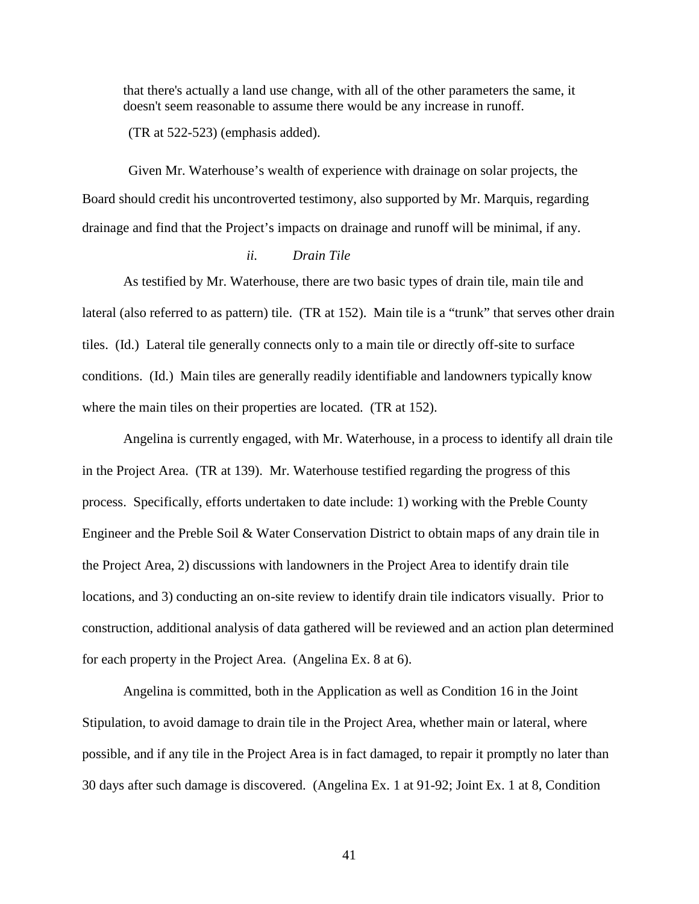that there's actually a land use change, with all of the other parameters the same, it doesn't seem reasonable to assume there would be any increase in runoff.

(TR at 522-523) (emphasis added).

Given Mr. Waterhouse's wealth of experience with drainage on solar projects, the Board should credit his uncontroverted testimony, also supported by Mr. Marquis, regarding drainage and find that the Project's impacts on drainage and runoff will be minimal, if any.

#### *ii. Drain Tile*

As testified by Mr. Waterhouse, there are two basic types of drain tile, main tile and lateral (also referred to as pattern) tile. (TR at 152). Main tile is a "trunk" that serves other drain tiles. (Id.) Lateral tile generally connects only to a main tile or directly off-site to surface conditions. (Id.) Main tiles are generally readily identifiable and landowners typically know where the main tiles on their properties are located. (TR at 152).

Angelina is currently engaged, with Mr. Waterhouse, in a process to identify all drain tile in the Project Area. (TR at 139). Mr. Waterhouse testified regarding the progress of this process. Specifically, efforts undertaken to date include: 1) working with the Preble County Engineer and the Preble Soil & Water Conservation District to obtain maps of any drain tile in the Project Area, 2) discussions with landowners in the Project Area to identify drain tile locations, and 3) conducting an on-site review to identify drain tile indicators visually. Prior to construction, additional analysis of data gathered will be reviewed and an action plan determined for each property in the Project Area. (Angelina Ex. 8 at 6).

Angelina is committed, both in the Application as well as Condition 16 in the Joint Stipulation, to avoid damage to drain tile in the Project Area, whether main or lateral, where possible, and if any tile in the Project Area is in fact damaged, to repair it promptly no later than 30 days after such damage is discovered. (Angelina Ex. 1 at 91-92; Joint Ex. 1 at 8, Condition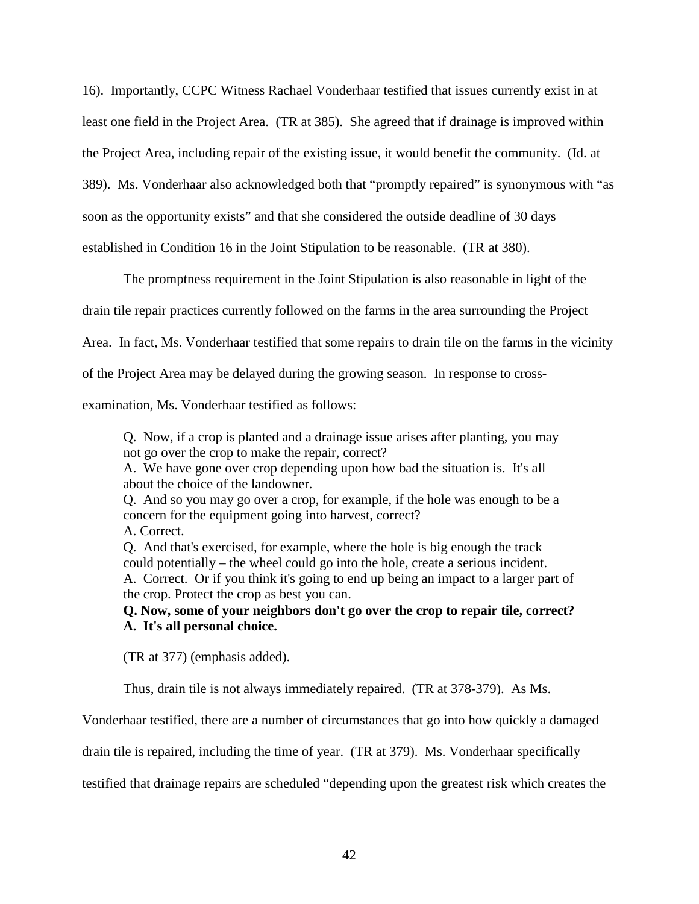16). Importantly, CCPC Witness Rachael Vonderhaar testified that issues currently exist in at least one field in the Project Area. (TR at 385). She agreed that if drainage is improved within the Project Area, including repair of the existing issue, it would benefit the community. (Id. at 389). Ms. Vonderhaar also acknowledged both that "promptly repaired" is synonymous with "as soon as the opportunity exists" and that she considered the outside deadline of 30 days established in Condition 16 in the Joint Stipulation to be reasonable. (TR at 380).

The promptness requirement in the Joint Stipulation is also reasonable in light of the drain tile repair practices currently followed on the farms in the area surrounding the Project Area. In fact, Ms. Vonderhaar testified that some repairs to drain tile on the farms in the vicinity of the Project Area may be delayed during the growing season. In response to cross-

examination, Ms. Vonderhaar testified as follows:

Q. Now, if a crop is planted and a drainage issue arises after planting, you may not go over the crop to make the repair, correct?

A. We have gone over crop depending upon how bad the situation is. It's all about the choice of the landowner.

Q. And so you may go over a crop, for example, if the hole was enough to be a concern for the equipment going into harvest, correct?

A. Correct.

Q. And that's exercised, for example, where the hole is big enough the track could potentially – the wheel could go into the hole, create a serious incident. A. Correct. Or if you think it's going to end up being an impact to a larger part of the crop. Protect the crop as best you can.

**Q. Now, some of your neighbors don't go over the crop to repair tile, correct? A. It's all personal choice.** 

(TR at 377) (emphasis added).

Thus, drain tile is not always immediately repaired. (TR at 378-379). As Ms.

Vonderhaar testified, there are a number of circumstances that go into how quickly a damaged

drain tile is repaired, including the time of year. (TR at 379). Ms. Vonderhaar specifically

testified that drainage repairs are scheduled "depending upon the greatest risk which creates the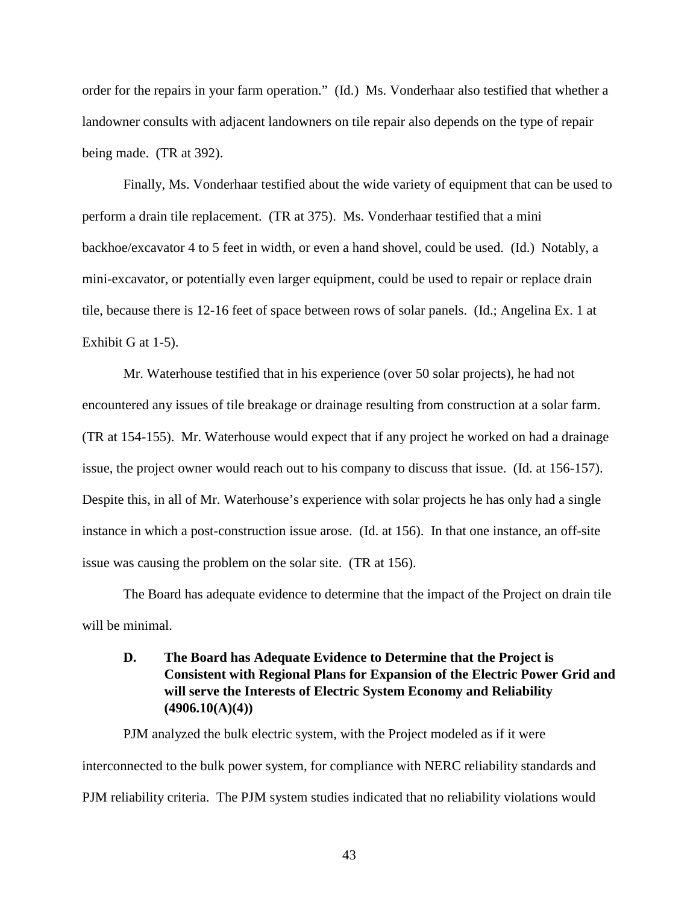order for the repairs in your farm operation." (Id.) Ms. Vonderhaar also testified that whether a landowner consults with adjacent landowners on tile repair also depends on the type of repair being made. (TR at 392).

Finally, Ms. Vonderhaar testified about the wide variety of equipment that can be used to perform a drain tile replacement. (TR at 375). Ms. Vonderhaar testified that a mini backhoe/excavator 4 to 5 feet in width, or even a hand shovel, could be used. (Id.) Notably, a mini-excavator, or potentially even larger equipment, could be used to repair or replace drain tile, because there is 12-16 feet of space between rows of solar panels. (Id.; Angelina Ex. 1 at Exhibit G at 1-5).

Mr. Waterhouse testified that in his experience (over 50 solar projects), he had not encountered any issues of tile breakage or drainage resulting from construction at a solar farm. (TR at 154-155). Mr. Waterhouse would expect that if any project he worked on had a drainage issue, the project owner would reach out to his company to discuss that issue. (Id. at 156-157). Despite this, in all of Mr. Waterhouse's experience with solar projects he has only had a single instance in which a post-construction issue arose. (Id. at 156). In that one instance, an off-site issue was causing the problem on the solar site. (TR at 156).

The Board has adequate evidence to determine that the impact of the Project on drain tile will be minimal.

# **D. The Board has Adequate Evidence to Determine that the Project is Consistent with Regional Plans for Expansion of the Electric Power Grid and will serve the Interests of Electric System Economy and Reliability (4906.10(A)(4))**

PJM analyzed the bulk electric system, with the Project modeled as if it were interconnected to the bulk power system, for compliance with NERC reliability standards and PJM reliability criteria. The PJM system studies indicated that no reliability violations would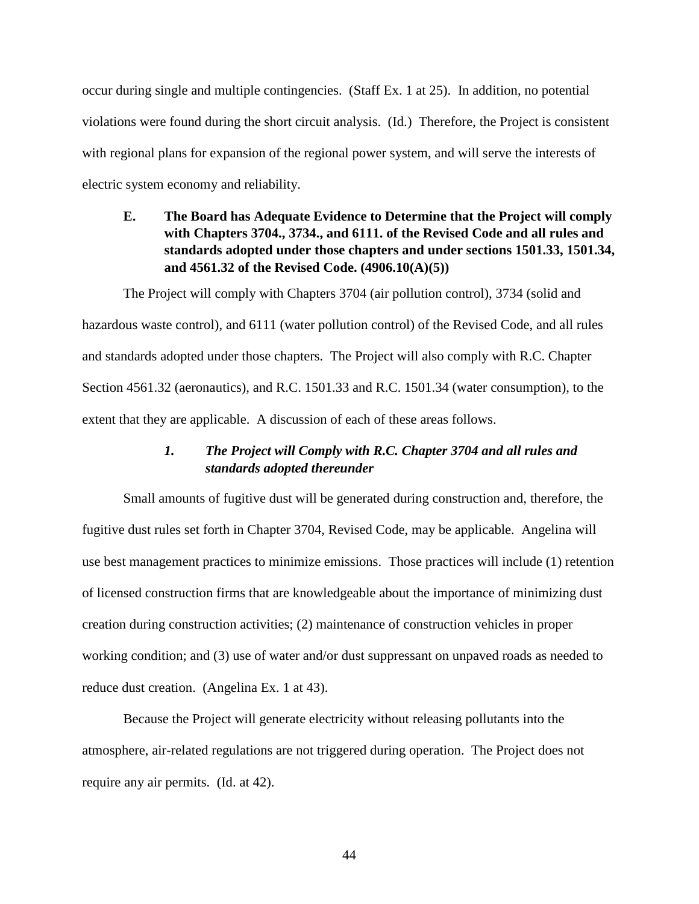occur during single and multiple contingencies. (Staff Ex. 1 at 25). In addition, no potential violations were found during the short circuit analysis. (Id.) Therefore, the Project is consistent with regional plans for expansion of the regional power system, and will serve the interests of electric system economy and reliability.

# **E. The Board has Adequate Evidence to Determine that the Project will comply with Chapters 3704., 3734., and 6111. of the Revised Code and all rules and standards adopted under those chapters and under sections 1501.33, 1501.34, and 4561.32 of the Revised Code. (4906.10(A)(5))**

The Project will comply with Chapters 3704 (air pollution control), 3734 (solid and hazardous waste control), and 6111 (water pollution control) of the Revised Code, and all rules and standards adopted under those chapters. The Project will also comply with R.C. Chapter Section 4561.32 (aeronautics), and R.C. 1501.33 and R.C. 1501.34 (water consumption), to the extent that they are applicable. A discussion of each of these areas follows.

# *1. The Project will Comply with R.C. Chapter 3704 and all rules and standards adopted thereunder*

Small amounts of fugitive dust will be generated during construction and, therefore, the fugitive dust rules set forth in Chapter 3704, Revised Code, may be applicable. Angelina will use best management practices to minimize emissions. Those practices will include (1) retention of licensed construction firms that are knowledgeable about the importance of minimizing dust creation during construction activities; (2) maintenance of construction vehicles in proper working condition; and (3) use of water and/or dust suppressant on unpaved roads as needed to reduce dust creation. (Angelina Ex. 1 at 43).

Because the Project will generate electricity without releasing pollutants into the atmosphere, air-related regulations are not triggered during operation. The Project does not require any air permits. (Id. at 42).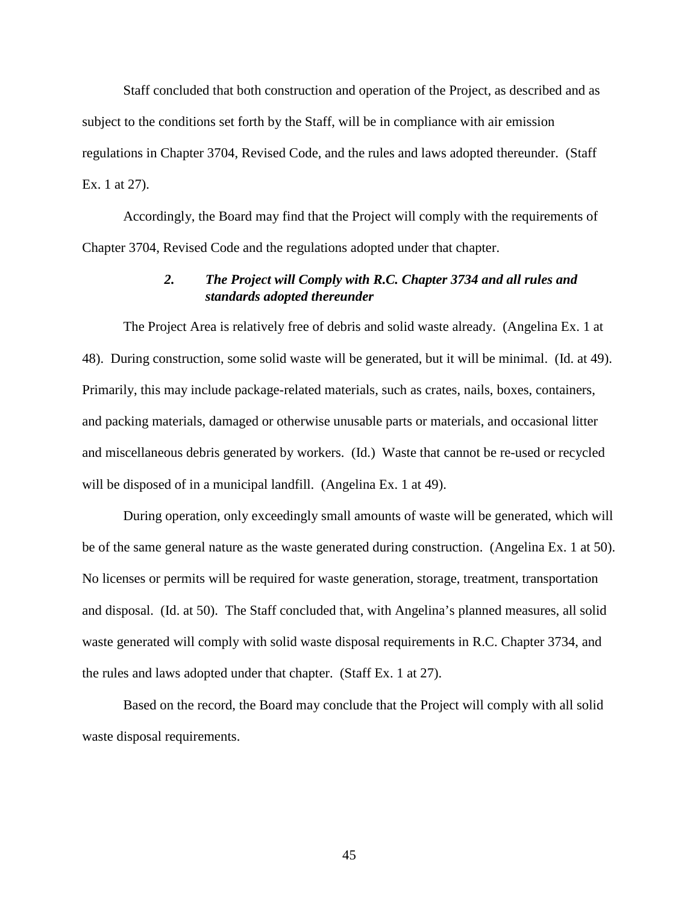Staff concluded that both construction and operation of the Project, as described and as subject to the conditions set forth by the Staff, will be in compliance with air emission regulations in Chapter 3704, Revised Code, and the rules and laws adopted thereunder. (Staff Ex. 1 at 27).

Accordingly, the Board may find that the Project will comply with the requirements of Chapter 3704, Revised Code and the regulations adopted under that chapter.

# *2. The Project will Comply with R.C. Chapter 3734 and all rules and standards adopted thereunder*

The Project Area is relatively free of debris and solid waste already. (Angelina Ex. 1 at 48). During construction, some solid waste will be generated, but it will be minimal. (Id. at 49). Primarily, this may include package-related materials, such as crates, nails, boxes, containers, and packing materials, damaged or otherwise unusable parts or materials, and occasional litter and miscellaneous debris generated by workers. (Id.) Waste that cannot be re-used or recycled will be disposed of in a municipal landfill. (Angelina Ex. 1 at 49).

During operation, only exceedingly small amounts of waste will be generated, which will be of the same general nature as the waste generated during construction. (Angelina Ex. 1 at 50). No licenses or permits will be required for waste generation, storage, treatment, transportation and disposal. (Id. at 50). The Staff concluded that, with Angelina's planned measures, all solid waste generated will comply with solid waste disposal requirements in R.C. Chapter 3734, and the rules and laws adopted under that chapter. (Staff Ex. 1 at 27).

Based on the record, the Board may conclude that the Project will comply with all solid waste disposal requirements.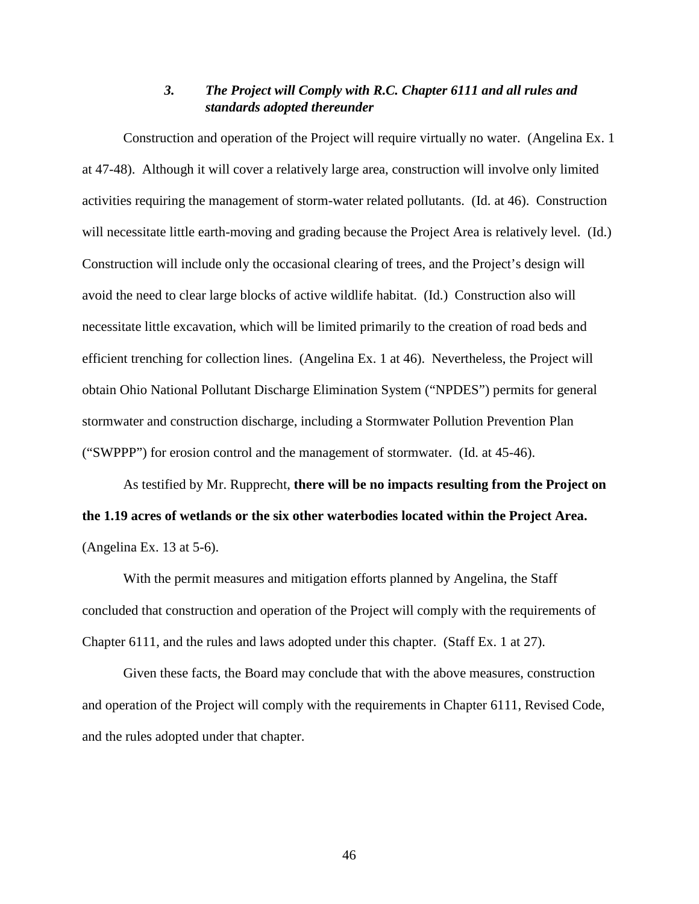# *3. The Project will Comply with R.C. Chapter 6111 and all rules and standards adopted thereunder*

Construction and operation of the Project will require virtually no water. (Angelina Ex. 1 at 47-48). Although it will cover a relatively large area, construction will involve only limited activities requiring the management of storm-water related pollutants. (Id. at 46). Construction will necessitate little earth-moving and grading because the Project Area is relatively level. (Id.) Construction will include only the occasional clearing of trees, and the Project's design will avoid the need to clear large blocks of active wildlife habitat. (Id.) Construction also will necessitate little excavation, which will be limited primarily to the creation of road beds and efficient trenching for collection lines. (Angelina Ex. 1 at 46). Nevertheless, the Project will obtain Ohio National Pollutant Discharge Elimination System ("NPDES") permits for general stormwater and construction discharge, including a Stormwater Pollution Prevention Plan ("SWPPP") for erosion control and the management of stormwater. (Id. at 45-46).

As testified by Mr. Rupprecht, **there will be no impacts resulting from the Project on the 1.19 acres of wetlands or the six other waterbodies located within the Project Area.** (Angelina Ex. 13 at 5-6).

With the permit measures and mitigation efforts planned by Angelina, the Staff concluded that construction and operation of the Project will comply with the requirements of Chapter 6111, and the rules and laws adopted under this chapter. (Staff Ex. 1 at 27).

Given these facts, the Board may conclude that with the above measures, construction and operation of the Project will comply with the requirements in Chapter 6111, Revised Code, and the rules adopted under that chapter.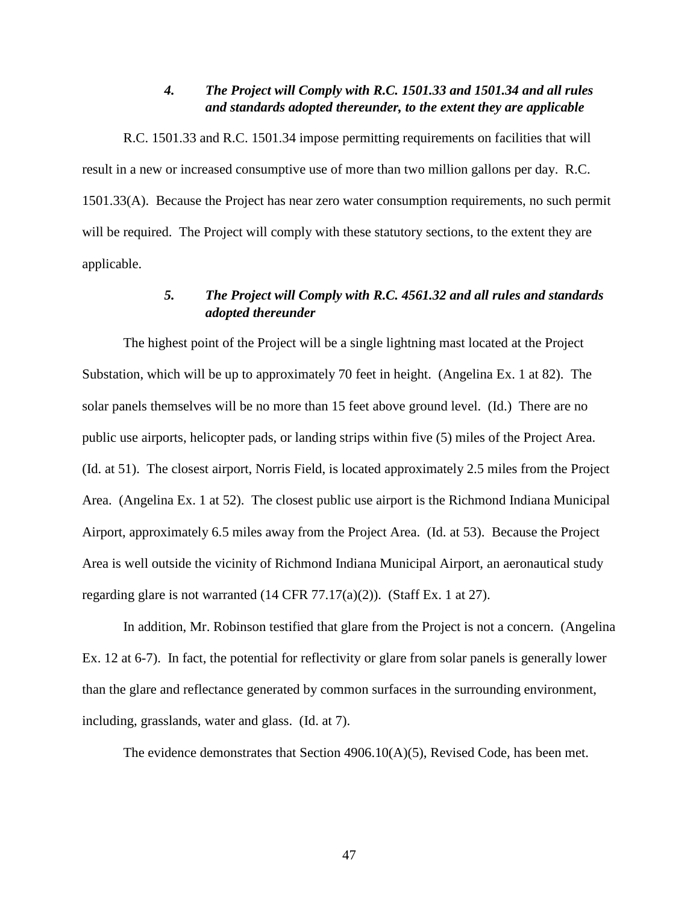# *4. The Project will Comply with R.C. 1501.33 and 1501.34 and all rules and standards adopted thereunder, to the extent they are applicable*

R.C. 1501.33 and R.C. 1501.34 impose permitting requirements on facilities that will result in a new or increased consumptive use of more than two million gallons per day. R.C. 1501.33(A). Because the Project has near zero water consumption requirements, no such permit will be required. The Project will comply with these statutory sections, to the extent they are applicable.

# *5. The Project will Comply with R.C. 4561.32 and all rules and standards adopted thereunder*

The highest point of the Project will be a single lightning mast located at the Project Substation, which will be up to approximately 70 feet in height. (Angelina Ex. 1 at 82). The solar panels themselves will be no more than 15 feet above ground level. (Id.) There are no public use airports, helicopter pads, or landing strips within five (5) miles of the Project Area. (Id. at 51). The closest airport, Norris Field, is located approximately 2.5 miles from the Project Area. (Angelina Ex. 1 at 52). The closest public use airport is the Richmond Indiana Municipal Airport, approximately 6.5 miles away from the Project Area. (Id. at 53). Because the Project Area is well outside the vicinity of Richmond Indiana Municipal Airport, an aeronautical study regarding glare is not warranted (14 CFR 77.17(a)(2)). (Staff Ex. 1 at 27).

In addition, Mr. Robinson testified that glare from the Project is not a concern. (Angelina Ex. 12 at 6-7). In fact, the potential for reflectivity or glare from solar panels is generally lower than the glare and reflectance generated by common surfaces in the surrounding environment, including, grasslands, water and glass. (Id. at 7).

The evidence demonstrates that Section 4906.10(A)(5), Revised Code, has been met.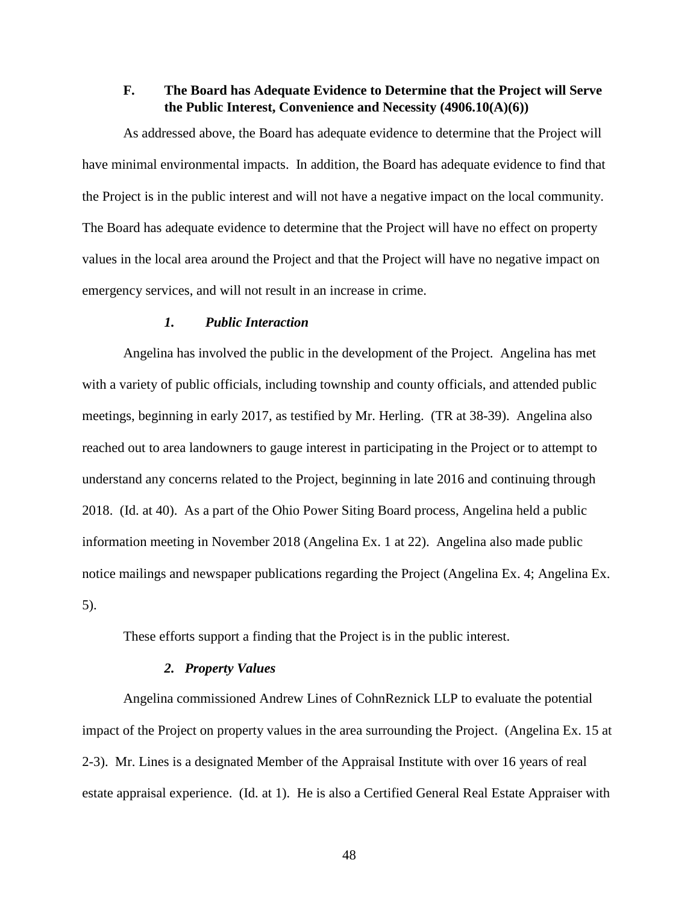# **F. The Board has Adequate Evidence to Determine that the Project will Serve the Public Interest, Convenience and Necessity (4906.10(A)(6))**

As addressed above, the Board has adequate evidence to determine that the Project will have minimal environmental impacts. In addition, the Board has adequate evidence to find that the Project is in the public interest and will not have a negative impact on the local community. The Board has adequate evidence to determine that the Project will have no effect on property values in the local area around the Project and that the Project will have no negative impact on emergency services, and will not result in an increase in crime.

## *1. Public Interaction*

Angelina has involved the public in the development of the Project. Angelina has met with a variety of public officials, including township and county officials, and attended public meetings, beginning in early 2017, as testified by Mr. Herling. (TR at 38-39). Angelina also reached out to area landowners to gauge interest in participating in the Project or to attempt to understand any concerns related to the Project, beginning in late 2016 and continuing through 2018. (Id. at 40). As a part of the Ohio Power Siting Board process, Angelina held a public information meeting in November 2018 (Angelina Ex. 1 at 22). Angelina also made public notice mailings and newspaper publications regarding the Project (Angelina Ex. 4; Angelina Ex. 5).

These efforts support a finding that the Project is in the public interest.

### *2. Property Values*

Angelina commissioned Andrew Lines of CohnReznick LLP to evaluate the potential impact of the Project on property values in the area surrounding the Project. (Angelina Ex. 15 at 2-3). Mr. Lines is a designated Member of the Appraisal Institute with over 16 years of real estate appraisal experience. (Id. at 1). He is also a Certified General Real Estate Appraiser with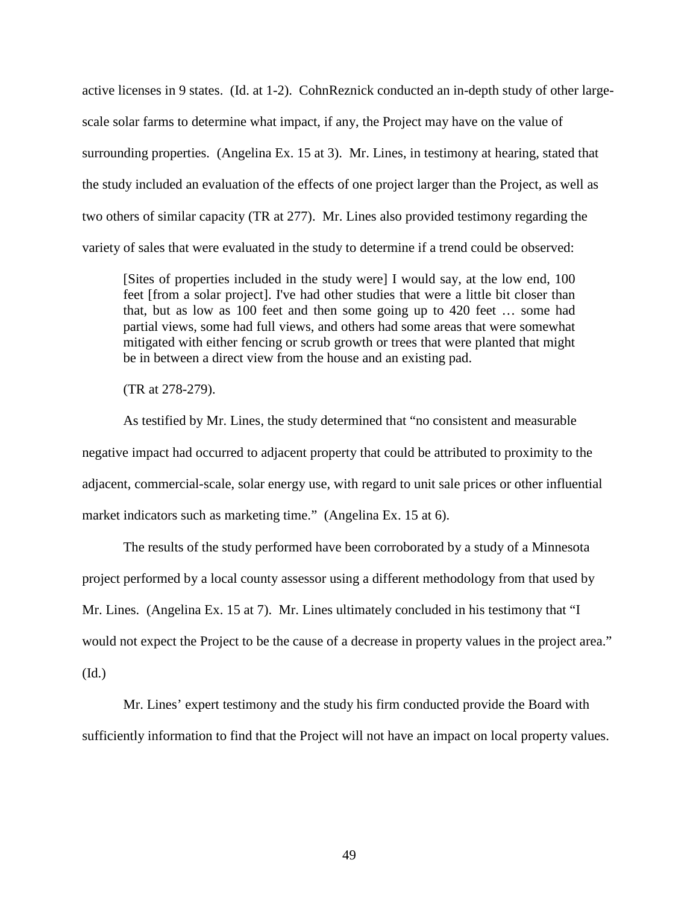active licenses in 9 states. (Id. at 1-2). CohnReznick conducted an in-depth study of other largescale solar farms to determine what impact, if any, the Project may have on the value of surrounding properties. (Angelina Ex. 15 at 3). Mr. Lines, in testimony at hearing, stated that the study included an evaluation of the effects of one project larger than the Project, as well as two others of similar capacity (TR at 277). Mr. Lines also provided testimony regarding the variety of sales that were evaluated in the study to determine if a trend could be observed:

[Sites of properties included in the study were] I would say, at the low end, 100 feet [from a solar project]. I've had other studies that were a little bit closer than that, but as low as 100 feet and then some going up to 420 feet … some had partial views, some had full views, and others had some areas that were somewhat mitigated with either fencing or scrub growth or trees that were planted that might be in between a direct view from the house and an existing pad.

(TR at 278-279).

As testified by Mr. Lines, the study determined that "no consistent and measurable negative impact had occurred to adjacent property that could be attributed to proximity to the adjacent, commercial-scale, solar energy use, with regard to unit sale prices or other influential market indicators such as marketing time." (Angelina Ex. 15 at 6).

The results of the study performed have been corroborated by a study of a Minnesota project performed by a local county assessor using a different methodology from that used by Mr. Lines. (Angelina Ex. 15 at 7). Mr. Lines ultimately concluded in his testimony that "I would not expect the Project to be the cause of a decrease in property values in the project area." (Id.)

Mr. Lines' expert testimony and the study his firm conducted provide the Board with sufficiently information to find that the Project will not have an impact on local property values.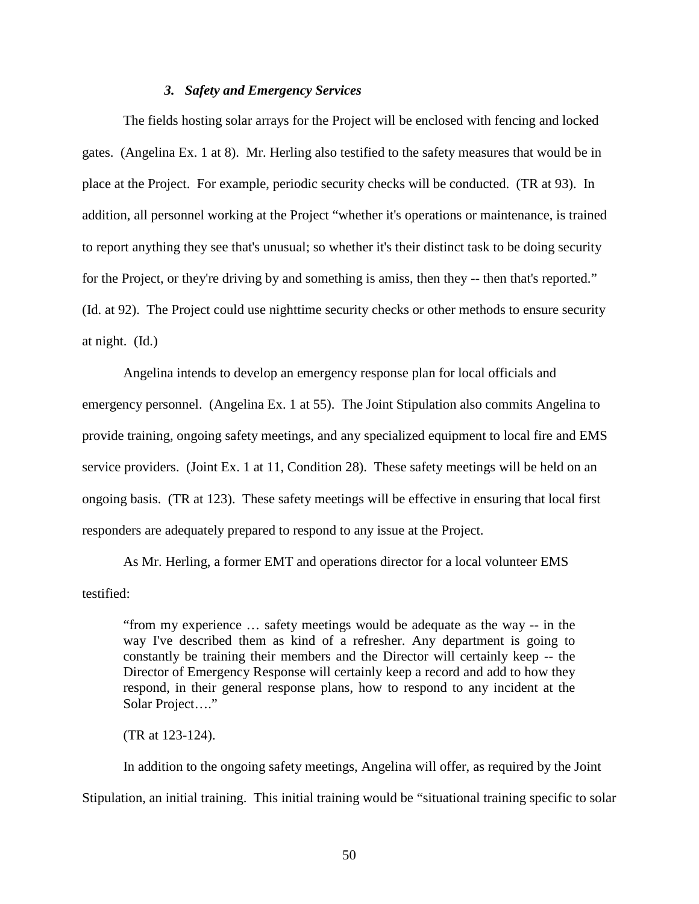### *3. Safety and Emergency Services*

The fields hosting solar arrays for the Project will be enclosed with fencing and locked gates. (Angelina Ex. 1 at 8). Mr. Herling also testified to the safety measures that would be in place at the Project. For example, periodic security checks will be conducted. (TR at 93). In addition, all personnel working at the Project "whether it's operations or maintenance, is trained to report anything they see that's unusual; so whether it's their distinct task to be doing security for the Project, or they're driving by and something is amiss, then they -- then that's reported." (Id. at 92). The Project could use nighttime security checks or other methods to ensure security at night. (Id.)

Angelina intends to develop an emergency response plan for local officials and emergency personnel. (Angelina Ex. 1 at 55). The Joint Stipulation also commits Angelina to provide training, ongoing safety meetings, and any specialized equipment to local fire and EMS service providers. (Joint Ex. 1 at 11, Condition 28). These safety meetings will be held on an ongoing basis. (TR at 123). These safety meetings will be effective in ensuring that local first responders are adequately prepared to respond to any issue at the Project.

As Mr. Herling, a former EMT and operations director for a local volunteer EMS testified:

"from my experience … safety meetings would be adequate as the way -- in the way I've described them as kind of a refresher. Any department is going to constantly be training their members and the Director will certainly keep -- the Director of Emergency Response will certainly keep a record and add to how they respond, in their general response plans, how to respond to any incident at the Solar Project…."

(TR at 123-124).

In addition to the ongoing safety meetings, Angelina will offer, as required by the Joint Stipulation, an initial training. This initial training would be "situational training specific to solar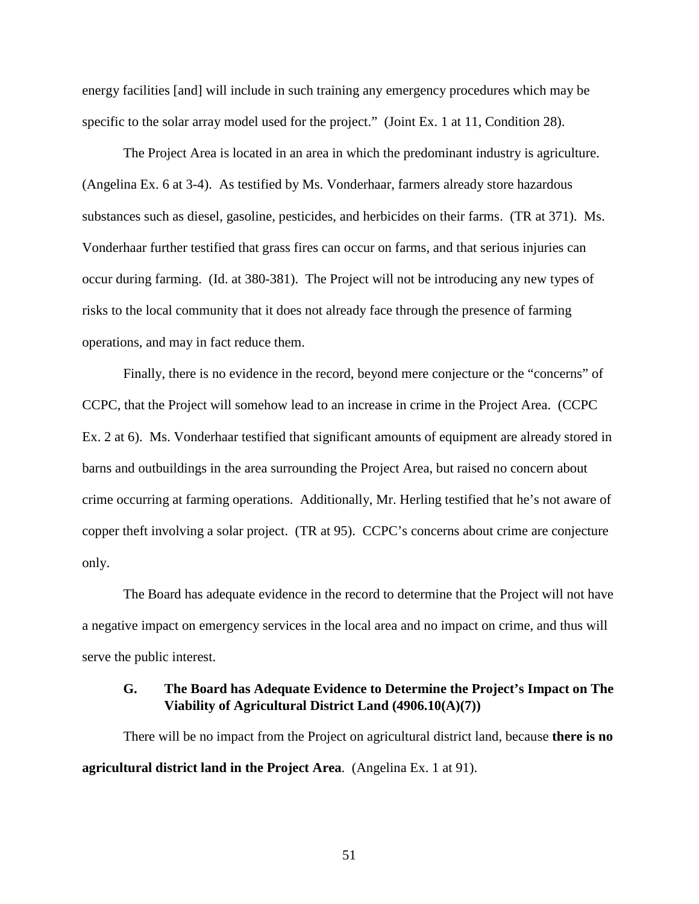energy facilities [and] will include in such training any emergency procedures which may be specific to the solar array model used for the project." (Joint Ex. 1 at 11, Condition 28).

The Project Area is located in an area in which the predominant industry is agriculture. (Angelina Ex. 6 at 3-4). As testified by Ms. Vonderhaar, farmers already store hazardous substances such as diesel, gasoline, pesticides, and herbicides on their farms. (TR at 371). Ms. Vonderhaar further testified that grass fires can occur on farms, and that serious injuries can occur during farming. (Id. at 380-381). The Project will not be introducing any new types of risks to the local community that it does not already face through the presence of farming operations, and may in fact reduce them.

Finally, there is no evidence in the record, beyond mere conjecture or the "concerns" of CCPC, that the Project will somehow lead to an increase in crime in the Project Area. (CCPC Ex. 2 at 6). Ms. Vonderhaar testified that significant amounts of equipment are already stored in barns and outbuildings in the area surrounding the Project Area, but raised no concern about crime occurring at farming operations. Additionally, Mr. Herling testified that he's not aware of copper theft involving a solar project. (TR at 95). CCPC's concerns about crime are conjecture only.

The Board has adequate evidence in the record to determine that the Project will not have a negative impact on emergency services in the local area and no impact on crime, and thus will serve the public interest.

## **G. The Board has Adequate Evidence to Determine the Project's Impact on The Viability of Agricultural District Land (4906.10(A)(7))**

There will be no impact from the Project on agricultural district land, because **there is no agricultural district land in the Project Area**. (Angelina Ex. 1 at 91).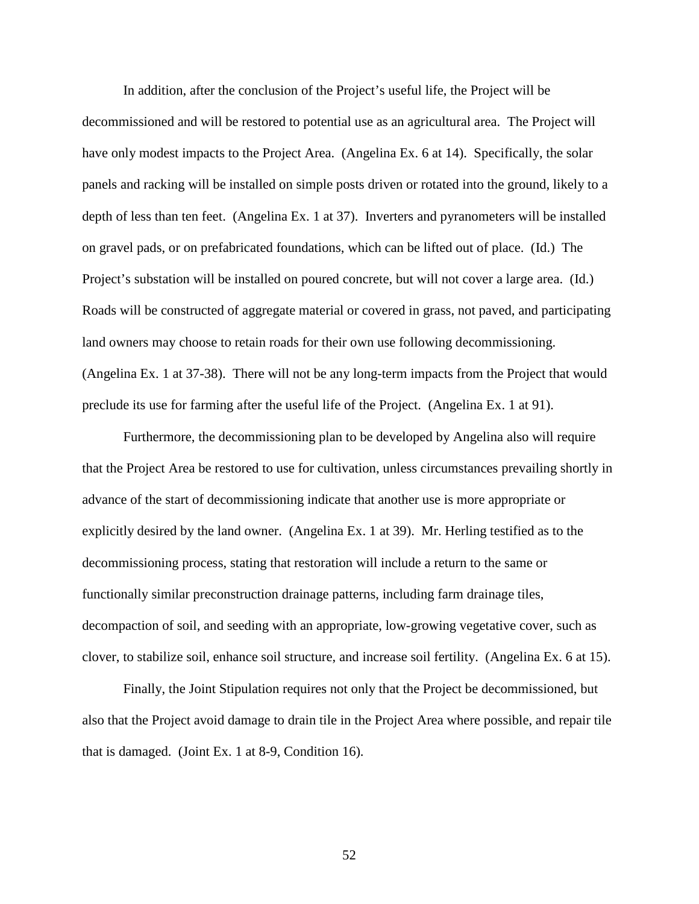In addition, after the conclusion of the Project's useful life, the Project will be decommissioned and will be restored to potential use as an agricultural area. The Project will have only modest impacts to the Project Area. (Angelina Ex. 6 at 14). Specifically, the solar panels and racking will be installed on simple posts driven or rotated into the ground, likely to a depth of less than ten feet. (Angelina Ex. 1 at 37). Inverters and pyranometers will be installed on gravel pads, or on prefabricated foundations, which can be lifted out of place. (Id.) The Project's substation will be installed on poured concrete, but will not cover a large area. (Id.) Roads will be constructed of aggregate material or covered in grass, not paved, and participating land owners may choose to retain roads for their own use following decommissioning. (Angelina Ex. 1 at 37-38). There will not be any long-term impacts from the Project that would preclude its use for farming after the useful life of the Project. (Angelina Ex. 1 at 91).

Furthermore, the decommissioning plan to be developed by Angelina also will require that the Project Area be restored to use for cultivation, unless circumstances prevailing shortly in advance of the start of decommissioning indicate that another use is more appropriate or explicitly desired by the land owner. (Angelina Ex. 1 at 39). Mr. Herling testified as to the decommissioning process, stating that restoration will include a return to the same or functionally similar preconstruction drainage patterns, including farm drainage tiles, decompaction of soil, and seeding with an appropriate, low-growing vegetative cover, such as clover, to stabilize soil, enhance soil structure, and increase soil fertility. (Angelina Ex. 6 at 15).

Finally, the Joint Stipulation requires not only that the Project be decommissioned, but also that the Project avoid damage to drain tile in the Project Area where possible, and repair tile that is damaged. (Joint Ex. 1 at 8-9, Condition 16).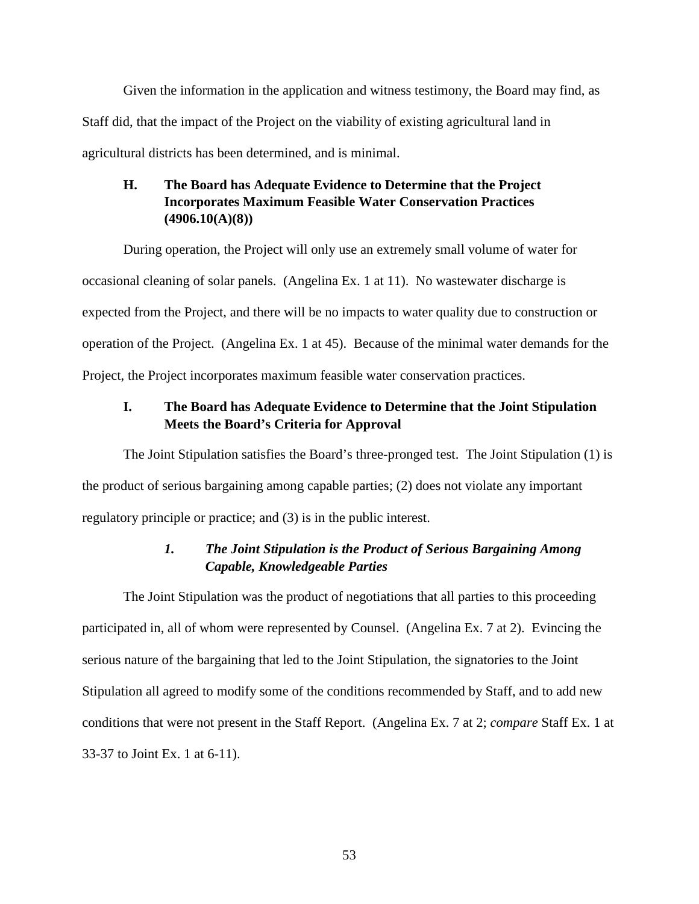Given the information in the application and witness testimony, the Board may find, as Staff did, that the impact of the Project on the viability of existing agricultural land in agricultural districts has been determined, and is minimal.

# **H. The Board has Adequate Evidence to Determine that the Project Incorporates Maximum Feasible Water Conservation Practices (4906.10(A)(8))**

During operation, the Project will only use an extremely small volume of water for occasional cleaning of solar panels. (Angelina Ex. 1 at 11). No wastewater discharge is expected from the Project, and there will be no impacts to water quality due to construction or operation of the Project. (Angelina Ex. 1 at 45). Because of the minimal water demands for the Project, the Project incorporates maximum feasible water conservation practices.

# **I. The Board has Adequate Evidence to Determine that the Joint Stipulation Meets the Board's Criteria for Approval**

The Joint Stipulation satisfies the Board's three-pronged test. The Joint Stipulation (1) is the product of serious bargaining among capable parties; (2) does not violate any important regulatory principle or practice; and (3) is in the public interest.

# *1. The Joint Stipulation is the Product of Serious Bargaining Among Capable, Knowledgeable Parties*

The Joint Stipulation was the product of negotiations that all parties to this proceeding participated in, all of whom were represented by Counsel. (Angelina Ex. 7 at 2). Evincing the serious nature of the bargaining that led to the Joint Stipulation, the signatories to the Joint Stipulation all agreed to modify some of the conditions recommended by Staff, and to add new conditions that were not present in the Staff Report. (Angelina Ex. 7 at 2; *compare* Staff Ex. 1 at 33-37 to Joint Ex. 1 at 6-11).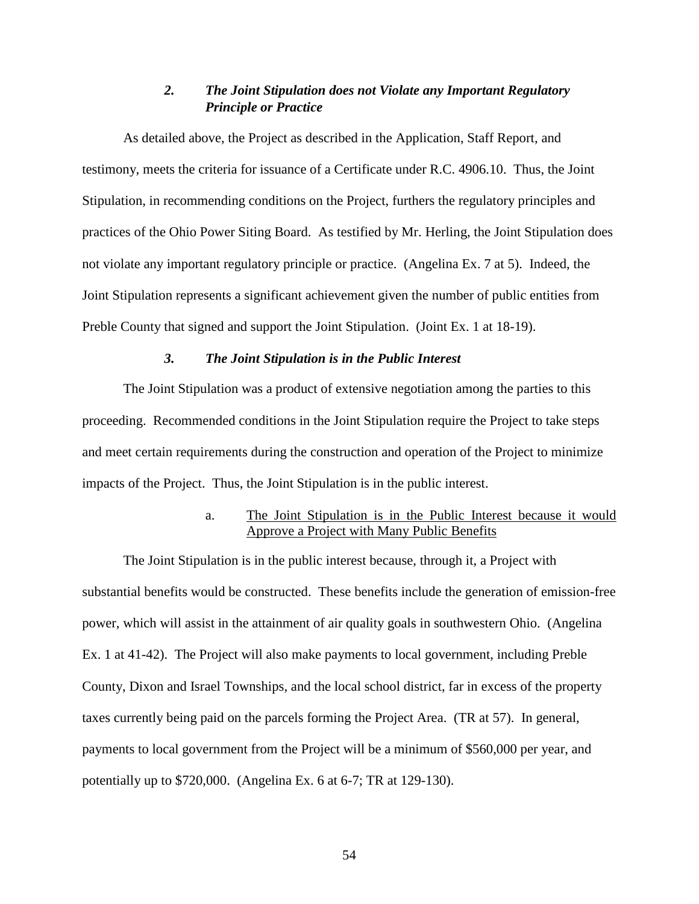# *2. The Joint Stipulation does not Violate any Important Regulatory Principle or Practice*

As detailed above, the Project as described in the Application, Staff Report, and testimony, meets the criteria for issuance of a Certificate under R.C. 4906.10. Thus, the Joint Stipulation, in recommending conditions on the Project, furthers the regulatory principles and practices of the Ohio Power Siting Board. As testified by Mr. Herling, the Joint Stipulation does not violate any important regulatory principle or practice. (Angelina Ex. 7 at 5). Indeed, the Joint Stipulation represents a significant achievement given the number of public entities from Preble County that signed and support the Joint Stipulation. (Joint Ex. 1 at 18-19).

## *3. The Joint Stipulation is in the Public Interest*

The Joint Stipulation was a product of extensive negotiation among the parties to this proceeding. Recommended conditions in the Joint Stipulation require the Project to take steps and meet certain requirements during the construction and operation of the Project to minimize impacts of the Project. Thus, the Joint Stipulation is in the public interest.

# a. The Joint Stipulation is in the Public Interest because it would Approve a Project with Many Public Benefits

The Joint Stipulation is in the public interest because, through it, a Project with substantial benefits would be constructed. These benefits include the generation of emission-free power, which will assist in the attainment of air quality goals in southwestern Ohio. (Angelina Ex. 1 at 41-42). The Project will also make payments to local government, including Preble County, Dixon and Israel Townships, and the local school district, far in excess of the property taxes currently being paid on the parcels forming the Project Area. (TR at 57). In general, payments to local government from the Project will be a minimum of \$560,000 per year, and potentially up to \$720,000. (Angelina Ex. 6 at 6-7; TR at 129-130).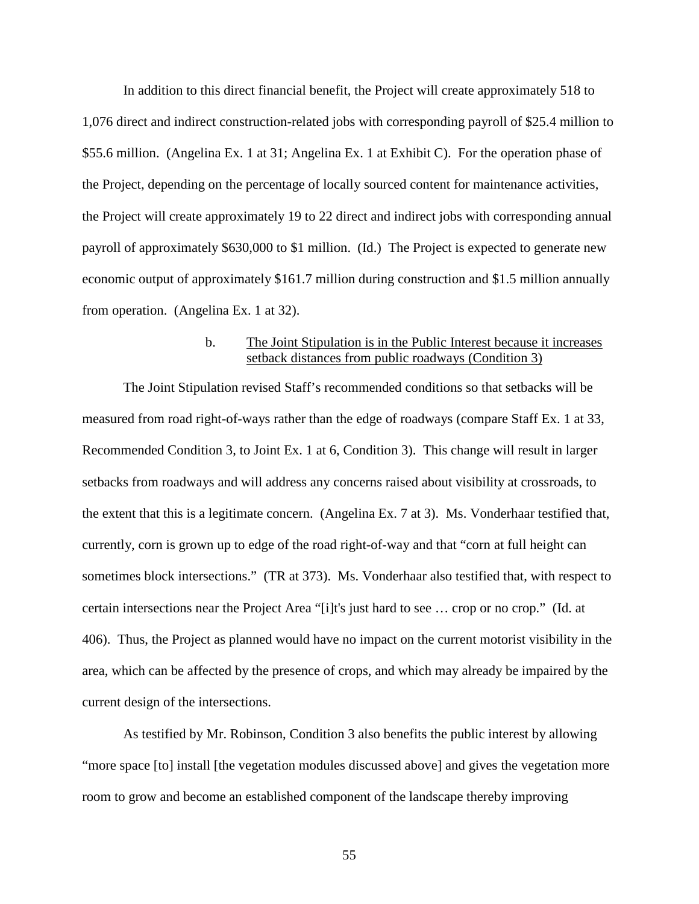In addition to this direct financial benefit, the Project will create approximately 518 to 1,076 direct and indirect construction-related jobs with corresponding payroll of \$25.4 million to \$55.6 million. (Angelina Ex. 1 at 31; Angelina Ex. 1 at Exhibit C). For the operation phase of the Project, depending on the percentage of locally sourced content for maintenance activities, the Project will create approximately 19 to 22 direct and indirect jobs with corresponding annual payroll of approximately \$630,000 to \$1 million. (Id.) The Project is expected to generate new economic output of approximately \$161.7 million during construction and \$1.5 million annually from operation. (Angelina Ex. 1 at 32).

## b. The Joint Stipulation is in the Public Interest because it increases setback distances from public roadways (Condition 3)

The Joint Stipulation revised Staff's recommended conditions so that setbacks will be measured from road right-of-ways rather than the edge of roadways (compare Staff Ex. 1 at 33, Recommended Condition 3, to Joint Ex. 1 at 6, Condition 3). This change will result in larger setbacks from roadways and will address any concerns raised about visibility at crossroads, to the extent that this is a legitimate concern. (Angelina Ex. 7 at 3). Ms. Vonderhaar testified that, currently, corn is grown up to edge of the road right-of-way and that "corn at full height can sometimes block intersections." (TR at 373). Ms. Vonderhaar also testified that, with respect to certain intersections near the Project Area "[i]t's just hard to see … crop or no crop." (Id. at 406). Thus, the Project as planned would have no impact on the current motorist visibility in the area, which can be affected by the presence of crops, and which may already be impaired by the current design of the intersections.

As testified by Mr. Robinson, Condition 3 also benefits the public interest by allowing "more space [to] install [the vegetation modules discussed above] and gives the vegetation more room to grow and become an established component of the landscape thereby improving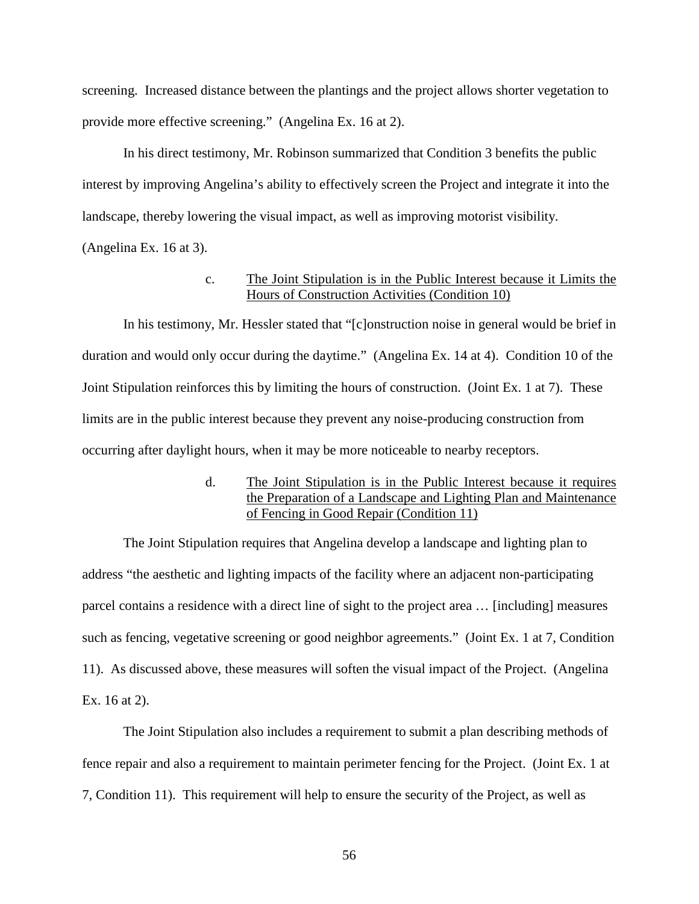screening. Increased distance between the plantings and the project allows shorter vegetation to provide more effective screening." (Angelina Ex. 16 at 2).

In his direct testimony, Mr. Robinson summarized that Condition 3 benefits the public interest by improving Angelina's ability to effectively screen the Project and integrate it into the landscape, thereby lowering the visual impact, as well as improving motorist visibility. (Angelina Ex. 16 at 3).

### c. The Joint Stipulation is in the Public Interest because it Limits the Hours of Construction Activities (Condition 10)

In his testimony, Mr. Hessler stated that "[c]onstruction noise in general would be brief in duration and would only occur during the daytime." (Angelina Ex. 14 at 4). Condition 10 of the Joint Stipulation reinforces this by limiting the hours of construction. (Joint Ex. 1 at 7). These limits are in the public interest because they prevent any noise-producing construction from occurring after daylight hours, when it may be more noticeable to nearby receptors.

# d. The Joint Stipulation is in the Public Interest because it requires the Preparation of a Landscape and Lighting Plan and Maintenance of Fencing in Good Repair (Condition 11)

The Joint Stipulation requires that Angelina develop a landscape and lighting plan to address "the aesthetic and lighting impacts of the facility where an adjacent non-participating parcel contains a residence with a direct line of sight to the project area … [including] measures such as fencing, vegetative screening or good neighbor agreements." (Joint Ex. 1 at 7, Condition 11). As discussed above, these measures will soften the visual impact of the Project. (Angelina Ex. 16 at 2).

The Joint Stipulation also includes a requirement to submit a plan describing methods of fence repair and also a requirement to maintain perimeter fencing for the Project. (Joint Ex. 1 at 7, Condition 11). This requirement will help to ensure the security of the Project, as well as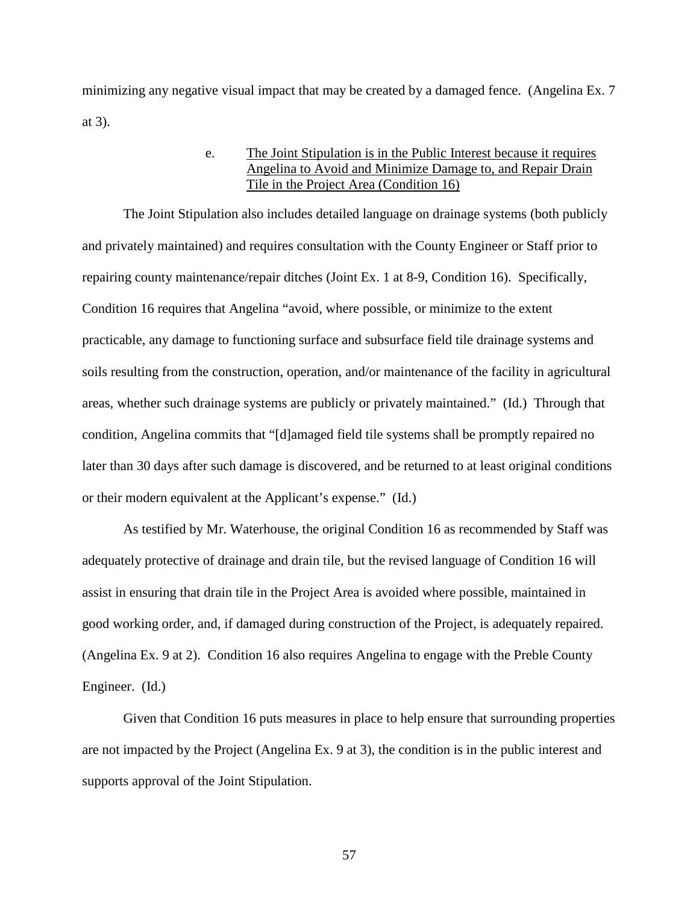minimizing any negative visual impact that may be created by a damaged fence. (Angelina Ex. 7 at 3).

## e. The Joint Stipulation is in the Public Interest because it requires Angelina to Avoid and Minimize Damage to, and Repair Drain Tile in the Project Area (Condition 16)

The Joint Stipulation also includes detailed language on drainage systems (both publicly and privately maintained) and requires consultation with the County Engineer or Staff prior to repairing county maintenance/repair ditches (Joint Ex. 1 at 8-9, Condition 16). Specifically, Condition 16 requires that Angelina "avoid, where possible, or minimize to the extent practicable, any damage to functioning surface and subsurface field tile drainage systems and soils resulting from the construction, operation, and/or maintenance of the facility in agricultural areas, whether such drainage systems are publicly or privately maintained." (Id.) Through that condition, Angelina commits that "[d]amaged field tile systems shall be promptly repaired no later than 30 days after such damage is discovered, and be returned to at least original conditions or their modern equivalent at the Applicant's expense." (Id.)

As testified by Mr. Waterhouse, the original Condition 16 as recommended by Staff was adequately protective of drainage and drain tile, but the revised language of Condition 16 will assist in ensuring that drain tile in the Project Area is avoided where possible, maintained in good working order, and, if damaged during construction of the Project, is adequately repaired. (Angelina Ex. 9 at 2). Condition 16 also requires Angelina to engage with the Preble County Engineer. (Id.)

Given that Condition 16 puts measures in place to help ensure that surrounding properties are not impacted by the Project (Angelina Ex. 9 at 3), the condition is in the public interest and supports approval of the Joint Stipulation.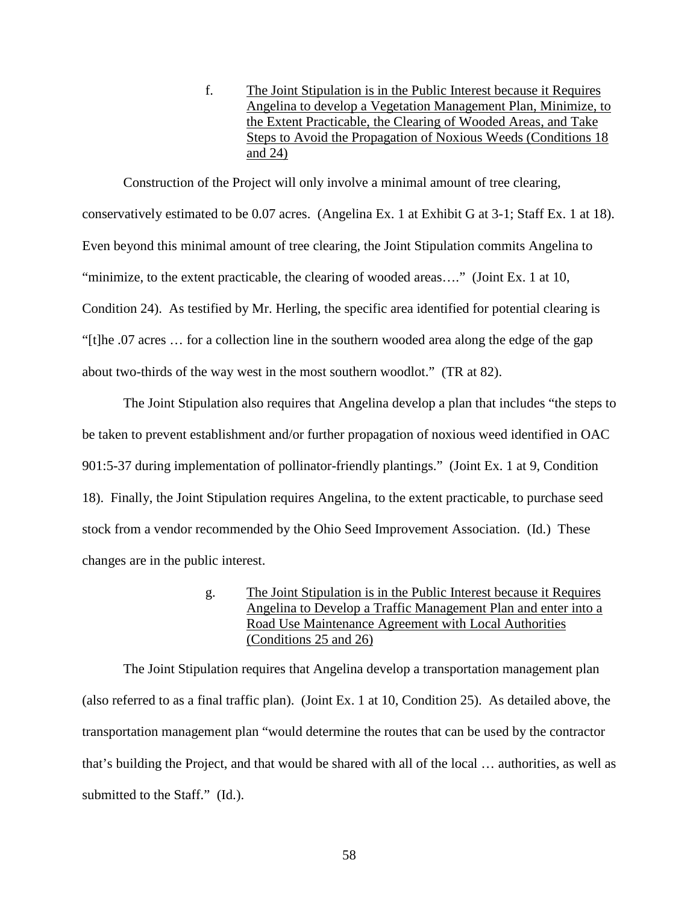f. The Joint Stipulation is in the Public Interest because it Requires Angelina to develop a Vegetation Management Plan, Minimize, to the Extent Practicable, the Clearing of Wooded Areas, and Take Steps to Avoid the Propagation of Noxious Weeds (Conditions 18 and 24)

Construction of the Project will only involve a minimal amount of tree clearing, conservatively estimated to be 0.07 acres. (Angelina Ex. 1 at Exhibit G at 3-1; Staff Ex. 1 at 18). Even beyond this minimal amount of tree clearing, the Joint Stipulation commits Angelina to "minimize, to the extent practicable, the clearing of wooded areas…." (Joint Ex. 1 at 10, Condition 24). As testified by Mr. Herling, the specific area identified for potential clearing is "[t]he .07 acres … for a collection line in the southern wooded area along the edge of the gap about two-thirds of the way west in the most southern woodlot." (TR at 82).

The Joint Stipulation also requires that Angelina develop a plan that includes "the steps to be taken to prevent establishment and/or further propagation of noxious weed identified in OAC 901:5-37 during implementation of pollinator-friendly plantings." (Joint Ex. 1 at 9, Condition 18). Finally, the Joint Stipulation requires Angelina, to the extent practicable, to purchase seed stock from a vendor recommended by the Ohio Seed Improvement Association. (Id.) These changes are in the public interest.

> g. The Joint Stipulation is in the Public Interest because it Requires Angelina to Develop a Traffic Management Plan and enter into a Road Use Maintenance Agreement with Local Authorities (Conditions 25 and 26)

The Joint Stipulation requires that Angelina develop a transportation management plan (also referred to as a final traffic plan). (Joint Ex. 1 at 10, Condition 25). As detailed above, the transportation management plan "would determine the routes that can be used by the contractor that's building the Project, and that would be shared with all of the local … authorities, as well as submitted to the Staff." (Id.).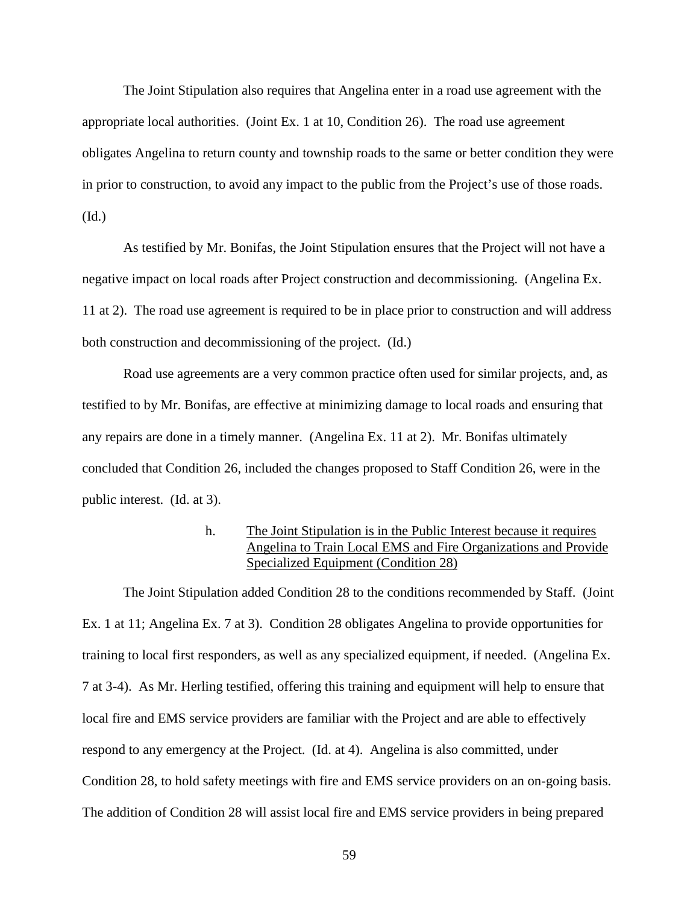The Joint Stipulation also requires that Angelina enter in a road use agreement with the appropriate local authorities. (Joint Ex. 1 at 10, Condition 26). The road use agreement obligates Angelina to return county and township roads to the same or better condition they were in prior to construction, to avoid any impact to the public from the Project's use of those roads. (Id.)

As testified by Mr. Bonifas, the Joint Stipulation ensures that the Project will not have a negative impact on local roads after Project construction and decommissioning. (Angelina Ex. 11 at 2). The road use agreement is required to be in place prior to construction and will address both construction and decommissioning of the project. (Id.)

Road use agreements are a very common practice often used for similar projects, and, as testified to by Mr. Bonifas, are effective at minimizing damage to local roads and ensuring that any repairs are done in a timely manner. (Angelina Ex. 11 at 2). Mr. Bonifas ultimately concluded that Condition 26, included the changes proposed to Staff Condition 26, were in the public interest. (Id. at 3).

## h. The Joint Stipulation is in the Public Interest because it requires Angelina to Train Local EMS and Fire Organizations and Provide Specialized Equipment (Condition 28)

The Joint Stipulation added Condition 28 to the conditions recommended by Staff. (Joint Ex. 1 at 11; Angelina Ex. 7 at 3). Condition 28 obligates Angelina to provide opportunities for training to local first responders, as well as any specialized equipment, if needed. (Angelina Ex. 7 at 3-4). As Mr. Herling testified, offering this training and equipment will help to ensure that local fire and EMS service providers are familiar with the Project and are able to effectively respond to any emergency at the Project. (Id. at 4). Angelina is also committed, under Condition 28, to hold safety meetings with fire and EMS service providers on an on-going basis. The addition of Condition 28 will assist local fire and EMS service providers in being prepared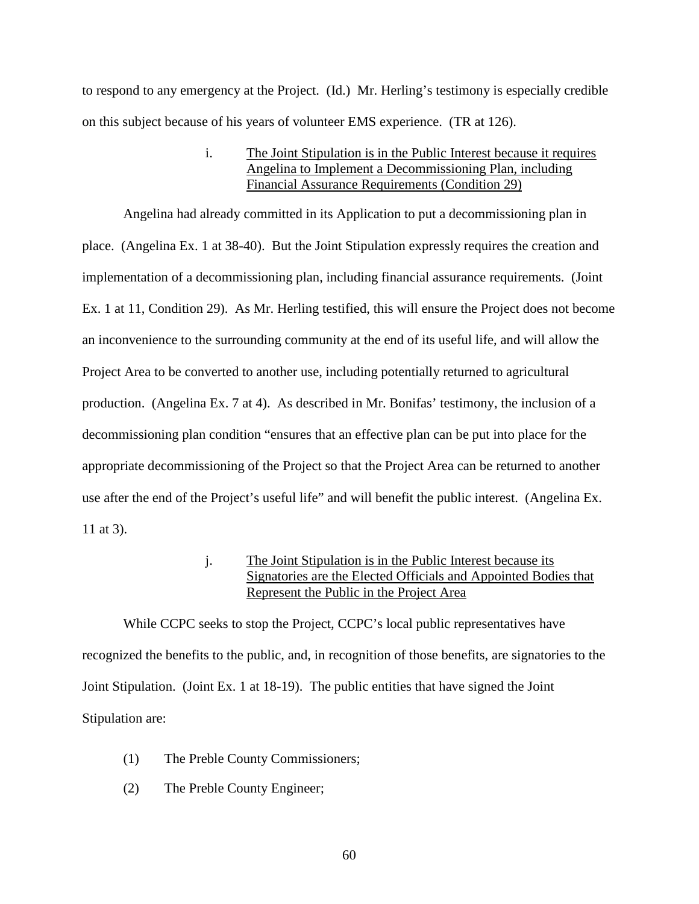to respond to any emergency at the Project. (Id.) Mr. Herling's testimony is especially credible on this subject because of his years of volunteer EMS experience. (TR at 126).

> i. The Joint Stipulation is in the Public Interest because it requires Angelina to Implement a Decommissioning Plan, including Financial Assurance Requirements (Condition 29)

Angelina had already committed in its Application to put a decommissioning plan in place. (Angelina Ex. 1 at 38-40). But the Joint Stipulation expressly requires the creation and implementation of a decommissioning plan, including financial assurance requirements. (Joint Ex. 1 at 11, Condition 29). As Mr. Herling testified, this will ensure the Project does not become an inconvenience to the surrounding community at the end of its useful life, and will allow the Project Area to be converted to another use, including potentially returned to agricultural production. (Angelina Ex. 7 at 4). As described in Mr. Bonifas' testimony, the inclusion of a decommissioning plan condition "ensures that an effective plan can be put into place for the appropriate decommissioning of the Project so that the Project Area can be returned to another use after the end of the Project's useful life" and will benefit the public interest. (Angelina Ex. 11 at 3).

## j. The Joint Stipulation is in the Public Interest because its Signatories are the Elected Officials and Appointed Bodies that Represent the Public in the Project Area

While CCPC seeks to stop the Project, CCPC's local public representatives have recognized the benefits to the public, and, in recognition of those benefits, are signatories to the Joint Stipulation. (Joint Ex. 1 at 18-19). The public entities that have signed the Joint Stipulation are:

- (1) The Preble County Commissioners;
- (2) The Preble County Engineer;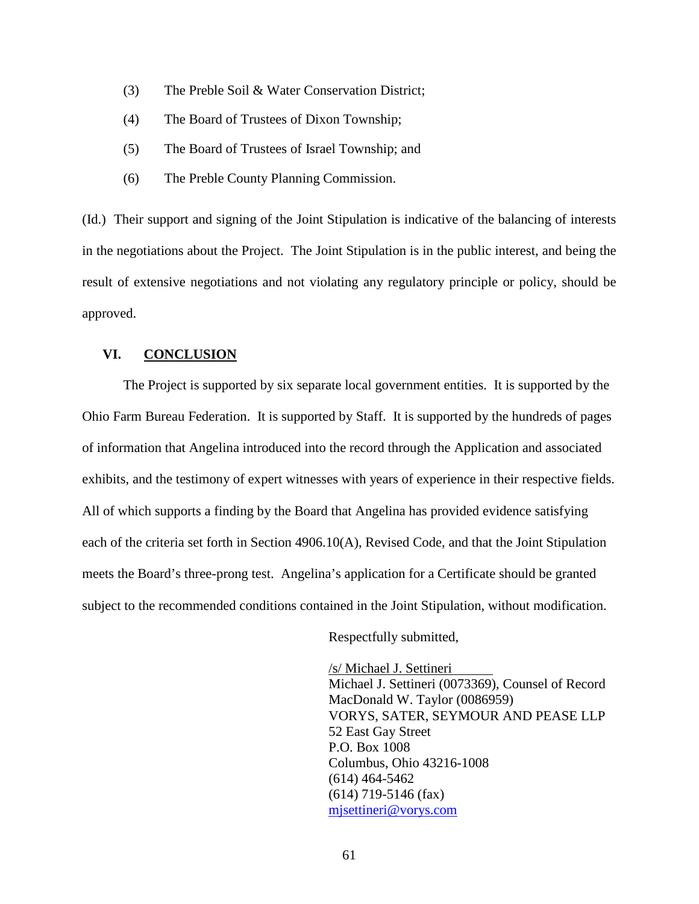- (3) The Preble Soil & Water Conservation District;
- (4) The Board of Trustees of Dixon Township;
- (5) The Board of Trustees of Israel Township; and
- (6) The Preble County Planning Commission.

(Id.) Their support and signing of the Joint Stipulation is indicative of the balancing of interests in the negotiations about the Project. The Joint Stipulation is in the public interest, and being the result of extensive negotiations and not violating any regulatory principle or policy, should be approved.

### **VI. CONCLUSION**

The Project is supported by six separate local government entities. It is supported by the Ohio Farm Bureau Federation. It is supported by Staff. It is supported by the hundreds of pages of information that Angelina introduced into the record through the Application and associated exhibits, and the testimony of expert witnesses with years of experience in their respective fields. All of which supports a finding by the Board that Angelina has provided evidence satisfying each of the criteria set forth in Section 4906.10(A), Revised Code, and that the Joint Stipulation meets the Board's three-prong test. Angelina's application for a Certificate should be granted subject to the recommended conditions contained in the Joint Stipulation, without modification.

Respectfully submitted,

/s/ Michael J. Settineri Michael J. Settineri (0073369), Counsel of Record MacDonald W. Taylor (0086959) VORYS, SATER, SEYMOUR AND PEASE LLP 52 East Gay Street P.O. Box 1008 Columbus, Ohio 43216-1008 (614) 464-5462 (614) 719-5146 (fax) mjsettineri@vorys.com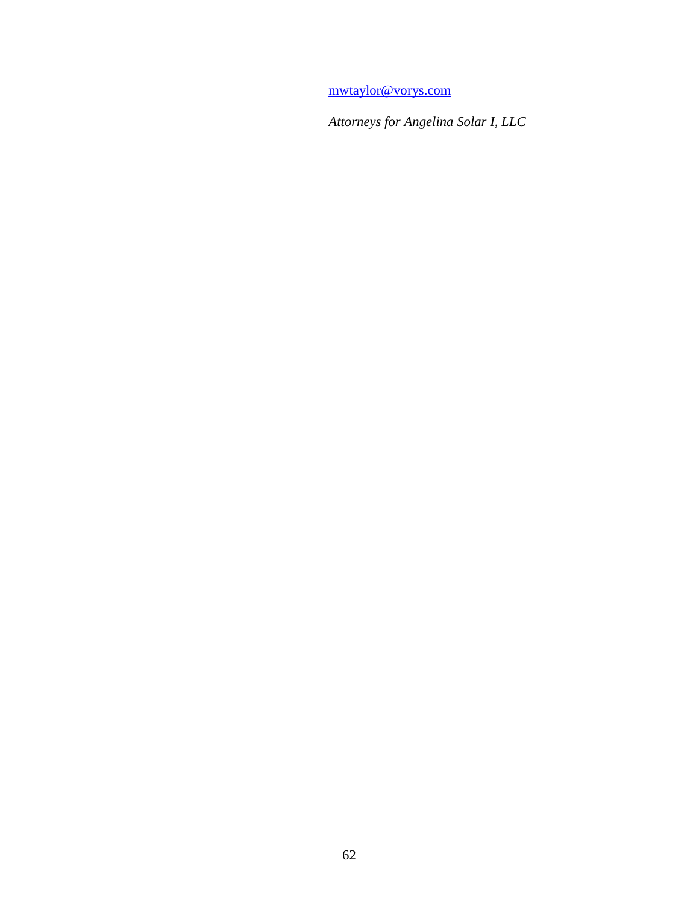mwtaylor@vorys.com

*Attorneys for Angelina Solar I, LLC*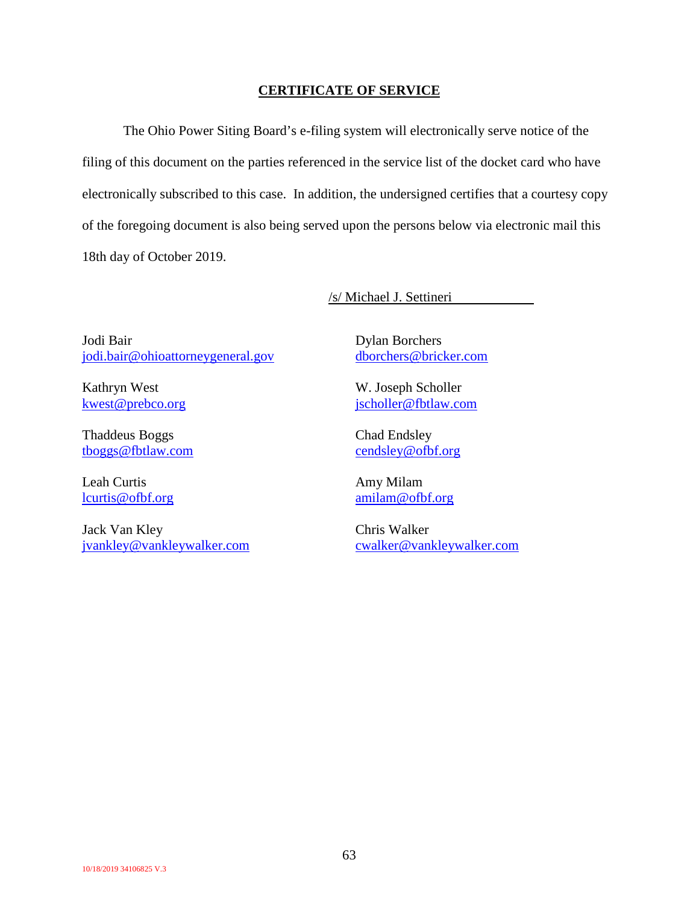### **CERTIFICATE OF SERVICE**

The Ohio Power Siting Board's e-filing system will electronically serve notice of the filing of this document on the parties referenced in the service list of the docket card who have electronically subscribed to this case. In addition, the undersigned certifies that a courtesy copy of the foregoing document is also being served upon the persons below via electronic mail this 18th day of October 2019.

/s/ Michael J. Settineri

Jodi Bair jodi.bair@ohioattorneygeneral.gov

Kathryn West kwest@prebco.org

Thaddeus Boggs tboggs@fbtlaw.com

Leah Curtis lcurtis@ofbf.org

Jack Van Kley jvankley@vankleywalker.com Dylan Borchers dborchers@bricker.com

W. Joseph Scholler jscholler@fbtlaw.com

Chad Endsley cendsley@ofbf.org

Amy Milam amilam@ofbf.org

Chris Walker cwalker@vankleywalker.com